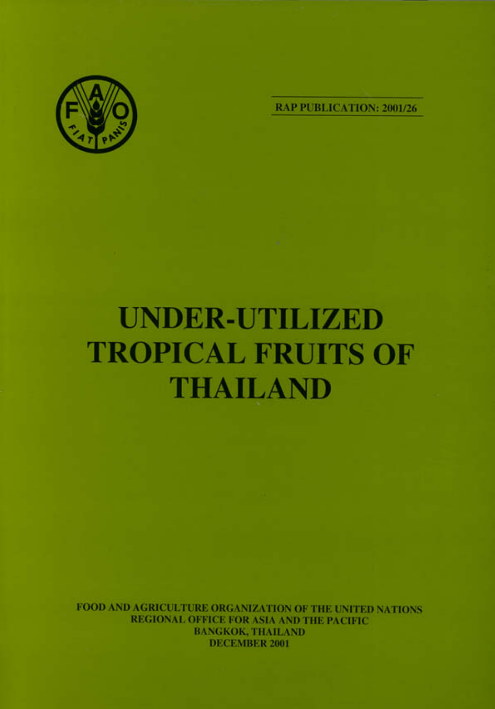

**RAP PUBLICATION: 2001/26** 

## **UNDER-UTILIZED TROPICAL FRUITS OF THAILAND**

FOOD AND AGRICULTURE ORGANIZATION OF THE UNITED NATIONS REGIONAL OFFICE FOR ASIA AND THE PACIFIC **BANGKOK, THAILAND DECEMBER 2001**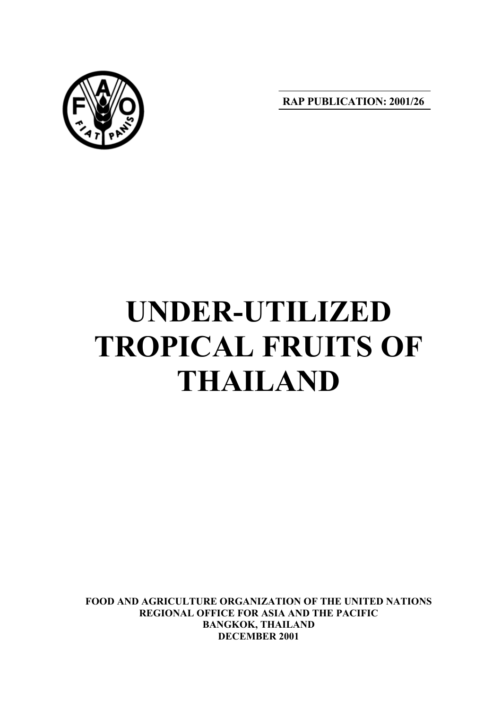

**RAP PUBLICATION: 2001/26**

# **UNDER-UTILIZED TROPICAL FRUITS OF THAILAND**

**FOOD AND AGRICULTURE ORGANIZATION OF THE UNITED NATIONS REGIONAL OFFICE FOR ASIA AND THE PACIFIC BANGKOK, THAILAND DECEMBER 2001**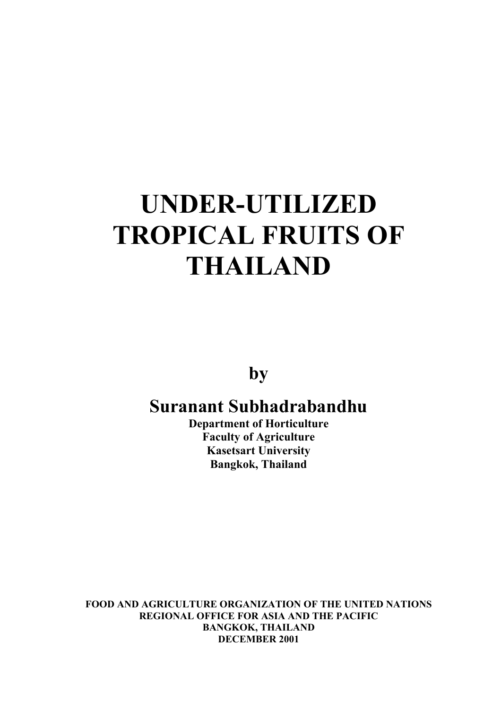## **UNDER-UTILIZED TROPICAL FRUITS OF THAILAND**

**by**

## **Suranant Subhadrabandhu**

**Department of Horticulture Faculty of Agriculture Kasetsart University Bangkok, Thailand**

**FOOD AND AGRICULTURE ORGANIZATION OF THE UNITED NATIONS REGIONAL OFFICE FOR ASIA AND THE PACIFIC BANGKOK, THAILAND DECEMBER 2001**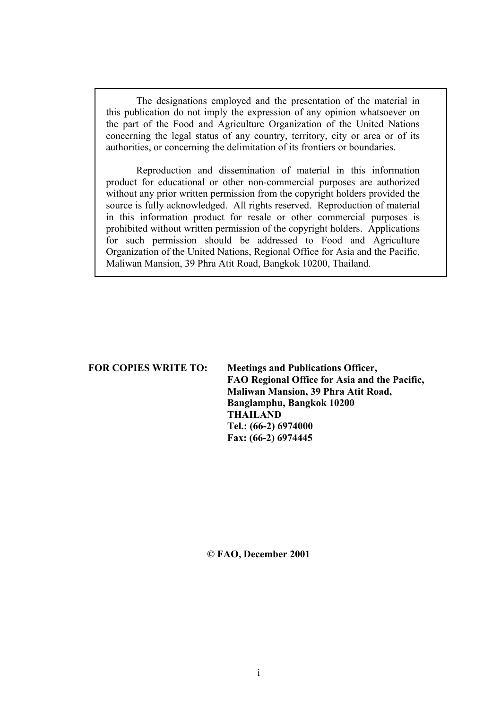The designations employed and the presentation of the material in this publication do not imply the expression of any opinion whatsoever on the part of the Food and Agriculture Organization of the United Nations concerning the legal status of any country, territory, city or area or of its authorities, or concerning the delimitation of its frontiers or boundaries.

Reproduction and dissemination of material in this information product for educational or other non-commercial purposes are authorized without any prior written permission from the copyright holders provided the source is fully acknowledged. All rights reserved. Reproduction of material in this information product for resale or other commercial purposes is prohibited without written permission of the copyright holders. Applications for such permission should be addressed to Food and Agriculture Organization of the United Nations, Regional Office for Asia and the Pacific, Maliwan Mansion, 39 Phra Atit Road, Bangkok 10200, Thailand.

## **FOR COPIES WRITE TO: Meetings and Publications Officer, FAO Regional Office for Asia and the Pacific, Maliwan Mansion, 39 Phra Atit Road, Banglamphu, Bangkok 10200 THAILAND Tel.: (66-2) 6974000 Fax: (66-2) 6974445**

**© FAO, December 2001**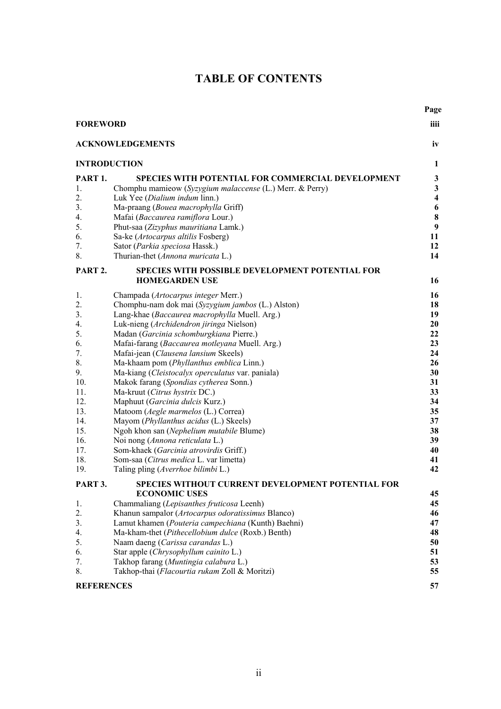## **TABLE OF CONTENTS**

|                               |                                                                                     | Page                    |  |  |
|-------------------------------|-------------------------------------------------------------------------------------|-------------------------|--|--|
| <b>FOREWORD</b>               |                                                                                     |                         |  |  |
| <b>ACKNOWLEDGEMENTS</b><br>iv |                                                                                     |                         |  |  |
| <b>INTRODUCTION</b><br>1      |                                                                                     |                         |  |  |
| PART <sub>1</sub> .           | SPECIES WITH POTENTIAL FOR COMMERCIAL DEVELOPMENT                                   | 3                       |  |  |
| $\mathbf{1}$ .                | Chomphu mamieow (Syzygium malaccense (L.) Merr. & Perry)                            | $\mathbf{3}$            |  |  |
| 2.                            | Luk Yee (Dialium indum linn.)                                                       | $\overline{\mathbf{4}}$ |  |  |
| 3.                            | Ma-praang (Bouea macrophylla Griff)                                                 | 6                       |  |  |
| 4.                            | Mafai (Baccaurea ramiflora Lour.)                                                   | 8                       |  |  |
| 5.                            | Phut-saa (Zizyphus mauritiana Lamk.)                                                | 9                       |  |  |
| 6.                            | Sa-ke (Artocarpus altilis Fosberg)                                                  | 11                      |  |  |
| 7.                            | Sator (Parkia speciosa Hassk.)                                                      | 12                      |  |  |
| 8.                            | Thurian-thet (Annona muricata L.)                                                   | 14                      |  |  |
| PART 2.                       | SPECIES WITH POSSIBLE DEVELOPMENT POTENTIAL FOR<br><b>HOMEGARDEN USE</b>            | 16                      |  |  |
|                               |                                                                                     |                         |  |  |
| 1.                            | Champada (Artocarpus integer Merr.)                                                 | 16                      |  |  |
| 2.                            | Chomphu-nam dok mai (Syzygium jambos (L.) Alston)                                   | 18                      |  |  |
| 3.                            | Lang-khae (Baccaurea macrophylla Muell. Arg.)                                       | 19                      |  |  |
| 4.<br>5.                      | Luk-nieng (Archidendron jiringa Nielson)<br>Madan (Garcinia schomburgkiana Pierre.) | 20<br>22                |  |  |
| 6.                            | Mafai-farang (Baccaurea motleyana Muell. Arg.)                                      | 23                      |  |  |
| 7.                            | Mafai-jean (Clausena lansium Skeels)                                                | 24                      |  |  |
| 8.                            | Ma-khaam pom (Phyllanthus emblica Linn.)                                            | 26                      |  |  |
| 9.                            | Ma-kiang (Cleistocalyx operculatus var. paniala)                                    | 30                      |  |  |
| 10.                           | Makok farang (Spondias cytherea Sonn.)                                              | 31                      |  |  |
| 11.                           | Ma-kruut (Citrus hystrix DC.)                                                       | 33                      |  |  |
| 12.                           | Maphuut (Garcinia dulcis Kurz.)                                                     | 34                      |  |  |
| 13.                           | Matoom (Aegle marmelos (L.) Correa)                                                 | 35                      |  |  |
| 14.                           | Mayom (Phyllanthus acidus (L.) Skeels)                                              | 37                      |  |  |
| 15.                           | Ngoh khon san (Nephelium mutabile Blume)                                            | 38                      |  |  |
| 16.                           | Noi nong (Annona reticulata L.)                                                     | 39                      |  |  |
| 17.<br>18.                    | Som-khaek (Garcinia atrovirdis Griff.)                                              | 40                      |  |  |
| 19.                           | Som-saa (Citrus medica L. var limetta)<br>Taling pling (Averrhoe bilimbi L.)        | 41<br>42                |  |  |
|                               |                                                                                     |                         |  |  |
| PART 3.                       | SPECIES WITHOUT CURRENT DEVELOPMENT POTENTIAL FOR<br><b>ECONOMIC USES</b>           | 45                      |  |  |
| 1.                            | Chammaliang (Lepisanthes fruticosa Leenh)                                           | 45                      |  |  |
| 2.                            | Khanun sampalor (Artocarpus odoratissimus Blanco)                                   | 46                      |  |  |
| 3.                            | Lamut khamen (Pouteria campechiana (Kunth) Baehni)                                  | 47                      |  |  |
| 4.                            | Ma-kham-thet (Pithecellobium dulce (Roxb.) Benth)                                   | 48                      |  |  |
| 5.                            | Naam daeng (Carissa carandas L.)                                                    | 50                      |  |  |
| 6.                            | Star apple (Chrysophyllum cainito L.)                                               | 51                      |  |  |
| 7.                            | Takhop farang (Muntingia calabura L.)                                               | 53                      |  |  |
| 8.                            | Takhop-thai (Flacourtia rukam Zoll & Moritzi)                                       | 55                      |  |  |
| <b>REFERENCES</b>             |                                                                                     |                         |  |  |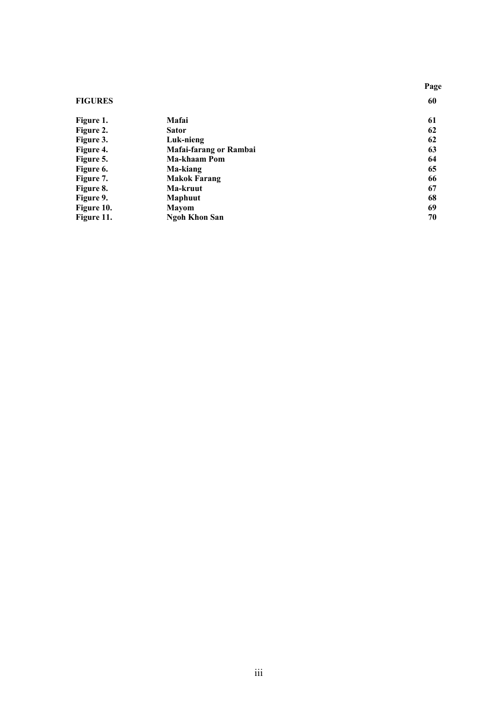|                |                        | Page |
|----------------|------------------------|------|
| <b>FIGURES</b> | 60                     |      |
| Figure 1.      | Mafai                  | 61   |
| Figure 2.      | <b>Sator</b>           | 62   |
| Figure 3.      | Luk-nieng              | 62   |
| Figure 4.      | Mafai-farang or Rambai | 63   |
| Figure 5.      | Ma-khaam Pom           | 64   |
| Figure 6.      | Ma-kiang               | 65   |
| Figure 7.      | <b>Makok Farang</b>    | 66   |
| Figure 8.      | Ma-kruut               | 67   |
| Figure 9.      | <b>Maphuut</b>         | 68   |
| Figure 10.     | <b>Mayom</b>           | 69   |
| Figure 11.     | <b>Ngoh Khon San</b>   | 70   |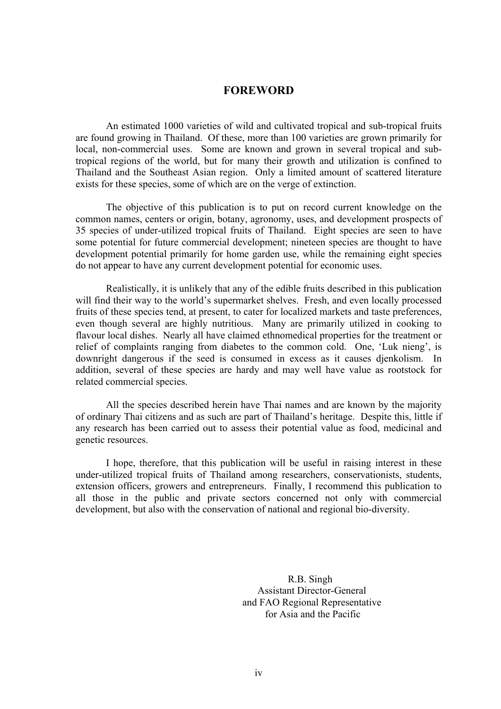## **FOREWORD**

An estimated 1000 varieties of wild and cultivated tropical and sub-tropical fruits are found growing in Thailand. Of these, more than 100 varieties are grown primarily for local, non-commercial uses. Some are known and grown in several tropical and subtropical regions of the world, but for many their growth and utilization is confined to Thailand and the Southeast Asian region. Only a limited amount of scattered literature exists for these species, some of which are on the verge of extinction.

The objective of this publication is to put on record current knowledge on the common names, centers or origin, botany, agronomy, uses, and development prospects of 35 species of under-utilized tropical fruits of Thailand. Eight species are seen to have some potential for future commercial development; nineteen species are thought to have development potential primarily for home garden use, while the remaining eight species do not appear to have any current development potential for economic uses.

Realistically, it is unlikely that any of the edible fruits described in this publication will find their way to the world's supermarket shelves. Fresh, and even locally processed fruits of these species tend, at present, to cater for localized markets and taste preferences, even though several are highly nutritious. Many are primarily utilized in cooking to flavour local dishes. Nearly all have claimed ethnomedical properties for the treatment or relief of complaints ranging from diabetes to the common cold. One, 'Luk nieng', is downright dangerous if the seed is consumed in excess as it causes djenkolism. In addition, several of these species are hardy and may well have value as rootstock for related commercial species.

All the species described herein have Thai names and are known by the majority of ordinary Thai citizens and as such are part of Thailand's heritage. Despite this, little if any research has been carried out to assess their potential value as food, medicinal and genetic resources.

I hope, therefore, that this publication will be useful in raising interest in these under-utilized tropical fruits of Thailand among researchers, conservationists, students, extension officers, growers and entrepreneurs. Finally, I recommend this publication to all those in the public and private sectors concerned not only with commercial development, but also with the conservation of national and regional bio-diversity.

> R.B. Singh Assistant Director-General and FAO Regional Representative for Asia and the Pacific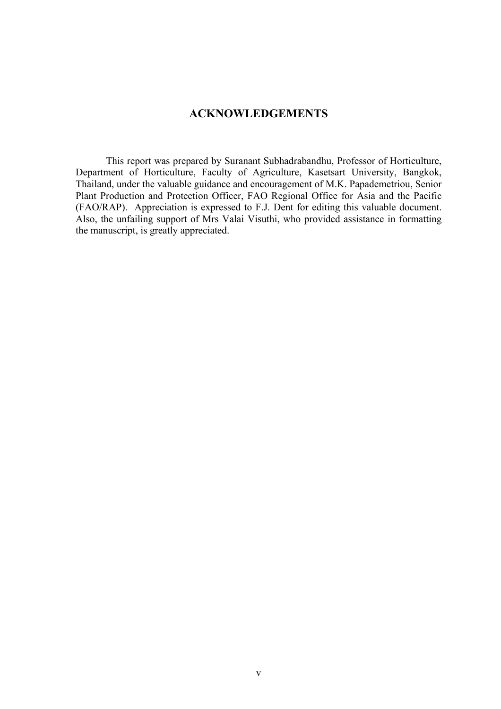## **ACKNOWLEDGEMENTS**

This report was prepared by Suranant Subhadrabandhu, Professor of Horticulture, Department of Horticulture, Faculty of Agriculture, Kasetsart University, Bangkok, Thailand, under the valuable guidance and encouragement of M.K. Papademetriou, Senior Plant Production and Protection Officer, FAO Regional Office for Asia and the Pacific (FAO/RAP). Appreciation is expressed to F.J. Dent for editing this valuable document. Also, the unfailing support of Mrs Valai Visuthi, who provided assistance in formatting the manuscript, is greatly appreciated.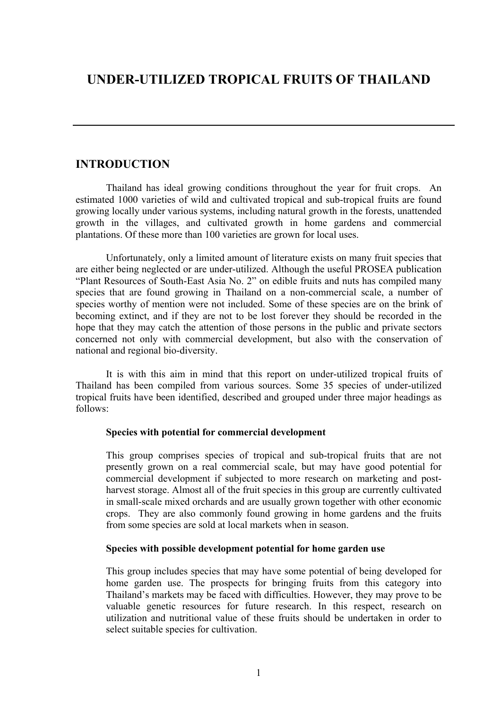## **UNDER-UTILIZED TROPICAL FRUITS OF THAILAND**

## **INTRODUCTION**

Thailand has ideal growing conditions throughout the year for fruit crops. An estimated 1000 varieties of wild and cultivated tropical and sub-tropical fruits are found growing locally under various systems, including natural growth in the forests, unattended growth in the villages, and cultivated growth in home gardens and commercial plantations. Of these more than 100 varieties are grown for local uses.

Unfortunately, only a limited amount of literature exists on many fruit species that are either being neglected or are under-utilized. Although the useful PROSEA publication "Plant Resources of South-East Asia No. 2" on edible fruits and nuts has compiled many species that are found growing in Thailand on a non-commercial scale, a number of species worthy of mention were not included. Some of these species are on the brink of becoming extinct, and if they are not to be lost forever they should be recorded in the hope that they may catch the attention of those persons in the public and private sectors concerned not only with commercial development, but also with the conservation of national and regional bio-diversity.

It is with this aim in mind that this report on under-utilized tropical fruits of Thailand has been compiled from various sources. Some 35 species of under-utilized tropical fruits have been identified, described and grouped under three major headings as follows:

## **Species with potential for commercial development**

This group comprises species of tropical and sub-tropical fruits that are not presently grown on a real commercial scale, but may have good potential for commercial development if subjected to more research on marketing and postharvest storage. Almost all of the fruit species in this group are currently cultivated in small-scale mixed orchards and are usually grown together with other economic crops. They are also commonly found growing in home gardens and the fruits from some species are sold at local markets when in season.

## **Species with possible development potential for home garden use**

This group includes species that may have some potential of being developed for home garden use. The prospects for bringing fruits from this category into Thailand's markets may be faced with difficulties. However, they may prove to be valuable genetic resources for future research. In this respect, research on utilization and nutritional value of these fruits should be undertaken in order to select suitable species for cultivation.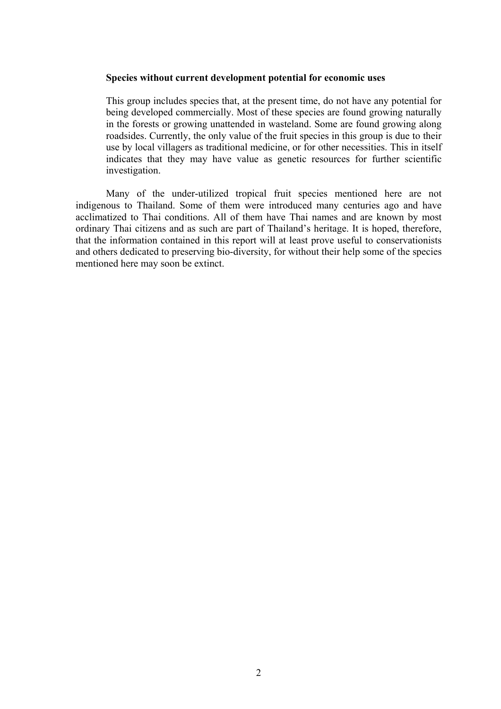#### **Species without current development potential for economic uses**

This group includes species that, at the present time, do not have any potential for being developed commercially. Most of these species are found growing naturally in the forests or growing unattended in wasteland. Some are found growing along roadsides. Currently, the only value of the fruit species in this group is due to their use by local villagers as traditional medicine, or for other necessities. This in itself indicates that they may have value as genetic resources for further scientific investigation.

Many of the under-utilized tropical fruit species mentioned here are not indigenous to Thailand. Some of them were introduced many centuries ago and have acclimatized to Thai conditions. All of them have Thai names and are known by most ordinary Thai citizens and as such are part of Thailand's heritage. It is hoped, therefore, that the information contained in this report will at least prove useful to conservationists and others dedicated to preserving bio-diversity, for without their help some of the species mentioned here may soon be extinct.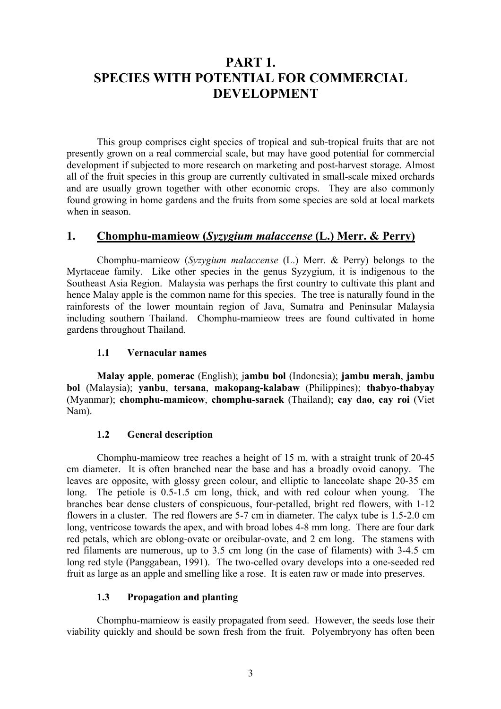## **PART 1. SPECIES WITH POTENTIAL FOR COMMERCIAL DEVELOPMENT**

This group comprises eight species of tropical and sub-tropical fruits that are not presently grown on a real commercial scale, but may have good potential for commercial development if subjected to more research on marketing and post-harvest storage. Almost all of the fruit species in this group are currently cultivated in small-scale mixed orchards and are usually grown together with other economic crops. They are also commonly found growing in home gardens and the fruits from some species are sold at local markets when in season.

## **1. Chomphu-mamieow (***Syzygium malaccense* **(L.) Merr. & Perry)**

Chomphu-mamieow (*Syzygium malaccense* (L.) Merr. & Perry) belongs to the Myrtaceae family. Like other species in the genus Syzygium, it is indigenous to the Southeast Asia Region. Malaysia was perhaps the first country to cultivate this plant and hence Malay apple is the common name for this species. The tree is naturally found in the rainforests of the lower mountain region of Java, Sumatra and Peninsular Malaysia including southern Thailand. Chomphu-mamieow trees are found cultivated in home gardens throughout Thailand.

## **1.1 Vernacular names**

**Malay apple**, **pomerac** (English); j**ambu bol** (Indonesia); **jambu merah**, **jambu bol** (Malaysia); **yanbu**, **tersana**, **makopang-kalabaw** (Philippines); **thabyo-thabyay** (Myanmar); **chomphu-mamieow**, **chomphu-saraek** (Thailand); **cay dao**, **cay roi** (Viet Nam).

## **1.2 General description**

Chomphu-mamieow tree reaches a height of 15 m, with a straight trunk of 20-45 cm diameter. It is often branched near the base and has a broadly ovoid canopy. The leaves are opposite, with glossy green colour, and elliptic to lanceolate shape 20-35 cm long. The petiole is 0.5-1.5 cm long, thick, and with red colour when young. The branches bear dense clusters of conspicuous, four-petalled, bright red flowers, with 1-12 flowers in a cluster. The red flowers are 5-7 cm in diameter. The calyx tube is 1.5-2.0 cm long, ventricose towards the apex, and with broad lobes 4-8 mm long. There are four dark red petals, which are oblong-ovate or orcibular-ovate, and 2 cm long. The stamens with red filaments are numerous, up to 3.5 cm long (in the case of filaments) with 3-4.5 cm long red style (Panggabean, 1991). The two-celled ovary develops into a one-seeded red fruit as large as an apple and smelling like a rose. It is eaten raw or made into preserves.

## **1.3 Propagation and planting**

Chomphu-mamieow is easily propagated from seed. However, the seeds lose their viability quickly and should be sown fresh from the fruit. Polyembryony has often been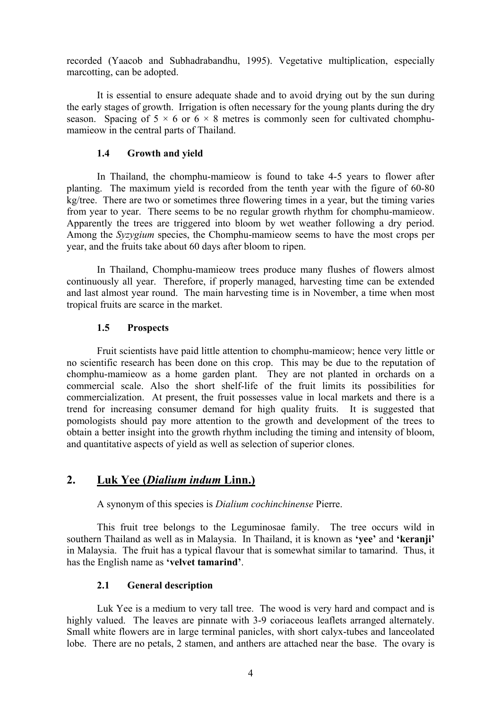recorded (Yaacob and Subhadrabandhu, 1995). Vegetative multiplication, especially marcotting, can be adopted.

It is essential to ensure adequate shade and to avoid drying out by the sun during the early stages of growth. Irrigation is often necessary for the young plants during the dry season. Spacing of  $5 \times 6$  or  $6 \times 8$  metres is commonly seen for cultivated chomphumamieow in the central parts of Thailand.

## **1.4 Growth and yield**

In Thailand, the chomphu-mamieow is found to take 4-5 years to flower after planting. The maximum yield is recorded from the tenth year with the figure of 60-80 kg/tree. There are two or sometimes three flowering times in a year, but the timing varies from year to year. There seems to be no regular growth rhythm for chomphu-mamieow. Apparently the trees are triggered into bloom by wet weather following a dry period. Among the *Syzygium* species, the Chomphu-mamieow seems to have the most crops per year, and the fruits take about 60 days after bloom to ripen.

In Thailand, Chomphu-mamieow trees produce many flushes of flowers almost continuously all year. Therefore, if properly managed, harvesting time can be extended and last almost year round. The main harvesting time is in November, a time when most tropical fruits are scarce in the market.

## **1.5 Prospects**

Fruit scientists have paid little attention to chomphu-mamieow; hence very little or no scientific research has been done on this crop. This may be due to the reputation of chomphu-mamieow as a home garden plant. They are not planted in orchards on a commercial scale. Also the short shelf-life of the fruit limits its possibilities for commercialization. At present, the fruit possesses value in local markets and there is a trend for increasing consumer demand for high quality fruits. It is suggested that pomologists should pay more attention to the growth and development of the trees to obtain a better insight into the growth rhythm including the timing and intensity of bloom, and quantitative aspects of yield as well as selection of superior clones.

## **2. Luk Yee (***Dialium indum* **Linn.)**

A synonym of this species is *Dialium cochinchinense* Pierre.

This fruit tree belongs to the Leguminosae family. The tree occurs wild in southern Thailand as well as in Malaysia. In Thailand, it is known as **'yee'** and **'keranji'** in Malaysia. The fruit has a typical flavour that is somewhat similar to tamarind. Thus, it has the English name as **'velvet tamarind'**.

## **2.1 General description**

Luk Yee is a medium to very tall tree. The wood is very hard and compact and is highly valued. The leaves are pinnate with 3-9 coriaceous leaflets arranged alternately. Small white flowers are in large terminal panicles, with short calyx-tubes and lanceolated lobe. There are no petals, 2 stamen, and anthers are attached near the base. The ovary is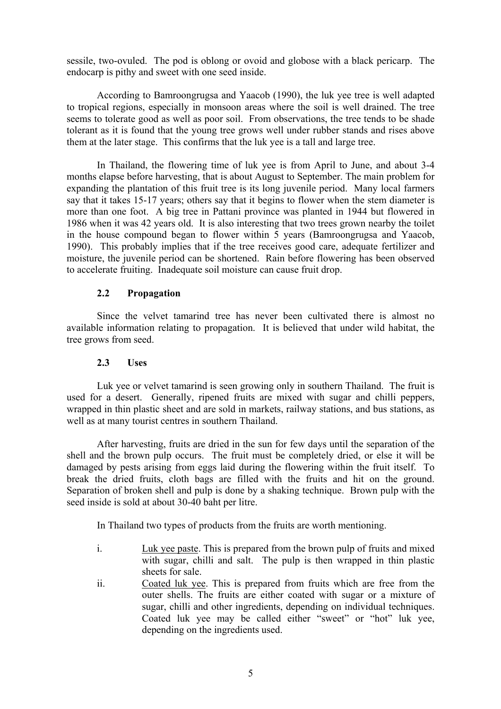sessile, two-ovuled. The pod is oblong or ovoid and globose with a black pericarp. The endocarp is pithy and sweet with one seed inside.

According to Bamroongrugsa and Yaacob (1990), the luk yee tree is well adapted to tropical regions, especially in monsoon areas where the soil is well drained. The tree seems to tolerate good as well as poor soil. From observations, the tree tends to be shade tolerant as it is found that the young tree grows well under rubber stands and rises above them at the later stage. This confirms that the luk yee is a tall and large tree.

In Thailand, the flowering time of luk yee is from April to June, and about 3-4 months elapse before harvesting, that is about August to September. The main problem for expanding the plantation of this fruit tree is its long juvenile period. Many local farmers say that it takes 15-17 years; others say that it begins to flower when the stem diameter is more than one foot. A big tree in Pattani province was planted in 1944 but flowered in 1986 when it was 42 years old. It is also interesting that two trees grown nearby the toilet in the house compound began to flower within 5 years (Bamroongrugsa and Yaacob, 1990). This probably implies that if the tree receives good care, adequate fertilizer and moisture, the juvenile period can be shortened. Rain before flowering has been observed to accelerate fruiting. Inadequate soil moisture can cause fruit drop.

## **2.2 Propagation**

Since the velvet tamarind tree has never been cultivated there is almost no available information relating to propagation. It is believed that under wild habitat, the tree grows from seed.

## **2.3 Uses**

Luk yee or velvet tamarind is seen growing only in southern Thailand. The fruit is used for a desert. Generally, ripened fruits are mixed with sugar and chilli peppers, wrapped in thin plastic sheet and are sold in markets, railway stations, and bus stations, as well as at many tourist centres in southern Thailand.

After harvesting, fruits are dried in the sun for few days until the separation of the shell and the brown pulp occurs. The fruit must be completely dried, or else it will be damaged by pests arising from eggs laid during the flowering within the fruit itself. To break the dried fruits, cloth bags are filled with the fruits and hit on the ground. Separation of broken shell and pulp is done by a shaking technique. Brown pulp with the seed inside is sold at about 30-40 baht per litre.

In Thailand two types of products from the fruits are worth mentioning.

- i. Luk yee paste. This is prepared from the brown pulp of fruits and mixed with sugar, chilli and salt. The pulp is then wrapped in thin plastic sheets for sale.
- ii. Coated luk yee. This is prepared from fruits which are free from the outer shells. The fruits are either coated with sugar or a mixture of sugar, chilli and other ingredients, depending on individual techniques. Coated luk yee may be called either "sweet" or "hot" luk yee, depending on the ingredients used.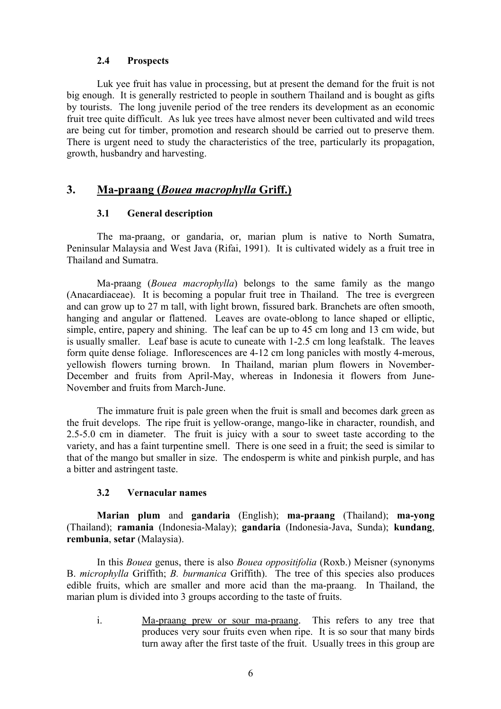## **2.4 Prospects**

Luk yee fruit has value in processing, but at present the demand for the fruit is not big enough. It is generally restricted to people in southern Thailand and is bought as gifts by tourists. The long juvenile period of the tree renders its development as an economic fruit tree quite difficult. As luk yee trees have almost never been cultivated and wild trees are being cut for timber, promotion and research should be carried out to preserve them. There is urgent need to study the characteristics of the tree, particularly its propagation, growth, husbandry and harvesting.

## **3. Ma-praang (***Bouea macrophylla* **Griff.)**

## **3.1 General description**

The ma-praang, or gandaria, or, marian plum is native to North Sumatra, Peninsular Malaysia and West Java (Rifai, 1991). It is cultivated widely as a fruit tree in Thailand and Sumatra.

Ma-praang (*Bouea macrophylla*) belongs to the same family as the mango (Anacardiaceae). It is becoming a popular fruit tree in Thailand. The tree is evergreen and can grow up to 27 m tall, with light brown, fissured bark. Branchets are often smooth, hanging and angular or flattened. Leaves are ovate-oblong to lance shaped or elliptic, simple, entire, papery and shining. The leaf can be up to 45 cm long and 13 cm wide, but is usually smaller. Leaf base is acute to cuneate with 1-2.5 cm long leafstalk. The leaves form quite dense foliage. Inflorescences are 4-12 cm long panicles with mostly 4-merous, yellowish flowers turning brown. In Thailand, marian plum flowers in November-December and fruits from April-May, whereas in Indonesia it flowers from June-November and fruits from March-June.

The immature fruit is pale green when the fruit is small and becomes dark green as the fruit develops. The ripe fruit is yellow-orange, mango-like in character, roundish, and 2.5-5.0 cm in diameter. The fruit is juicy with a sour to sweet taste according to the variety, and has a faint turpentine smell. There is one seed in a fruit; the seed is similar to that of the mango but smaller in size. The endosperm is white and pinkish purple, and has a bitter and astringent taste.

## **3.2 Vernacular names**

**Marian plum** and **gandaria** (English); **ma-praang** (Thailand); **ma-yong** (Thailand); **ramania** (Indonesia-Malay); **gandaria** (Indonesia-Java, Sunda); **kundang**, **rembunia**, **setar** (Malaysia).

In this *Bouea* genus, there is also *Bouea oppositifolia* (Roxb.) Meisner (synonyms B. *microphylla* Griffith; *B. burmanica* Griffith). The tree of this species also produces edible fruits, which are smaller and more acid than the ma-praang. In Thailand, the marian plum is divided into 3 groups according to the taste of fruits.

i. Ma-praang prew or sour ma-praang. This refers to any tree that produces very sour fruits even when ripe. It is so sour that many birds turn away after the first taste of the fruit. Usually trees in this group are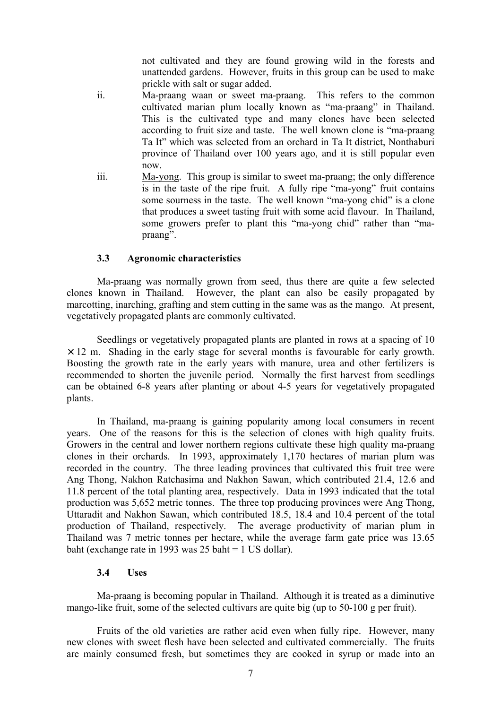not cultivated and they are found growing wild in the forests and unattended gardens. However, fruits in this group can be used to make prickle with salt or sugar added.

- ii. Ma-praang waan or sweet ma-praang. This refers to the common cultivated marian plum locally known as "ma-praang" in Thailand. This is the cultivated type and many clones have been selected according to fruit size and taste. The well known clone is "ma-praang Ta It" which was selected from an orchard in Ta It district, Nonthaburi province of Thailand over 100 years ago, and it is still popular even now.
- iii. Ma-yong. This group is similar to sweet ma-praang; the only difference is in the taste of the ripe fruit. A fully ripe "ma-yong" fruit contains some sourness in the taste. The well known "ma-yong chid" is a clone that produces a sweet tasting fruit with some acid flavour. In Thailand, some growers prefer to plant this "ma-yong chid" rather than "mapraang".

## **3.3 Agronomic characteristics**

Ma-praang was normally grown from seed, thus there are quite a few selected clones known in Thailand. However, the plant can also be easily propagated by marcotting, inarching, grafting and stem cutting in the same was as the mango. At present, vegetatively propagated plants are commonly cultivated.

Seedlings or vegetatively propagated plants are planted in rows at a spacing of 10  $\times$  12 m. Shading in the early stage for several months is favourable for early growth. Boosting the growth rate in the early years with manure, urea and other fertilizers is recommended to shorten the juvenile period. Normally the first harvest from seedlings can be obtained 6-8 years after planting or about 4-5 years for vegetatively propagated plants.

In Thailand, ma-praang is gaining popularity among local consumers in recent years. One of the reasons for this is the selection of clones with high quality fruits. Growers in the central and lower northern regions cultivate these high quality ma-praang clones in their orchards. In 1993, approximately 1,170 hectares of marian plum was recorded in the country. The three leading provinces that cultivated this fruit tree were Ang Thong, Nakhon Ratchasima and Nakhon Sawan, which contributed 21.4, 12.6 and 11.8 percent of the total planting area, respectively. Data in 1993 indicated that the total production was 5,652 metric tonnes. The three top producing provinces were Ang Thong, Uttaradit and Nakhon Sawan, which contributed 18.5, 18.4 and 10.4 percent of the total production of Thailand, respectively. The average productivity of marian plum in Thailand was 7 metric tonnes per hectare, while the average farm gate price was 13.65 baht (exchange rate in 1993 was 25 baht = 1 US dollar).

## **3.4 Uses**

Ma-praang is becoming popular in Thailand. Although it is treated as a diminutive mango-like fruit, some of the selected cultivars are quite big (up to 50-100 g per fruit).

Fruits of the old varieties are rather acid even when fully ripe. However, many new clones with sweet flesh have been selected and cultivated commercially. The fruits are mainly consumed fresh, but sometimes they are cooked in syrup or made into an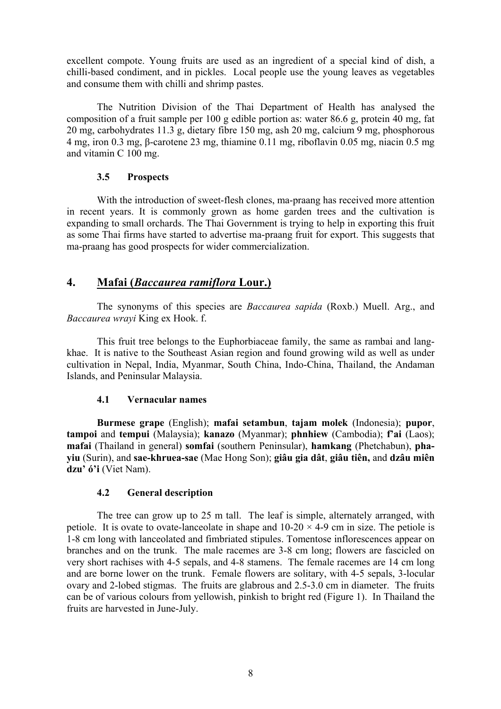excellent compote. Young fruits are used as an ingredient of a special kind of dish, a chilli-based condiment, and in pickles. Local people use the young leaves as vegetables and consume them with chilli and shrimp pastes.

The Nutrition Division of the Thai Department of Health has analysed the composition of a fruit sample per 100 g edible portion as: water 86.6 g, protein 40 mg, fat 20 mg, carbohydrates 11.3 g, dietary fibre 150 mg, ash 20 mg, calcium 9 mg, phosphorous 4 mg, iron 0.3 mg, β-carotene 23 mg, thiamine 0.11 mg, riboflavin 0.05 mg, niacin 0.5 mg and vitamin C 100 mg.

## **3.5 Prospects**

With the introduction of sweet-flesh clones, ma-praang has received more attention in recent years. It is commonly grown as home garden trees and the cultivation is expanding to small orchards. The Thai Government is trying to help in exporting this fruit as some Thai firms have started to advertise ma-praang fruit for export. This suggests that ma-praang has good prospects for wider commercialization.

## **4. Mafai (***Baccaurea ramiflora* **Lour.)**

The synonyms of this species are *Baccaurea sapida* (Roxb.) Muell. Arg., and *Baccaurea wrayi* King ex Hook. f.

This fruit tree belongs to the Euphorbiaceae family, the same as rambai and langkhae. It is native to the Southeast Asian region and found growing wild as well as under cultivation in Nepal, India, Myanmar, South China, Indo-China, Thailand, the Andaman Islands, and Peninsular Malaysia.

## **4.1 Vernacular names**

**Burmese grape** (English); **mafai setambun**, **tajam molek** (Indonesia); **pupor**, **tampoi** and **tempui** (Malaysia); **kanazo** (Myanmar); **phnhiew** (Cambodia); **f'ai** (Laos); **mafai** (Thailand in general) **somfai** (southern Peninsular), **hamkang** (Phetchabun), **phayiu** (Surin), and **sae-khruea-sae** (Mae Hong Son); **giâu gia dât**, **giâu tiên,** and **dzâu miên dzu' ó'i** (Viet Nam).

## **4.2 General description**

The tree can grow up to 25 m tall. The leaf is simple, alternately arranged, with petiole. It is ovate to ovate-lanceolate in shape and  $10-20 \times 4-9$  cm in size. The petiole is 1-8 cm long with lanceolated and fimbriated stipules. Tomentose inflorescences appear on branches and on the trunk. The male racemes are 3-8 cm long; flowers are fascicled on very short rachises with 4-5 sepals, and 4-8 stamens. The female racemes are 14 cm long and are borne lower on the trunk. Female flowers are solitary, with 4-5 sepals, 3-locular ovary and 2-lobed stigmas. The fruits are glabrous and 2.5-3.0 cm in diameter. The fruits can be of various colours from yellowish, pinkish to bright red (Figure 1). In Thailand the fruits are harvested in June-July.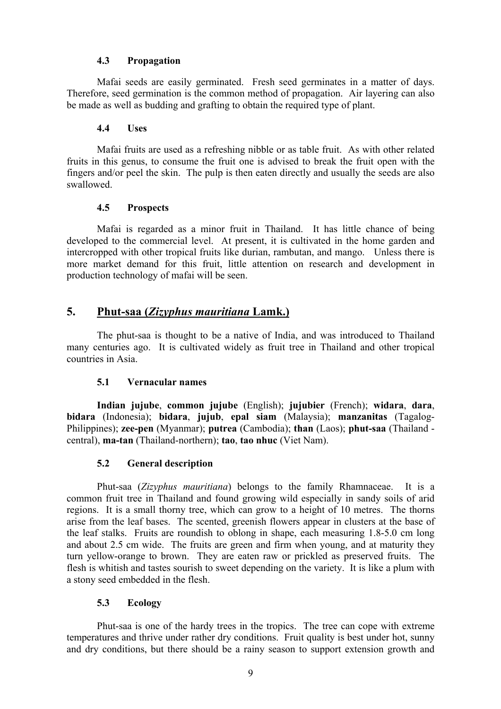## **4.3 Propagation**

Mafai seeds are easily germinated. Fresh seed germinates in a matter of days. Therefore, seed germination is the common method of propagation. Air layering can also be made as well as budding and grafting to obtain the required type of plant.

## **4.4 Uses**

Mafai fruits are used as a refreshing nibble or as table fruit. As with other related fruits in this genus, to consume the fruit one is advised to break the fruit open with the fingers and/or peel the skin. The pulp is then eaten directly and usually the seeds are also swallowed.

## **4.5 Prospects**

Mafai is regarded as a minor fruit in Thailand. It has little chance of being developed to the commercial level. At present, it is cultivated in the home garden and intercropped with other tropical fruits like durian, rambutan, and mango. Unless there is more market demand for this fruit, little attention on research and development in production technology of mafai will be seen.

## **5. Phut-saa (***Zizyphus mauritiana* **Lamk.)**

The phut-saa is thought to be a native of India, and was introduced to Thailand many centuries ago. It is cultivated widely as fruit tree in Thailand and other tropical countries in Asia.

## **5.1 Vernacular names**

**Indian jujube**, **common jujube** (English); **jujubier** (French); **widara**, **dara**, **bidara** (Indonesia); **bidara**, **jujub**, **epal siam** (Malaysia); **manzanitas** (Tagalog-Philippines); **zee-pen** (Myanmar); **putrea** (Cambodia); **than** (Laos); **phut-saa** (Thailand central), **ma-tan** (Thailand-northern); **tao**, **tao nhuc** (Viet Nam).

## **5.2 General description**

Phut-saa (*Zizyphus mauritiana*) belongs to the family Rhamnaceae. It is a common fruit tree in Thailand and found growing wild especially in sandy soils of arid regions. It is a small thorny tree, which can grow to a height of 10 metres. The thorns arise from the leaf bases. The scented, greenish flowers appear in clusters at the base of the leaf stalks. Fruits are roundish to oblong in shape, each measuring 1.8-5.0 cm long and about 2.5 cm wide. The fruits are green and firm when young, and at maturity they turn yellow-orange to brown. They are eaten raw or prickled as preserved fruits. The flesh is whitish and tastes sourish to sweet depending on the variety. It is like a plum with a stony seed embedded in the flesh.

## **5.3 Ecology**

Phut-saa is one of the hardy trees in the tropics. The tree can cope with extreme temperatures and thrive under rather dry conditions. Fruit quality is best under hot, sunny and dry conditions, but there should be a rainy season to support extension growth and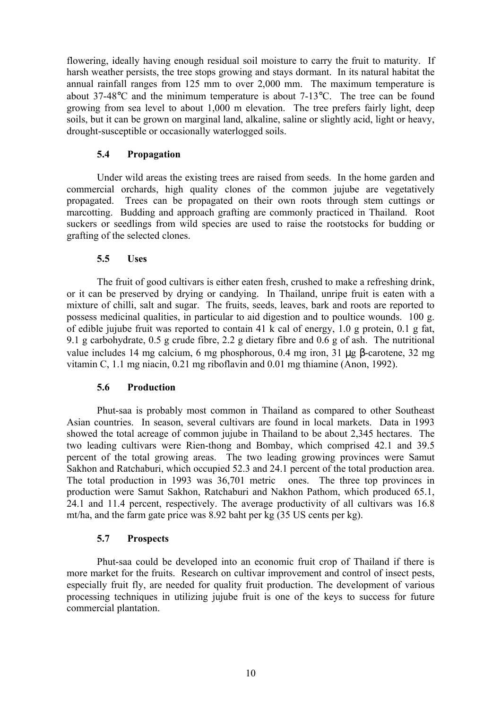flowering, ideally having enough residual soil moisture to carry the fruit to maturity. If harsh weather persists, the tree stops growing and stays dormant. In its natural habitat the annual rainfall ranges from 125 mm to over 2,000 mm. The maximum temperature is about 37-48°C and the minimum temperature is about 7-13°C. The tree can be found growing from sea level to about 1,000 m elevation. The tree prefers fairly light, deep soils, but it can be grown on marginal land, alkaline, saline or slightly acid, light or heavy, drought-susceptible or occasionally waterlogged soils.

## **5.4 Propagation**

Under wild areas the existing trees are raised from seeds. In the home garden and commercial orchards, high quality clones of the common jujube are vegetatively propagated. Trees can be propagated on their own roots through stem cuttings or marcotting. Budding and approach grafting are commonly practiced in Thailand. Root suckers or seedlings from wild species are used to raise the rootstocks for budding or grafting of the selected clones.

## **5.5 Uses**

The fruit of good cultivars is either eaten fresh, crushed to make a refreshing drink, or it can be preserved by drying or candying. In Thailand, unripe fruit is eaten with a mixture of chilli, salt and sugar. The fruits, seeds, leaves, bark and roots are reported to possess medicinal qualities, in particular to aid digestion and to poultice wounds. 100 g. of edible jujube fruit was reported to contain 41 k cal of energy, 1.0 g protein, 0.1 g fat, 9.1 g carbohydrate, 0.5 g crude fibre, 2.2 g dietary fibre and 0.6 g of ash. The nutritional value includes 14 mg calcium, 6 mg phosphorous, 0.4 mg iron, 31 µg β-carotene, 32 mg vitamin C, 1.1 mg niacin, 0.21 mg riboflavin and 0.01 mg thiamine (Anon, 1992).

## **5.6 Production**

Phut-saa is probably most common in Thailand as compared to other Southeast Asian countries. In season, several cultivars are found in local markets. Data in 1993 showed the total acreage of common jujube in Thailand to be about 2,345 hectares. The two leading cultivars were Rien-thong and Bombay, which comprised 42.1 and 39.5 percent of the total growing areas. The two leading growing provinces were Samut Sakhon and Ratchaburi, which occupied 52.3 and 24.1 percent of the total production area. The total production in 1993 was 36,701 metric ones. The three top provinces in production were Samut Sakhon, Ratchaburi and Nakhon Pathom, which produced 65.1, 24.1 and 11.4 percent, respectively. The average productivity of all cultivars was 16.8 mt/ha, and the farm gate price was 8.92 baht per kg (35 US cents per kg).

## **5.7 Prospects**

Phut-saa could be developed into an economic fruit crop of Thailand if there is more market for the fruits. Research on cultivar improvement and control of insect pests, especially fruit fly, are needed for quality fruit production. The development of various processing techniques in utilizing jujube fruit is one of the keys to success for future commercial plantation.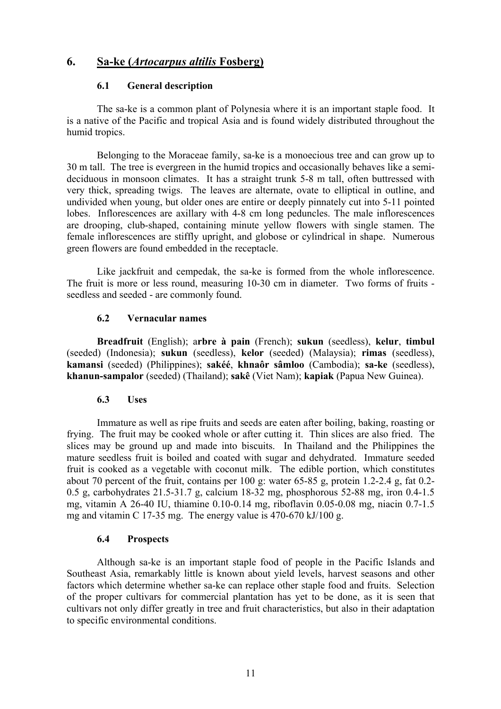## **6. Sa-ke (***Artocarpus altilis* **Fosberg)**

## **6.1 General description**

The sa-ke is a common plant of Polynesia where it is an important staple food. It is a native of the Pacific and tropical Asia and is found widely distributed throughout the humid tropics.

Belonging to the Moraceae family, sa-ke is a monoecious tree and can grow up to 30 m tall. The tree is evergreen in the humid tropics and occasionally behaves like a semideciduous in monsoon climates. It has a straight trunk 5-8 m tall, often buttressed with very thick, spreading twigs. The leaves are alternate, ovate to elliptical in outline, and undivided when young, but older ones are entire or deeply pinnately cut into 5-11 pointed lobes. Inflorescences are axillary with 4-8 cm long peduncles. The male inflorescences are drooping, club-shaped, containing minute yellow flowers with single stamen. The female inflorescences are stiffly upright, and globose or cylindrical in shape. Numerous green flowers are found embedded in the receptacle.

Like jackfruit and cempedak, the sa-ke is formed from the whole inflorescence. The fruit is more or less round, measuring 10-30 cm in diameter. Two forms of fruits seedless and seeded - are commonly found.

## **6.2 Vernacular names**

**Breadfruit** (English); a**rbre à pain** (French); **sukun** (seedless), **kelur**, **timbul** (seeded) (Indonesia); **sukun** (seedless), **kelor** (seeded) (Malaysia); **rimas** (seedless), **kamansi** (seeded) (Philippines); **sakéé**, **khnaôr sâmloo** (Cambodia); **sa-ke** (seedless), **khanun-sampalor** (seeded) (Thailand); **sakê** (Viet Nam); **kapiak** (Papua New Guinea).

## **6.3 Uses**

Immature as well as ripe fruits and seeds are eaten after boiling, baking, roasting or frying. The fruit may be cooked whole or after cutting it. Thin slices are also fried. The slices may be ground up and made into biscuits. In Thailand and the Philippines the mature seedless fruit is boiled and coated with sugar and dehydrated. Immature seeded fruit is cooked as a vegetable with coconut milk. The edible portion, which constitutes about 70 percent of the fruit, contains per 100 g: water 65-85 g, protein 1.2-2.4 g, fat 0.2- 0.5 g, carbohydrates 21.5-31.7 g, calcium 18-32 mg, phosphorous 52-88 mg, iron 0.4-1.5 mg, vitamin A 26-40 IU, thiamine 0.10-0.14 mg, riboflavin 0.05-0.08 mg, niacin 0.7-1.5 mg and vitamin C 17-35 mg. The energy value is 470-670 kJ/100 g.

## **6.4 Prospects**

Although sa-ke is an important staple food of people in the Pacific Islands and Southeast Asia, remarkably little is known about yield levels, harvest seasons and other factors which determine whether sa-ke can replace other staple food and fruits. Selection of the proper cultivars for commercial plantation has yet to be done, as it is seen that cultivars not only differ greatly in tree and fruit characteristics, but also in their adaptation to specific environmental conditions.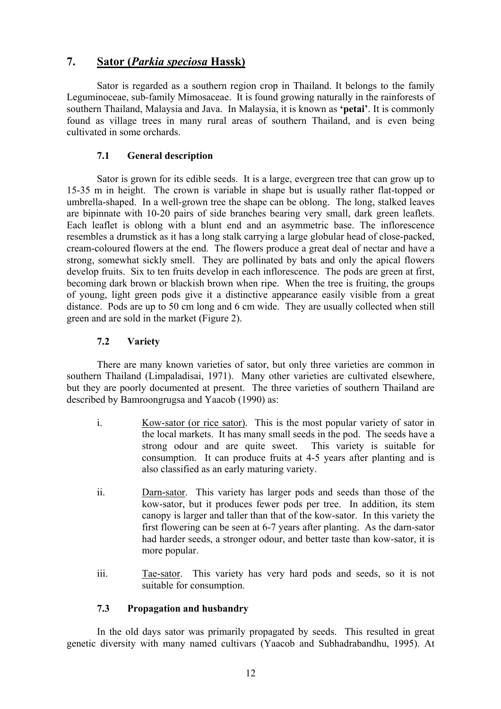## **7. Sator (***Parkia speciosa* **Hassk)**

Sator is regarded as a southern region crop in Thailand. It belongs to the family Leguminoceae, sub-family Mimosaceae. It is found growing naturally in the rainforests of southern Thailand, Malaysia and Java. In Malaysia, it is known as **'petai'**. It is commonly found as village trees in many rural areas of southern Thailand, and is even being cultivated in some orchards.

## **7.1 General description**

Sator is grown for its edible seeds. It is a large, evergreen tree that can grow up to 15-35 m in height. The crown is variable in shape but is usually rather flat-topped or umbrella-shaped. In a well-grown tree the shape can be oblong. The long, stalked leaves are bipinnate with 10-20 pairs of side branches bearing very small, dark green leaflets. Each leaflet is oblong with a blunt end and an asymmetric base. The inflorescence resembles a drumstick as it has a long stalk carrying a large globular head of close-packed, cream-coloured flowers at the end. The flowers produce a great deal of nectar and have a strong, somewhat sickly smell. They are pollinated by bats and only the apical flowers develop fruits. Six to ten fruits develop in each inflorescence. The pods are green at first, becoming dark brown or blackish brown when ripe. When the tree is fruiting, the groups of young, light green pods give it a distinctive appearance easily visible from a great distance. Pods are up to 50 cm long and 6 cm wide. They are usually collected when still green and are sold in the market (Figure 2).

## **7.2 Variety**

There are many known varieties of sator, but only three varieties are common in southern Thailand (Limpaladisai, 1971). Many other varieties are cultivated elsewhere, but they are poorly documented at present. The three varieties of southern Thailand are described by Bamroongrugsa and Yaacob (1990) as:

- i. Kow-sator (or rice sator). This is the most popular variety of sator in the local markets. It has many small seeds in the pod. The seeds have a strong odour and are quite sweet. This variety is suitable for consumption. It can produce fruits at 4-5 years after planting and is also classified as an early maturing variety.
- ii. Darn-sator. This variety has larger pods and seeds than those of the kow-sator, but it produces fewer pods per tree. In addition, its stem canopy is larger and taller than that of the kow-sator. In this variety the first flowering can be seen at 6-7 years after planting. As the darn-sator had harder seeds, a stronger odour, and better taste than kow-sator, it is more popular.
- iii. Tae-sator. This variety has very hard pods and seeds, so it is not suitable for consumption.

## **7.3 Propagation and husbandry**

In the old days sator was primarily propagated by seeds. This resulted in great genetic diversity with many named cultivars (Yaacob and Subhadrabandhu, 1995). At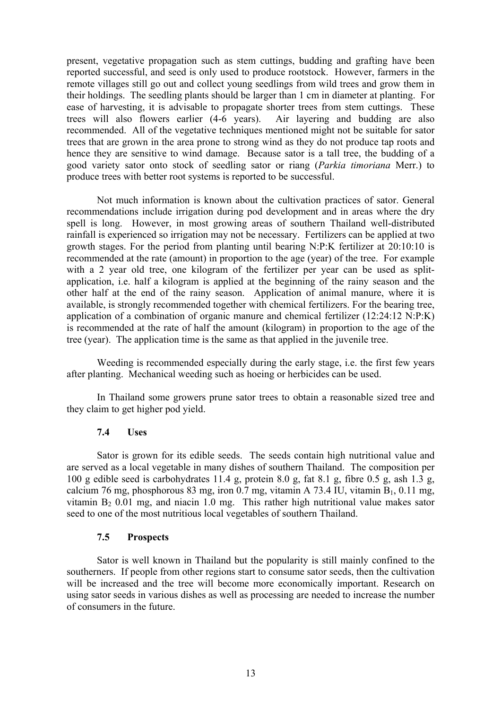present, vegetative propagation such as stem cuttings, budding and grafting have been reported successful, and seed is only used to produce rootstock. However, farmers in the remote villages still go out and collect young seedlings from wild trees and grow them in their holdings. The seedling plants should be larger than 1 cm in diameter at planting. For ease of harvesting, it is advisable to propagate shorter trees from stem cuttings. These trees will also flowers earlier (4-6 years). Air layering and budding are also recommended. All of the vegetative techniques mentioned might not be suitable for sator trees that are grown in the area prone to strong wind as they do not produce tap roots and hence they are sensitive to wind damage. Because sator is a tall tree, the budding of a good variety sator onto stock of seedling sator or riang (*Parkia timoriana* Merr.) to produce trees with better root systems is reported to be successful.

Not much information is known about the cultivation practices of sator. General recommendations include irrigation during pod development and in areas where the dry spell is long. However, in most growing areas of southern Thailand well-distributed rainfall is experienced so irrigation may not be necessary. Fertilizers can be applied at two growth stages. For the period from planting until bearing N:P:K fertilizer at 20:10:10 is recommended at the rate (amount) in proportion to the age (year) of the tree. For example with a 2 year old tree, one kilogram of the fertilizer per year can be used as splitapplication, i.e. half a kilogram is applied at the beginning of the rainy season and the other half at the end of the rainy season. Application of animal manure, where it is available, is strongly recommended together with chemical fertilizers. For the bearing tree, application of a combination of organic manure and chemical fertilizer (12:24:12 N:P:K) is recommended at the rate of half the amount (kilogram) in proportion to the age of the tree (year). The application time is the same as that applied in the juvenile tree.

Weeding is recommended especially during the early stage, i.e. the first few years after planting. Mechanical weeding such as hoeing or herbicides can be used.

In Thailand some growers prune sator trees to obtain a reasonable sized tree and they claim to get higher pod yield.

#### **7.4 Uses**

Sator is grown for its edible seeds. The seeds contain high nutritional value and are served as a local vegetable in many dishes of southern Thailand. The composition per 100 g edible seed is carbohydrates 11.4 g, protein 8.0 g, fat 8.1 g, fibre 0.5 g, ash 1.3 g, calcium 76 mg, phosphorous 83 mg, iron 0.7 mg, vitamin A 73.4 IU, vitamin  $B_1$ , 0.11 mg, vitamin  $B_2$  0.01 mg, and niacin 1.0 mg. This rather high nutritional value makes sator seed to one of the most nutritious local vegetables of southern Thailand.

#### **7.5 Prospects**

Sator is well known in Thailand but the popularity is still mainly confined to the southerners. If people from other regions start to consume sator seeds, then the cultivation will be increased and the tree will become more economically important. Research on using sator seeds in various dishes as well as processing are needed to increase the number of consumers in the future.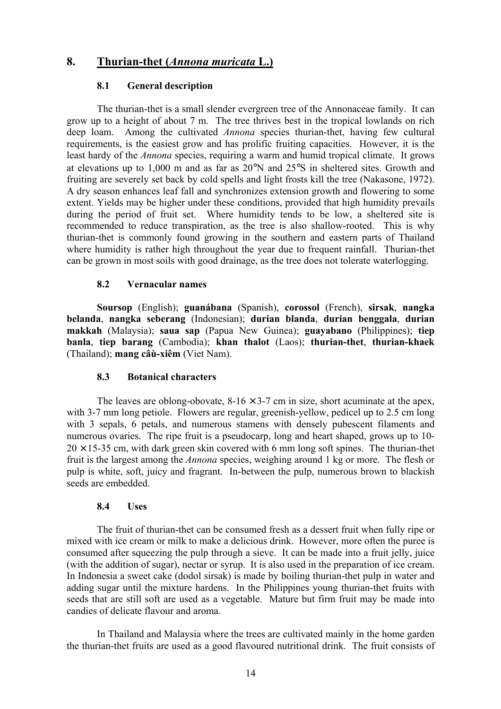## **8. Thurian-thet (***Annona muricata* **L.)**

## **8.1 General description**

The thurian-thet is a small slender evergreen tree of the Annonaceae family. It can grow up to a height of about 7 m. The tree thrives best in the tropical lowlands on rich deep loam. Among the cultivated *Annona* species thurian-thet, having few cultural requirements, is the easiest grow and has prolific fruiting capacities. However, it is the least hardy of the *Annona* species, requiring a warm and humid tropical climate. It grows at elevations up to 1,000 m and as far as 20°N and 25°S in sheltered sites. Growth and fruiting are severely set back by cold spells and light frosts kill the tree (Nakasone, 1972). A dry season enhances leaf fall and synchronizes extension growth and flowering to some extent. Yields may be higher under these conditions, provided that high humidity prevails during the period of fruit set. Where humidity tends to be low, a sheltered site is recommended to reduce transpiration, as the tree is also shallow-rooted. This is why thurian-thet is commonly found growing in the southern and eastern parts of Thailand where humidity is rather high throughout the year due to frequent rainfall. Thurian-thet can be grown in most soils with good drainage, as the tree does not tolerate waterlogging.

## **8.2 Vernacular names**

**Soursop** (English); **guanábana** (Spanish), **corossol** (French), **sirsak**, **nangka belanda**, **nangka seberang** (Indonesian); **durian blanda**, **durian benggala**, **durian makkah** (Malaysia); **saua sap** (Papua New Guinea); **guayabano** (Philippines); **tiep banla**, **tiep barang** (Cambodia); **khan thalot** (Laos); **thurian-thet**, **thurian-khaek** (Thailand); **mang câù-xiêm** (Viet Nam).

## **8.3 Botanical characters**

The leaves are oblong-obovate,  $8-16 \times 3-7$  cm in size, short acuminate at the apex, with 3-7 mm long petiole. Flowers are regular, greenish-yellow, pedicel up to 2.5 cm long with 3 sepals, 6 petals, and numerous stamens with densely pubescent filaments and numerous ovaries. The ripe fruit is a pseudocarp, long and heart shaped, grows up to 10-  $20 \times 15$ -35 cm, with dark green skin covered with 6 mm long soft spines. The thurian-thet fruit is the largest among the *Annona* species, weighing around 1 kg or more. The flesh or pulp is white, soft, juicy and fragrant. In-between the pulp, numerous brown to blackish seeds are embedded.

## **8.4 Uses**

The fruit of thurian-thet can be consumed fresh as a dessert fruit when fully ripe or mixed with ice cream or milk to make a delicious drink. However, more often the puree is consumed after squeezing the pulp through a sieve. It can be made into a fruit jelly, juice (with the addition of sugar), nectar or syrup. It is also used in the preparation of ice cream. In Indonesia a sweet cake (dodol sirsak) is made by boiling thurian-thet pulp in water and adding sugar until the mixture hardens. In the Philippines young thurian-thet fruits with seeds that are still soft are used as a vegetable. Mature but firm fruit may be made into candies of delicate flavour and aroma.

In Thailand and Malaysia where the trees are cultivated mainly in the home garden the thurian-thet fruits are used as a good flavoured nutritional drink. The fruit consists of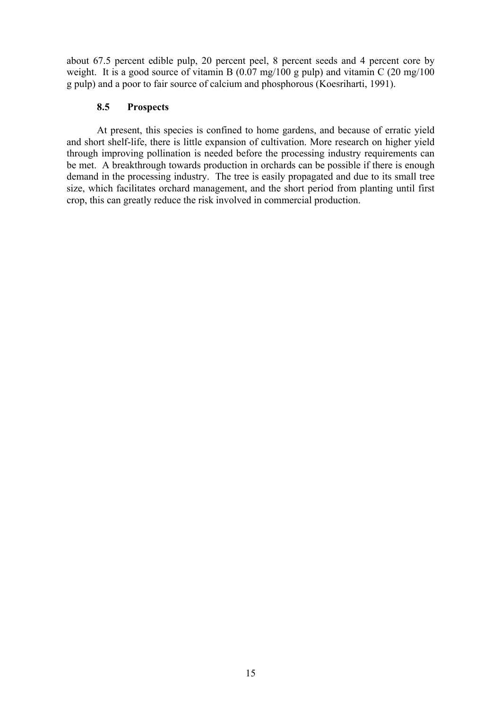about 67.5 percent edible pulp, 20 percent peel, 8 percent seeds and 4 percent core by weight. It is a good source of vitamin B (0.07 mg/100 g pulp) and vitamin C (20 mg/100 g pulp) and a poor to fair source of calcium and phosphorous (Koesriharti, 1991).

## **8.5 Prospects**

At present, this species is confined to home gardens, and because of erratic yield and short shelf-life, there is little expansion of cultivation. More research on higher yield through improving pollination is needed before the processing industry requirements can be met. A breakthrough towards production in orchards can be possible if there is enough demand in the processing industry. The tree is easily propagated and due to its small tree size, which facilitates orchard management, and the short period from planting until first crop, this can greatly reduce the risk involved in commercial production.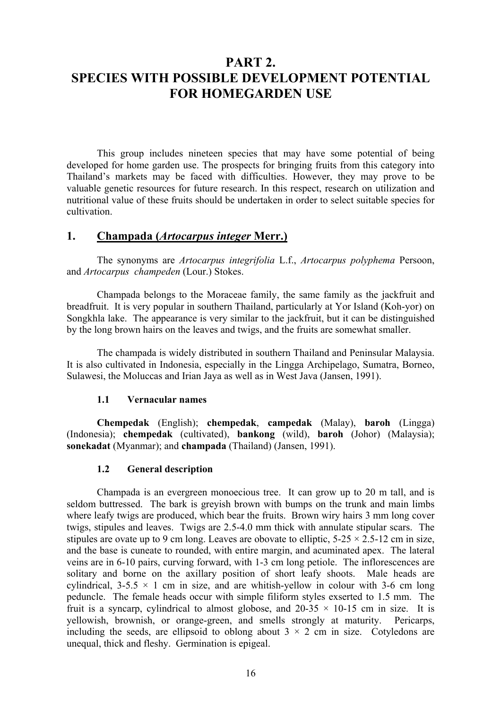## **PART 2. SPECIES WITH POSSIBLE DEVELOPMENT POTENTIAL FOR HOMEGARDEN USE**

This group includes nineteen species that may have some potential of being developed for home garden use. The prospects for bringing fruits from this category into Thailand's markets may be faced with difficulties. However, they may prove to be valuable genetic resources for future research. In this respect, research on utilization and nutritional value of these fruits should be undertaken in order to select suitable species for cultivation.

## **1. Champada (***Artocarpus integer* **Merr.)**

The synonyms are *Artocarpus integrifolia* L.f., *Artocarpus polyphema* Persoon, and *Artocarpus champeden* (Lour.) Stokes.

Champada belongs to the Moraceae family, the same family as the jackfruit and breadfruit. It is very popular in southern Thailand, particularly at Yor Island (Koh-yor) on Songkhla lake. The appearance is very similar to the jackfruit, but it can be distinguished by the long brown hairs on the leaves and twigs, and the fruits are somewhat smaller.

The champada is widely distributed in southern Thailand and Peninsular Malaysia. It is also cultivated in Indonesia, especially in the Lingga Archipelago, Sumatra, Borneo, Sulawesi, the Moluccas and Irian Jaya as well as in West Java (Jansen, 1991).

## **1.1 Vernacular names**

**Chempedak** (English); **chempedak**, **campedak** (Malay), **baroh** (Lingga) (Indonesia); **chempedak** (cultivated), **bankong** (wild), **baroh** (Johor) (Malaysia); **sonekadat** (Myanmar); and **champada** (Thailand) (Jansen, 1991).

## **1.2 General description**

Champada is an evergreen monoecious tree. It can grow up to 20 m tall, and is seldom buttressed. The bark is greyish brown with bumps on the trunk and main limbs where leafy twigs are produced, which bear the fruits. Brown wiry hairs 3 mm long cover twigs, stipules and leaves. Twigs are 2.5-4.0 mm thick with annulate stipular scars. The stipules are ovate up to 9 cm long. Leaves are obovate to elliptic,  $5-25 \times 2.5-12$  cm in size, and the base is cuneate to rounded, with entire margin, and acuminated apex. The lateral veins are in 6-10 pairs, curving forward, with 1-3 cm long petiole. The inflorescences are solitary and borne on the axillary position of short leafy shoots. Male heads are cylindrical, 3-5.5  $\times$  1 cm in size, and are whitish-vellow in colour with 3-6 cm long peduncle. The female heads occur with simple filiform styles exserted to 1.5 mm. The fruit is a syncarp, cylindrical to almost globose, and  $20-35 \times 10-15$  cm in size. It is yellowish, brownish, or orange-green, and smells strongly at maturity. Pericarps, including the seeds, are ellipsoid to oblong about  $3 \times 2$  cm in size. Cotyledons are unequal, thick and fleshy. Germination is epigeal.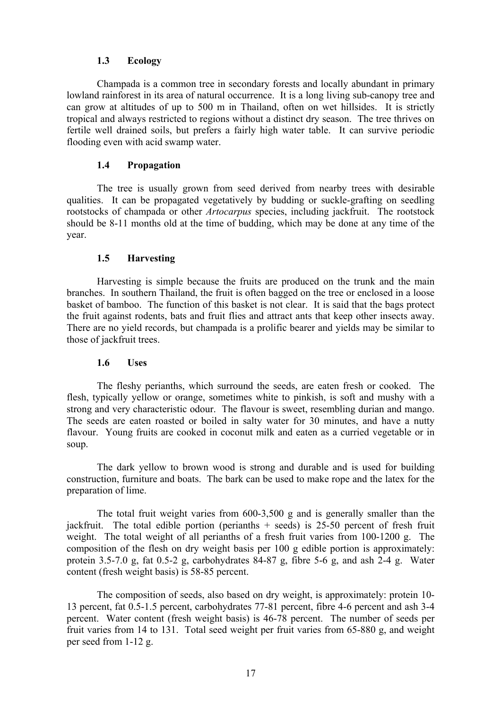## **1.3 Ecology**

Champada is a common tree in secondary forests and locally abundant in primary lowland rainforest in its area of natural occurrence. It is a long living sub-canopy tree and can grow at altitudes of up to 500 m in Thailand, often on wet hillsides. It is strictly tropical and always restricted to regions without a distinct dry season. The tree thrives on fertile well drained soils, but prefers a fairly high water table. It can survive periodic flooding even with acid swamp water.

## **1.4 Propagation**

The tree is usually grown from seed derived from nearby trees with desirable qualities. It can be propagated vegetatively by budding or suckle-grafting on seedling rootstocks of champada or other *Artocarpus* species, including jackfruit. The rootstock should be 8-11 months old at the time of budding, which may be done at any time of the year.

## **1.5 Harvesting**

Harvesting is simple because the fruits are produced on the trunk and the main branches. In southern Thailand, the fruit is often bagged on the tree or enclosed in a loose basket of bamboo. The function of this basket is not clear. It is said that the bags protect the fruit against rodents, bats and fruit flies and attract ants that keep other insects away. There are no yield records, but champada is a prolific bearer and yields may be similar to those of jackfruit trees.

## **1.6 Uses**

The fleshy perianths, which surround the seeds, are eaten fresh or cooked. The flesh, typically yellow or orange, sometimes white to pinkish, is soft and mushy with a strong and very characteristic odour. The flavour is sweet, resembling durian and mango. The seeds are eaten roasted or boiled in salty water for 30 minutes, and have a nutty flavour. Young fruits are cooked in coconut milk and eaten as a curried vegetable or in soup.

The dark yellow to brown wood is strong and durable and is used for building construction, furniture and boats. The bark can be used to make rope and the latex for the preparation of lime.

The total fruit weight varies from 600-3,500 g and is generally smaller than the jackfruit. The total edible portion (perianths  $+$  seeds) is 25-50 percent of fresh fruit weight. The total weight of all perianths of a fresh fruit varies from 100-1200 g. The composition of the flesh on dry weight basis per 100 g edible portion is approximately: protein 3.5-7.0 g, fat 0.5-2 g, carbohydrates 84-87 g, fibre 5-6 g, and ash 2-4 g. Water content (fresh weight basis) is 58-85 percent.

The composition of seeds, also based on dry weight, is approximately: protein 10- 13 percent, fat 0.5-1.5 percent, carbohydrates 77-81 percent, fibre 4-6 percent and ash 3-4 percent. Water content (fresh weight basis) is 46-78 percent. The number of seeds per fruit varies from 14 to 131. Total seed weight per fruit varies from 65-880 g, and weight per seed from 1-12 g.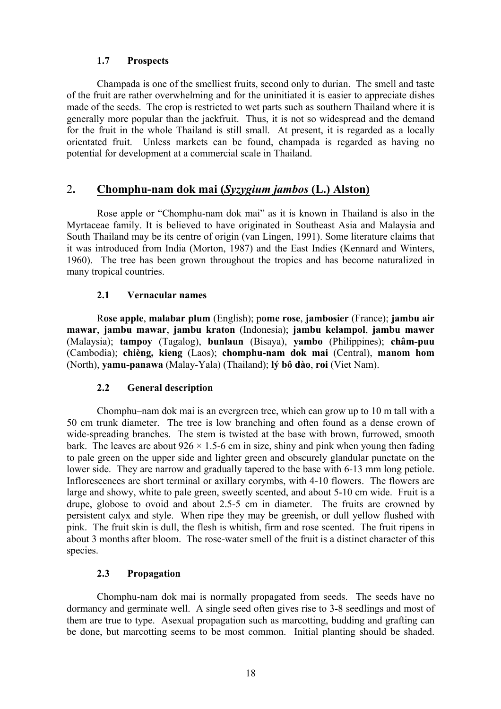## **1.7 Prospects**

Champada is one of the smelliest fruits, second only to durian. The smell and taste of the fruit are rather overwhelming and for the uninitiated it is easier to appreciate dishes made of the seeds. The crop is restricted to wet parts such as southern Thailand where it is generally more popular than the jackfruit. Thus, it is not so widespread and the demand for the fruit in the whole Thailand is still small. At present, it is regarded as a locally orientated fruit. Unless markets can be found, champada is regarded as having no potential for development at a commercial scale in Thailand.

## 2**. Chomphu-nam dok mai (***Syzygium jambos* **(L.) Alston)**

Rose apple or "Chomphu-nam dok mai" as it is known in Thailand is also in the Myrtaceae family. It is believed to have originated in Southeast Asia and Malaysia and South Thailand may be its centre of origin (van Lingen, 1991). Some literature claims that it was introduced from India (Morton, 1987) and the East Indies (Kennard and Winters, 1960). The tree has been grown throughout the tropics and has become naturalized in many tropical countries.

## **2.1 Vernacular names**

R**ose apple**, **malabar plum** (English); p**ome rose**, **jambosier** (France); **jambu air mawar**, **jambu mawar**, **jambu kraton** (Indonesia); **jambu kelampol**, **jambu mawer** (Malaysia); **tampoy** (Tagalog), **bunlaun** (Bisaya), **yambo** (Philippines); **châm-puu** (Cambodia); **chièng, kieng** (Laos); **chomphu-nam dok mai** (Central), **manom hom** (North), **yamu-panawa** (Malay-Yala) (Thailand); **lý bô dào**, **roi** (Viet Nam).

## **2.2 General description**

Chomphu–nam dok mai is an evergreen tree, which can grow up to 10 m tall with a 50 cm trunk diameter. The tree is low branching and often found as a dense crown of wide-spreading branches. The stem is twisted at the base with brown, furrowed, smooth bark. The leaves are about  $926 \times 1.5$ -6 cm in size, shiny and pink when young then fading to pale green on the upper side and lighter green and obscurely glandular punctate on the lower side. They are narrow and gradually tapered to the base with 6-13 mm long petiole. Inflorescences are short terminal or axillary corymbs, with 4-10 flowers. The flowers are large and showy, white to pale green, sweetly scented, and about 5-10 cm wide. Fruit is a drupe, globose to ovoid and about 2.5-5 cm in diameter. The fruits are crowned by persistent calyx and style. When ripe they may be greenish, or dull yellow flushed with pink. The fruit skin is dull, the flesh is whitish, firm and rose scented. The fruit ripens in about 3 months after bloom. The rose-water smell of the fruit is a distinct character of this species.

## **2.3 Propagation**

Chomphu-nam dok mai is normally propagated from seeds. The seeds have no dormancy and germinate well. A single seed often gives rise to 3-8 seedlings and most of them are true to type. Asexual propagation such as marcotting, budding and grafting can be done, but marcotting seems to be most common. Initial planting should be shaded.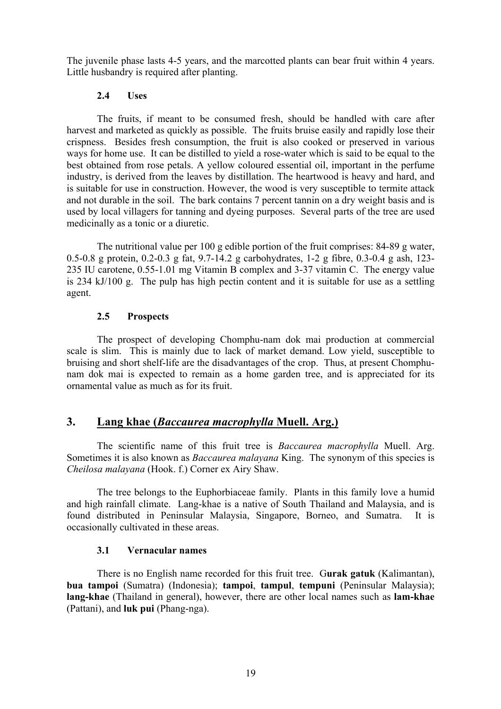The juvenile phase lasts 4-5 years, and the marcotted plants can bear fruit within 4 years. Little husbandry is required after planting.

## **2.4 Uses**

The fruits, if meant to be consumed fresh, should be handled with care after harvest and marketed as quickly as possible. The fruits bruise easily and rapidly lose their crispness. Besides fresh consumption, the fruit is also cooked or preserved in various ways for home use. It can be distilled to yield a rose-water which is said to be equal to the best obtained from rose petals. A yellow coloured essential oil, important in the perfume industry, is derived from the leaves by distillation. The heartwood is heavy and hard, and is suitable for use in construction. However, the wood is very susceptible to termite attack and not durable in the soil. The bark contains 7 percent tannin on a dry weight basis and is used by local villagers for tanning and dyeing purposes. Several parts of the tree are used medicinally as a tonic or a diuretic.

The nutritional value per 100 g edible portion of the fruit comprises: 84-89 g water, 0.5-0.8 g protein, 0.2-0.3 g fat, 9.7-14.2 g carbohydrates, 1-2 g fibre, 0.3-0.4 g ash, 123- 235 IU carotene, 0.55-1.01 mg Vitamin B complex and 3-37 vitamin C. The energy value is 234 kJ/100 g. The pulp has high pectin content and it is suitable for use as a settling agent.

## **2.5 Prospects**

The prospect of developing Chomphu-nam dok mai production at commercial scale is slim. This is mainly due to lack of market demand. Low yield, susceptible to bruising and short shelf-life are the disadvantages of the crop. Thus, at present Chomphunam dok mai is expected to remain as a home garden tree, and is appreciated for its ornamental value as much as for its fruit.

## **3. Lang khae (***Baccaurea macrophylla* **Muell. Arg.)**

The scientific name of this fruit tree is *Baccaurea macrophylla* Muell. Arg. Sometimes it is also known as *Baccaurea malayana* King. The synonym of this species is *Cheilosa malayana* (Hook. f.) Corner ex Airy Shaw.

The tree belongs to the Euphorbiaceae family. Plants in this family love a humid and high rainfall climate. Lang-khae is a native of South Thailand and Malaysia, and is found distributed in Peninsular Malaysia, Singapore, Borneo, and Sumatra. It is occasionally cultivated in these areas.

## **3.1 Vernacular names**

There is no English name recorded for this fruit tree. G**urak gatuk** (Kalimantan), **bua tampoi** (Sumatra) (Indonesia); **tampoi**, **tampul**, **tempuni** (Peninsular Malaysia); **lang-khae** (Thailand in general), however, there are other local names such as **lam-khae** (Pattani), and **luk pui** (Phang-nga).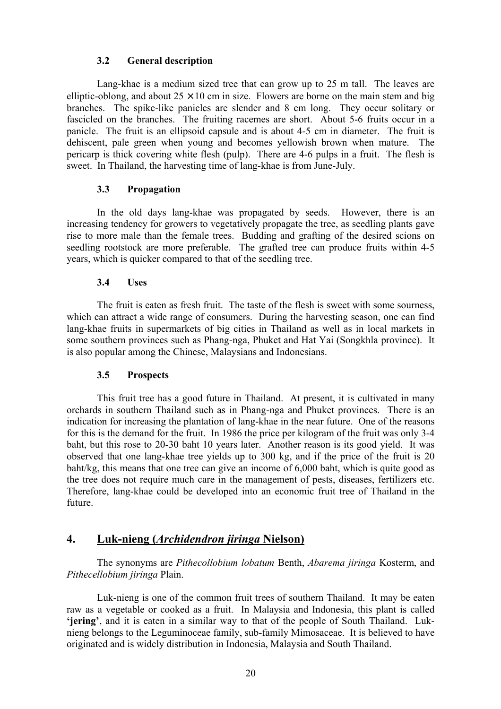## **3.2 General description**

Lang-khae is a medium sized tree that can grow up to 25 m tall. The leaves are elliptic-oblong, and about  $25 \times 10$  cm in size. Flowers are borne on the main stem and big branches. The spike-like panicles are slender and 8 cm long. They occur solitary or fascicled on the branches. The fruiting racemes are short. About 5-6 fruits occur in a panicle. The fruit is an ellipsoid capsule and is about 4-5 cm in diameter. The fruit is dehiscent, pale green when young and becomes yellowish brown when mature. The pericarp is thick covering white flesh (pulp). There are 4-6 pulps in a fruit. The flesh is sweet. In Thailand, the harvesting time of lang-khae is from June-July.

## **3.3 Propagation**

In the old days lang-khae was propagated by seeds. However, there is an increasing tendency for growers to vegetatively propagate the tree, as seedling plants gave rise to more male than the female trees. Budding and grafting of the desired scions on seedling rootstock are more preferable. The grafted tree can produce fruits within 4-5 years, which is quicker compared to that of the seedling tree.

## **3.4 Uses**

The fruit is eaten as fresh fruit. The taste of the flesh is sweet with some sourness, which can attract a wide range of consumers. During the harvesting season, one can find lang-khae fruits in supermarkets of big cities in Thailand as well as in local markets in some southern provinces such as Phang-nga, Phuket and Hat Yai (Songkhla province). It is also popular among the Chinese, Malaysians and Indonesians.

## **3.5 Prospects**

This fruit tree has a good future in Thailand. At present, it is cultivated in many orchards in southern Thailand such as in Phang-nga and Phuket provinces. There is an indication for increasing the plantation of lang-khae in the near future. One of the reasons for this is the demand for the fruit. In 1986 the price per kilogram of the fruit was only 3-4 baht, but this rose to 20-30 baht 10 years later. Another reason is its good yield. It was observed that one lang-khae tree yields up to 300 kg, and if the price of the fruit is 20 baht/kg, this means that one tree can give an income of 6,000 baht, which is quite good as the tree does not require much care in the management of pests, diseases, fertilizers etc. Therefore, lang-khae could be developed into an economic fruit tree of Thailand in the future.

## **4. Luk-nieng (***Archidendron jiringa* **Nielson)**

The synonyms are *Pithecollobium lobatum* Benth, *Abarema jiringa* Kosterm, and *Pithecellobium jiringa* Plain.

Luk-nieng is one of the common fruit trees of southern Thailand. It may be eaten raw as a vegetable or cooked as a fruit. In Malaysia and Indonesia, this plant is called **'jering'**, and it is eaten in a similar way to that of the people of South Thailand. Luknieng belongs to the Leguminoceae family, sub-family Mimosaceae. It is believed to have originated and is widely distribution in Indonesia, Malaysia and South Thailand.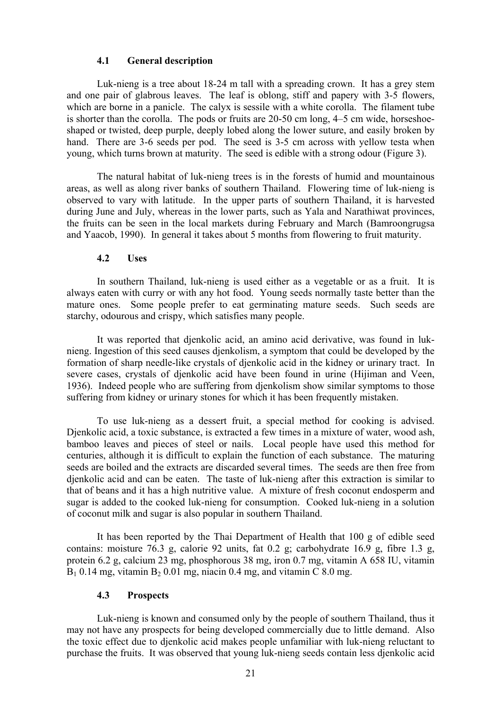#### **4.1 General description**

Luk-nieng is a tree about 18-24 m tall with a spreading crown. It has a grey stem and one pair of glabrous leaves. The leaf is oblong, stiff and papery with 3-5 flowers, which are borne in a panicle. The calyx is sessile with a white corolla. The filament tube is shorter than the corolla. The pods or fruits are 20-50 cm long, 4–5 cm wide, horseshoeshaped or twisted, deep purple, deeply lobed along the lower suture, and easily broken by hand. There are 3-6 seeds per pod. The seed is 3-5 cm across with yellow testa when young, which turns brown at maturity. The seed is edible with a strong odour (Figure 3).

The natural habitat of luk-nieng trees is in the forests of humid and mountainous areas, as well as along river banks of southern Thailand. Flowering time of luk-nieng is observed to vary with latitude. In the upper parts of southern Thailand, it is harvested during June and July, whereas in the lower parts, such as Yala and Narathiwat provinces, the fruits can be seen in the local markets during February and March (Bamroongrugsa and Yaacob, 1990). In general it takes about 5 months from flowering to fruit maturity.

#### **4.2 Uses**

In southern Thailand, luk-nieng is used either as a vegetable or as a fruit. It is always eaten with curry or with any hot food. Young seeds normally taste better than the mature ones. Some people prefer to eat germinating mature seeds. Such seeds are starchy, odourous and crispy, which satisfies many people.

It was reported that djenkolic acid, an amino acid derivative, was found in luknieng. Ingestion of this seed causes djenkolism, a symptom that could be developed by the formation of sharp needle-like crystals of djenkolic acid in the kidney or urinary tract. In severe cases, crystals of djenkolic acid have been found in urine (Hijiman and Veen, 1936). Indeed people who are suffering from djenkolism show similar symptoms to those suffering from kidney or urinary stones for which it has been frequently mistaken.

To use luk-nieng as a dessert fruit, a special method for cooking is advised. Djenkolic acid, a toxic substance, is extracted a few times in a mixture of water, wood ash, bamboo leaves and pieces of steel or nails. Local people have used this method for centuries, although it is difficult to explain the function of each substance. The maturing seeds are boiled and the extracts are discarded several times. The seeds are then free from djenkolic acid and can be eaten. The taste of luk-nieng after this extraction is similar to that of beans and it has a high nutritive value. A mixture of fresh coconut endosperm and sugar is added to the cooked luk-nieng for consumption. Cooked luk-nieng in a solution of coconut milk and sugar is also popular in southern Thailand.

It has been reported by the Thai Department of Health that 100 g of edible seed contains: moisture 76.3 g, calorie 92 units, fat 0.2 g; carbohydrate 16.9 g, fibre 1.3 g, protein 6.2 g, calcium 23 mg, phosphorous 38 mg, iron 0.7 mg, vitamin A 658 IU, vitamin  $B_1$  0.14 mg, vitamin  $B_2$  0.01 mg, niacin 0.4 mg, and vitamin C 8.0 mg.

#### **4.3 Prospects**

Luk-nieng is known and consumed only by the people of southern Thailand, thus it may not have any prospects for being developed commercially due to little demand. Also the toxic effect due to djenkolic acid makes people unfamiliar with luk-nieng reluctant to purchase the fruits. It was observed that young luk-nieng seeds contain less djenkolic acid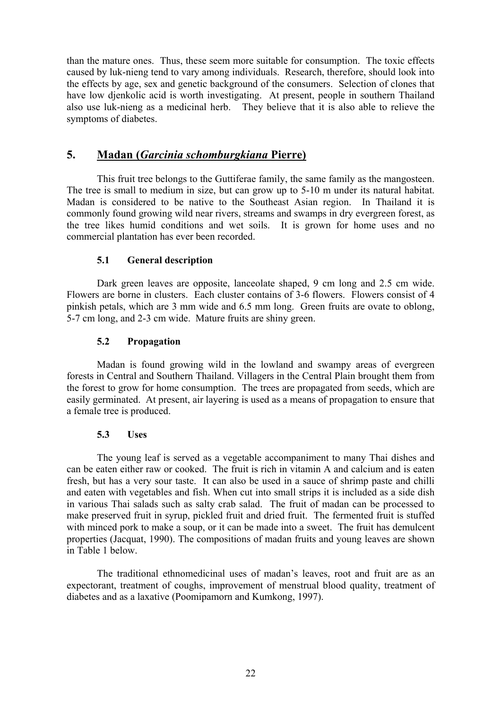than the mature ones. Thus, these seem more suitable for consumption. The toxic effects caused by luk-nieng tend to vary among individuals. Research, therefore, should look into the effects by age, sex and genetic background of the consumers. Selection of clones that have low djenkolic acid is worth investigating. At present, people in southern Thailand also use luk-nieng as a medicinal herb. They believe that it is also able to relieve the symptoms of diabetes.

## **5. Madan (***Garcinia schomburgkiana* **Pierre)**

This fruit tree belongs to the Guttiferae family, the same family as the mangosteen. The tree is small to medium in size, but can grow up to 5-10 m under its natural habitat. Madan is considered to be native to the Southeast Asian region. In Thailand it is commonly found growing wild near rivers, streams and swamps in dry evergreen forest, as the tree likes humid conditions and wet soils. It is grown for home uses and no commercial plantation has ever been recorded.

## **5.1 General description**

Dark green leaves are opposite, lanceolate shaped, 9 cm long and 2.5 cm wide. Flowers are borne in clusters. Each cluster contains of 3-6 flowers. Flowers consist of 4 pinkish petals, which are 3 mm wide and 6.5 mm long. Green fruits are ovate to oblong, 5-7 cm long, and 2-3 cm wide. Mature fruits are shiny green.

## **5.2 Propagation**

Madan is found growing wild in the lowland and swampy areas of evergreen forests in Central and Southern Thailand. Villagers in the Central Plain brought them from the forest to grow for home consumption. The trees are propagated from seeds, which are easily germinated. At present, air layering is used as a means of propagation to ensure that a female tree is produced.

## **5.3 Uses**

The young leaf is served as a vegetable accompaniment to many Thai dishes and can be eaten either raw or cooked. The fruit is rich in vitamin A and calcium and is eaten fresh, but has a very sour taste. It can also be used in a sauce of shrimp paste and chilli and eaten with vegetables and fish. When cut into small strips it is included as a side dish in various Thai salads such as salty crab salad. The fruit of madan can be processed to make preserved fruit in syrup, pickled fruit and dried fruit. The fermented fruit is stuffed with minced pork to make a soup, or it can be made into a sweet. The fruit has demulcent properties (Jacquat, 1990). The compositions of madan fruits and young leaves are shown in Table 1 below.

The traditional ethnomedicinal uses of madan's leaves, root and fruit are as an expectorant, treatment of coughs, improvement of menstrual blood quality, treatment of diabetes and as a laxative (Poomipamorn and Kumkong, 1997).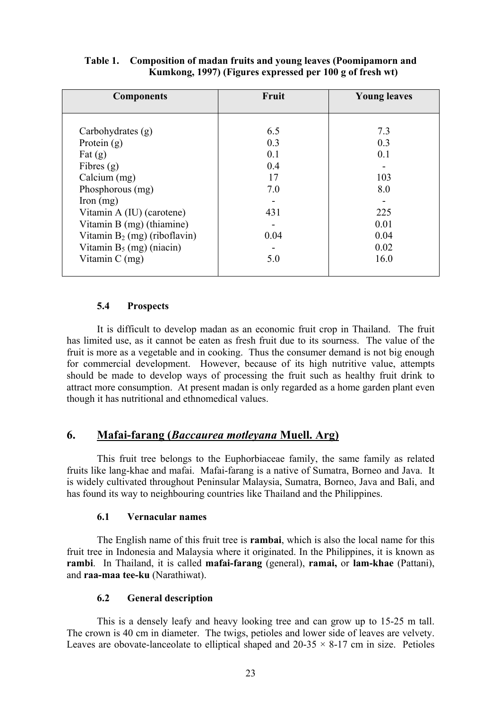| <b>Components</b>               | Fruit | <b>Young leaves</b> |
|---------------------------------|-------|---------------------|
|                                 |       |                     |
|                                 |       |                     |
| Carbohydrates (g)               | 6.5   | 7.3                 |
| Protein $(g)$                   | 0.3   | 0.3                 |
| Fat $(g)$                       | 0.1   | 0.1                 |
| Fibres $(g)$                    | 0.4   |                     |
| Calcium (mg)                    | 17    | 103                 |
| Phosphorous (mg)                | 7.0   | 8.0                 |
| Iron $(mg)$                     |       |                     |
| Vitamin A (IU) (carotene)       | 431   | 225                 |
| Vitamin B (mg) (thiamine)       |       | 0.01                |
| Vitamin $B_2$ (mg) (riboflavin) | 0.04  | 0.04                |
| Vitamin $B_5$ (mg) (niacin)     |       | 0.02                |
| Vitamin C (mg)                  | 5.0   | 16.0                |
|                                 |       |                     |

## **Table 1. Composition of madan fruits and young leaves (Poomipamorn and Kumkong, 1997) (Figures expressed per 100 g of fresh wt)**

## **5.4 Prospects**

It is difficult to develop madan as an economic fruit crop in Thailand. The fruit has limited use, as it cannot be eaten as fresh fruit due to its sourness. The value of the fruit is more as a vegetable and in cooking. Thus the consumer demand is not big enough for commercial development. However, because of its high nutritive value, attempts should be made to develop ways of processing the fruit such as healthy fruit drink to attract more consumption. At present madan is only regarded as a home garden plant even though it has nutritional and ethnomedical values.

## **6. Mafai-farang (***Baccaurea motleyana* **Muell. Arg)**

This fruit tree belongs to the Euphorbiaceae family, the same family as related fruits like lang-khae and mafai. Mafai-farang is a native of Sumatra, Borneo and Java. It is widely cultivated throughout Peninsular Malaysia, Sumatra, Borneo, Java and Bali, and has found its way to neighbouring countries like Thailand and the Philippines.

## **6.1 Vernacular names**

The English name of this fruit tree is **rambai**, which is also the local name for this fruit tree in Indonesia and Malaysia where it originated. In the Philippines, it is known as **rambi**. In Thailand, it is called **mafai-farang** (general), **ramai,** or **lam-khae** (Pattani), and **raa-maa tee-ku** (Narathiwat).

## **6.2 General description**

This is a densely leafy and heavy looking tree and can grow up to 15-25 m tall. The crown is 40 cm in diameter. The twigs, petioles and lower side of leaves are velvety. Leaves are obovate-lanceolate to elliptical shaped and  $20-35 \times 8-17$  cm in size. Petioles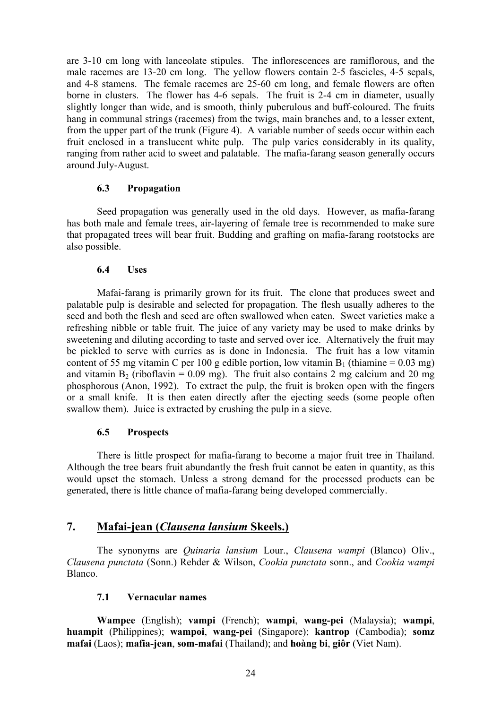are 3-10 cm long with lanceolate stipules. The inflorescences are ramiflorous, and the male racemes are 13-20 cm long. The yellow flowers contain 2-5 fascicles, 4-5 sepals, and 4-8 stamens. The female racemes are 25-60 cm long, and female flowers are often borne in clusters. The flower has 4-6 sepals. The fruit is 2-4 cm in diameter, usually slightly longer than wide, and is smooth, thinly puberulous and buff-coloured. The fruits hang in communal strings (racemes) from the twigs, main branches and, to a lesser extent, from the upper part of the trunk (Figure 4). A variable number of seeds occur within each fruit enclosed in a translucent white pulp. The pulp varies considerably in its quality, ranging from rather acid to sweet and palatable. The mafia-farang season generally occurs around July-August.

## **6.3 Propagation**

Seed propagation was generally used in the old days. However, as mafia-farang has both male and female trees, air-layering of female tree is recommended to make sure that propagated trees will bear fruit. Budding and grafting on mafia-farang rootstocks are also possible.

## **6.4 Uses**

Mafai-farang is primarily grown for its fruit. The clone that produces sweet and palatable pulp is desirable and selected for propagation. The flesh usually adheres to the seed and both the flesh and seed are often swallowed when eaten. Sweet varieties make a refreshing nibble or table fruit. The juice of any variety may be used to make drinks by sweetening and diluting according to taste and served over ice. Alternatively the fruit may be pickled to serve with curries as is done in Indonesia. The fruit has a low vitamin content of 55 mg vitamin C per 100 g edible portion, low vitamin  $B_1$  (thiamine = 0.03 mg) and vitamin  $B_2$  (riboflavin = 0.09 mg). The fruit also contains 2 mg calcium and 20 mg phosphorous (Anon, 1992). To extract the pulp, the fruit is broken open with the fingers or a small knife. It is then eaten directly after the ejecting seeds (some people often swallow them). Juice is extracted by crushing the pulp in a sieve.

## **6.5 Prospects**

There is little prospect for mafia-farang to become a major fruit tree in Thailand. Although the tree bears fruit abundantly the fresh fruit cannot be eaten in quantity, as this would upset the stomach. Unless a strong demand for the processed products can be generated, there is little chance of mafia-farang being developed commercially.

## **7. Mafai-jean (***Clausena lansium* **Skeels.)**

The synonyms are *Quinaria lansium* Lour., *Clausena wampi* (Blanco) Oliv., *Clausena punctata* (Sonn.) Rehder & Wilson, *Cookia punctata* sonn., and *Cookia wampi* Blanco.

## **7.1 Vernacular names**

**Wampee** (English); **vampi** (French); **wampi**, **wang-pei** (Malaysia); **wampi**, **huampit** (Philippines); **wampoi**, **wang-pei** (Singapore); **kantrop** (Cambodia); **somz mafai** (Laos); **mafia-jean**, **som-mafai** (Thailand); and **hoàng bi**, **giôr** (Viet Nam).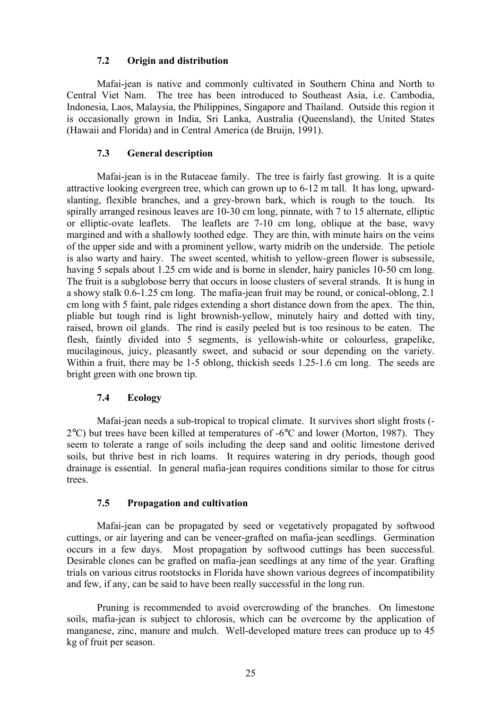## **7.2 Origin and distribution**

Mafai-jean is native and commonly cultivated in Southern China and North to Central Viet Nam. The tree has been introduced to Southeast Asia, i.e. Cambodia, Indonesia, Laos, Malaysia, the Philippines, Singapore and Thailand. Outside this region it is occasionally grown in India, Sri Lanka, Australia (Queensland), the United States (Hawaii and Florida) and in Central America (de Bruijn, 1991).

## **7.3 General description**

Mafai-jean is in the Rutaceae family. The tree is fairly fast growing. It is a quite attractive looking evergreen tree, which can grown up to 6-12 m tall. It has long, upwardslanting, flexible branches, and a grey-brown bark, which is rough to the touch. Its spirally arranged resinous leaves are 10-30 cm long, pinnate, with 7 to 15 alternate, elliptic or elliptic-ovate leaflets. The leaflets are 7-10 cm long, oblique at the base, wavy margined and with a shallowly toothed edge. They are thin, with minute hairs on the veins of the upper side and with a prominent yellow, warty midrib on the underside. The petiole is also warty and hairy. The sweet scented, whitish to yellow-green flower is subsessile, having 5 sepals about 1.25 cm wide and is borne in slender, hairy panicles 10-50 cm long. The fruit is a subglobose berry that occurs in loose clusters of several strands. It is hung in a showy stalk 0.6-1.25 cm long. The mafia-jean fruit may be round, or conical-oblong, 2.1 cm long with 5 faint, pale ridges extending a short distance down from the apex. The thin, pliable but tough rind is light brownish-yellow, minutely hairy and dotted with tiny, raised, brown oil glands. The rind is easily peeled but is too resinous to be eaten. The flesh, faintly divided into 5 segments, is yellowish-white or colourless, grapelike, mucilaginous, juicy, pleasantly sweet, and subacid or sour depending on the variety. Within a fruit, there may be 1-5 oblong, thickish seeds 1.25-1.6 cm long. The seeds are bright green with one brown tip.

## **7.4 Ecology**

Mafai-jean needs a sub-tropical to tropical climate. It survives short slight frosts (-  $2^{\circ}$ C) but trees have been killed at temperatures of -6 $^{\circ}$ C and lower (Morton, 1987). They seem to tolerate a range of soils including the deep sand and oolitic limestone derived soils, but thrive best in rich loams. It requires watering in dry periods, though good drainage is essential. In general mafia-jean requires conditions similar to those for citrus trees.

## **7.5 Propagation and cultivation**

Mafai-jean can be propagated by seed or vegetatively propagated by softwood cuttings, or air layering and can be veneer-grafted on mafia-jean seedlings. Germination occurs in a few days. Most propagation by softwood cuttings has been successful. Desirable clones can be grafted on mafia-jean seedlings at any time of the year. Grafting trials on various citrus rootstocks in Florida have shown various degrees of incompatibility and few, if any, can be said to have been really successful in the long run.

Pruning is recommended to avoid overcrowding of the branches. On limestone soils, mafia-jean is subject to chlorosis, which can be overcome by the application of manganese, zinc, manure and mulch. Well-developed mature trees can produce up to 45 kg of fruit per season.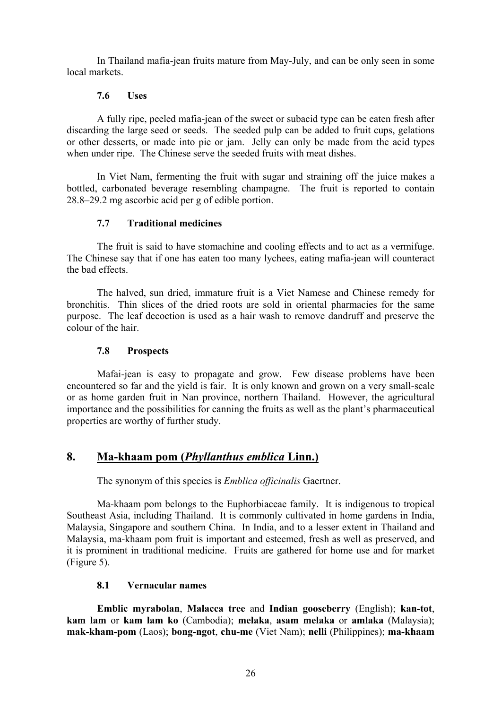In Thailand mafia-jean fruits mature from May-July, and can be only seen in some local markets.

## **7.6 Uses**

A fully ripe, peeled mafia-jean of the sweet or subacid type can be eaten fresh after discarding the large seed or seeds. The seeded pulp can be added to fruit cups, gelations or other desserts, or made into pie or jam. Jelly can only be made from the acid types when under ripe. The Chinese serve the seeded fruits with meat dishes.

In Viet Nam, fermenting the fruit with sugar and straining off the juice makes a bottled, carbonated beverage resembling champagne. The fruit is reported to contain 28.8–29.2 mg ascorbic acid per g of edible portion.

## **7.7 Traditional medicines**

The fruit is said to have stomachine and cooling effects and to act as a vermifuge. The Chinese say that if one has eaten too many lychees, eating mafia-jean will counteract the bad effects.

The halved, sun dried, immature fruit is a Viet Namese and Chinese remedy for bronchitis. Thin slices of the dried roots are sold in oriental pharmacies for the same purpose. The leaf decoction is used as a hair wash to remove dandruff and preserve the colour of the hair.

## **7.8 Prospects**

Mafai-jean is easy to propagate and grow. Few disease problems have been encountered so far and the yield is fair. It is only known and grown on a very small-scale or as home garden fruit in Nan province, northern Thailand. However, the agricultural importance and the possibilities for canning the fruits as well as the plant's pharmaceutical properties are worthy of further study.

## **8. Ma-khaam pom (***Phyllanthus emblica* **Linn.)**

The synonym of this species is *Emblica officinalis* Gaertner.

Ma-khaam pom belongs to the Euphorbiaceae family. It is indigenous to tropical Southeast Asia, including Thailand. It is commonly cultivated in home gardens in India, Malaysia, Singapore and southern China. In India, and to a lesser extent in Thailand and Malaysia, ma-khaam pom fruit is important and esteemed, fresh as well as preserved, and it is prominent in traditional medicine. Fruits are gathered for home use and for market (Figure 5).

## **8.1 Vernacular names**

**Emblic myrabolan**, **Malacca tree** and **Indian gooseberry** (English); **kan-tot**, **kam lam** or **kam lam ko** (Cambodia); **melaka**, **asam melaka** or **amlaka** (Malaysia); **mak-kham-pom** (Laos); **bong-ngot**, **chu-me** (Viet Nam); **nelli** (Philippines); **ma-khaam**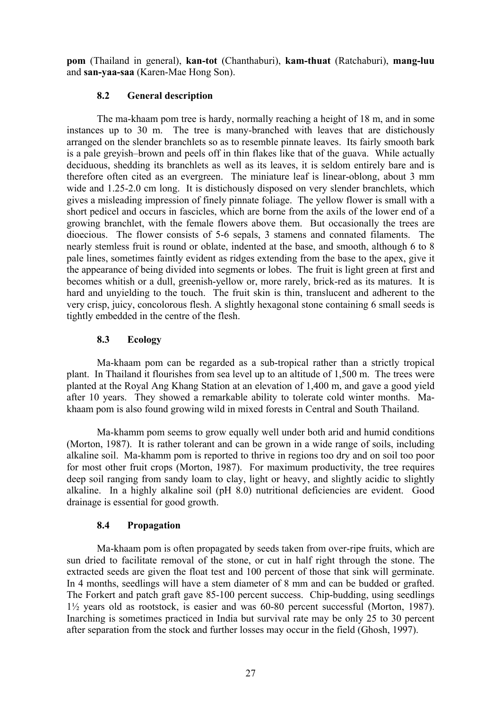**pom** (Thailand in general), **kan-tot** (Chanthaburi), **kam-thuat** (Ratchaburi), **mang-luu** and **san-yaa-saa** (Karen-Mae Hong Son).

## **8.2 General description**

The ma-khaam pom tree is hardy, normally reaching a height of 18 m, and in some instances up to 30 m. The tree is many-branched with leaves that are distichously arranged on the slender branchlets so as to resemble pinnate leaves. Its fairly smooth bark is a pale greyish–brown and peels off in thin flakes like that of the guava. While actually deciduous, shedding its branchlets as well as its leaves, it is seldom entirely bare and is therefore often cited as an evergreen. The miniature leaf is linear-oblong, about 3 mm wide and 1.25-2.0 cm long. It is distichously disposed on very slender branchlets, which gives a misleading impression of finely pinnate foliage. The yellow flower is small with a short pedicel and occurs in fascicles, which are borne from the axils of the lower end of a growing branchlet, with the female flowers above them. But occasionally the trees are dioecious. The flower consists of 5-6 sepals, 3 stamens and connated filaments. The nearly stemless fruit is round or oblate, indented at the base, and smooth, although 6 to 8 pale lines, sometimes faintly evident as ridges extending from the base to the apex, give it the appearance of being divided into segments or lobes. The fruit is light green at first and becomes whitish or a dull, greenish-yellow or, more rarely, brick-red as its matures. It is hard and unyielding to the touch. The fruit skin is thin, translucent and adherent to the very crisp, juicy, concolorous flesh. A slightly hexagonal stone containing 6 small seeds is tightly embedded in the centre of the flesh.

## **8.3 Ecology**

Ma-khaam pom can be regarded as a sub-tropical rather than a strictly tropical plant. In Thailand it flourishes from sea level up to an altitude of 1,500 m. The trees were planted at the Royal Ang Khang Station at an elevation of 1,400 m, and gave a good yield after 10 years. They showed a remarkable ability to tolerate cold winter months. Makhaam pom is also found growing wild in mixed forests in Central and South Thailand.

Ma-khamm pom seems to grow equally well under both arid and humid conditions (Morton, 1987). It is rather tolerant and can be grown in a wide range of soils, including alkaline soil. Ma-khamm pom is reported to thrive in regions too dry and on soil too poor for most other fruit crops (Morton, 1987). For maximum productivity, the tree requires deep soil ranging from sandy loam to clay, light or heavy, and slightly acidic to slightly alkaline. In a highly alkaline soil (pH 8.0) nutritional deficiencies are evident. Good drainage is essential for good growth.

## **8.4 Propagation**

Ma-khaam pom is often propagated by seeds taken from over-ripe fruits, which are sun dried to facilitate removal of the stone, or cut in half right through the stone. The extracted seeds are given the float test and 100 percent of those that sink will germinate. In 4 months, seedlings will have a stem diameter of 8 mm and can be budded or grafted. The Forkert and patch graft gave 85-100 percent success. Chip-budding, using seedlings 1½ years old as rootstock, is easier and was 60-80 percent successful (Morton, 1987). Inarching is sometimes practiced in India but survival rate may be only 25 to 30 percent after separation from the stock and further losses may occur in the field (Ghosh, 1997).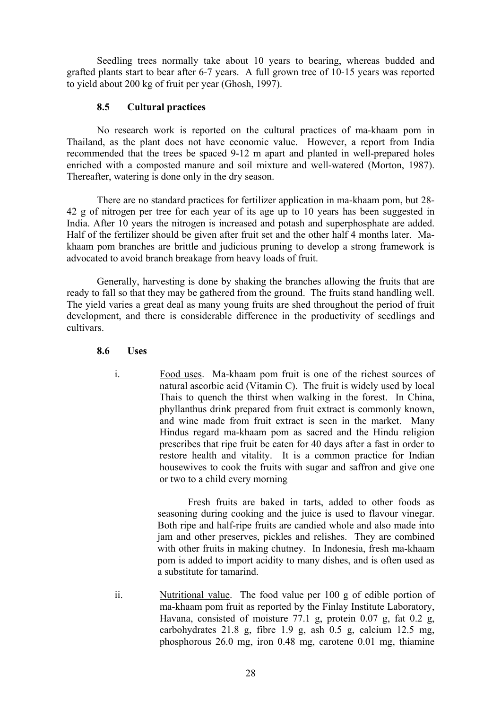Seedling trees normally take about 10 years to bearing, whereas budded and grafted plants start to bear after 6-7 years. A full grown tree of 10-15 years was reported to yield about 200 kg of fruit per year (Ghosh, 1997).

## **8.5 Cultural practices**

No research work is reported on the cultural practices of ma-khaam pom in Thailand, as the plant does not have economic value. However, a report from India recommended that the trees be spaced 9-12 m apart and planted in well-prepared holes enriched with a composted manure and soil mixture and well-watered (Morton, 1987). Thereafter, watering is done only in the dry season.

There are no standard practices for fertilizer application in ma-khaam pom, but 28- 42 g of nitrogen per tree for each year of its age up to 10 years has been suggested in India. After 10 years the nitrogen is increased and potash and superphosphate are added. Half of the fertilizer should be given after fruit set and the other half 4 months later. Makhaam pom branches are brittle and judicious pruning to develop a strong framework is advocated to avoid branch breakage from heavy loads of fruit.

Generally, harvesting is done by shaking the branches allowing the fruits that are ready to fall so that they may be gathered from the ground. The fruits stand handling well. The yield varies a great deal as many young fruits are shed throughout the period of fruit development, and there is considerable difference in the productivity of seedlings and cultivars.

#### **8.6 Uses**

i. Food uses. Ma-khaam pom fruit is one of the richest sources of natural ascorbic acid (Vitamin C). The fruit is widely used by local Thais to quench the thirst when walking in the forest. In China, phyllanthus drink prepared from fruit extract is commonly known, and wine made from fruit extract is seen in the market. Many Hindus regard ma-khaam pom as sacred and the Hindu religion prescribes that ripe fruit be eaten for 40 days after a fast in order to restore health and vitality. It is a common practice for Indian housewives to cook the fruits with sugar and saffron and give one or two to a child every morning

> Fresh fruits are baked in tarts, added to other foods as seasoning during cooking and the juice is used to flavour vinegar. Both ripe and half-ripe fruits are candied whole and also made into jam and other preserves, pickles and relishes. They are combined with other fruits in making chutney. In Indonesia, fresh ma-khaam pom is added to import acidity to many dishes, and is often used as a substitute for tamarind.

ii. Nutritional value. The food value per 100 g of edible portion of ma-khaam pom fruit as reported by the Finlay Institute Laboratory, Havana, consisted of moisture 77.1 g, protein 0.07 g, fat 0.2 g, carbohydrates 21.8 g, fibre 1.9 g, ash 0.5 g, calcium 12.5 mg, phosphorous 26.0 mg, iron 0.48 mg, carotene 0.01 mg, thiamine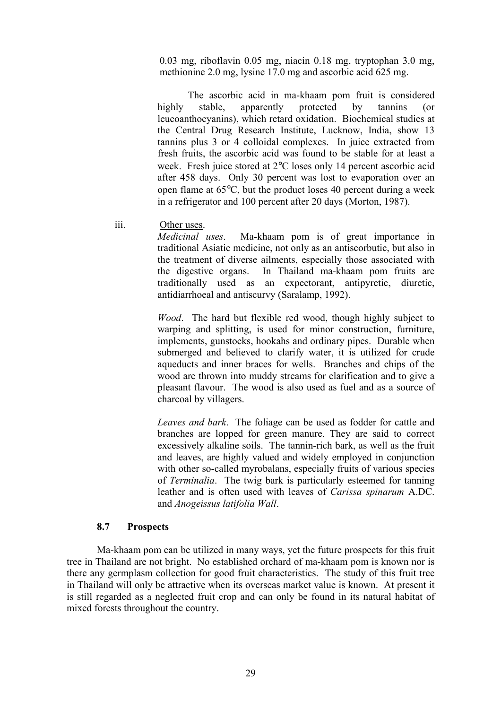0.03 mg, riboflavin 0.05 mg, niacin 0.18 mg, tryptophan 3.0 mg, methionine 2.0 mg, lysine 17.0 mg and ascorbic acid 625 mg.

The ascorbic acid in ma-khaam pom fruit is considered highly stable, apparently protected by tannins (or leucoanthocyanins), which retard oxidation. Biochemical studies at the Central Drug Research Institute, Lucknow, India, show 13 tannins plus 3 or 4 colloidal complexes. In juice extracted from fresh fruits, the ascorbic acid was found to be stable for at least a week. Fresh juice stored at 2°C loses only 14 percent ascorbic acid after 458 days. Only 30 percent was lost to evaporation over an open flame at 65°C, but the product loses 40 percent during a week in a refrigerator and 100 percent after 20 days (Morton, 1987).

iii. Other uses.

*Medicinal uses*. Ma-khaam pom is of great importance in traditional Asiatic medicine, not only as an antiscorbutic, but also in the treatment of diverse ailments, especially those associated with the digestive organs. In Thailand ma-khaam pom fruits are traditionally used as an expectorant, antipyretic, diuretic, antidiarrhoeal and antiscurvy (Saralamp, 1992).

*Wood*. The hard but flexible red wood, though highly subject to warping and splitting, is used for minor construction, furniture, implements, gunstocks, hookahs and ordinary pipes. Durable when submerged and believed to clarify water, it is utilized for crude aqueducts and inner braces for wells. Branches and chips of the wood are thrown into muddy streams for clarification and to give a pleasant flavour. The wood is also used as fuel and as a source of charcoal by villagers.

*Leaves and bark*. The foliage can be used as fodder for cattle and branches are lopped for green manure. They are said to correct excessively alkaline soils. The tannin-rich bark, as well as the fruit and leaves, are highly valued and widely employed in conjunction with other so-called myrobalans, especially fruits of various species of *Terminalia*. The twig bark is particularly esteemed for tanning leather and is often used with leaves of *Carissa spinarum* A.DC. and *Anogeissus latifolia Wall*.

#### **8.7 Prospects**

Ma-khaam pom can be utilized in many ways, yet the future prospects for this fruit tree in Thailand are not bright. No established orchard of ma-khaam pom is known nor is there any germplasm collection for good fruit characteristics. The study of this fruit tree in Thailand will only be attractive when its overseas market value is known. At present it is still regarded as a neglected fruit crop and can only be found in its natural habitat of mixed forests throughout the country.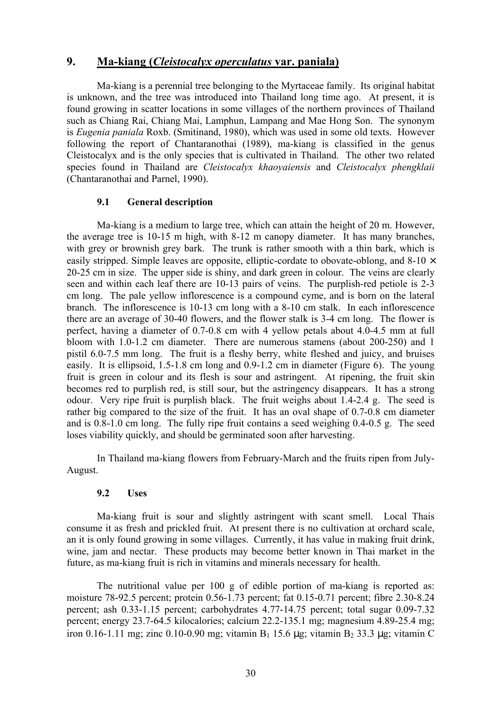## **9. Ma-kiang (***Cleistocalyx operculatus* **var. paniala)**

Ma-kiang is a perennial tree belonging to the Myrtaceae family. Its original habitat is unknown, and the tree was introduced into Thailand long time ago. At present, it is found growing in scatter locations in some villages of the northern provinces of Thailand such as Chiang Rai, Chiang Mai, Lamphun, Lampang and Mae Hong Son. The synonym is *Eugenia paniala* Roxb. (Smitinand, 1980), which was used in some old texts. However following the report of Chantaranothai (1989), ma-kiang is classified in the genus Cleistocalyx and is the only species that is cultivated in Thailand. The other two related species found in Thailand are *Cleistocalyx khaoyaiensis* and *Cleistocalyx phengklaii* (Chantaranothai and Parnel, 1990).

#### **9.1 General description**

Ma-kiang is a medium to large tree, which can attain the height of 20 m. However, the average tree is 10-15 m high, with 8-12 m canopy diameter. It has many branches, with grey or brownish grey bark. The trunk is rather smooth with a thin bark, which is easily stripped. Simple leaves are opposite, elliptic-cordate to obovate-oblong, and  $8-10 \times$ 20-25 cm in size. The upper side is shiny, and dark green in colour. The veins are clearly seen and within each leaf there are 10-13 pairs of veins. The purplish-red petiole is 2-3 cm long. The pale yellow inflorescence is a compound cyme, and is born on the lateral branch. The inflorescence is 10-13 cm long with a 8-10 cm stalk. In each inflorescence there are an average of 30-40 flowers, and the flower stalk is 3-4 cm long. The flower is perfect, having a diameter of 0.7-0.8 cm with 4 yellow petals about 4.0-4.5 mm at full bloom with 1.0-1.2 cm diameter. There are numerous stamens (about 200-250) and 1 pistil 6.0-7.5 mm long. The fruit is a fleshy berry, white fleshed and juicy, and bruises easily. It is ellipsoid, 1.5-1.8 cm long and 0.9-1.2 cm in diameter (Figure 6). The young fruit is green in colour and its flesh is sour and astringent. At ripening, the fruit skin becomes red to purplish red, is still sour, but the astringency disappears. It has a strong odour. Very ripe fruit is purplish black. The fruit weighs about 1.4-2.4 g. The seed is rather big compared to the size of the fruit. It has an oval shape of 0.7-0.8 cm diameter and is  $0.8-1.0$  cm long. The fully ripe fruit contains a seed weighing  $0.4-0.5$  g. The seed loses viability quickly, and should be germinated soon after harvesting.

In Thailand ma-kiang flowers from February-March and the fruits ripen from July-August.

#### **9.2 Uses**

Ma-kiang fruit is sour and slightly astringent with scant smell. Local Thais consume it as fresh and prickled fruit. At present there is no cultivation at orchard scale, an it is only found growing in some villages. Currently, it has value in making fruit drink, wine, jam and nectar. These products may become better known in Thai market in the future, as ma-kiang fruit is rich in vitamins and minerals necessary for health.

The nutritional value per 100 g of edible portion of ma-kiang is reported as: moisture 78-92.5 percent; protein 0.56-1.73 percent; fat 0.15-0.71 percent; fibre 2.30-8.24 percent; ash 0.33-1.15 percent; carbohydrates 4.77-14.75 percent; total sugar 0.09-7.32 percent; energy 23.7-64.5 kilocalories; calcium 22.2-135.1 mg; magnesium 4.89-25.4 mg; iron 0.16-1.11 mg; zinc 0.10-0.90 mg; vitamin  $B_1$  15.6 µg; vitamin  $B_2$  33.3 µg; vitamin C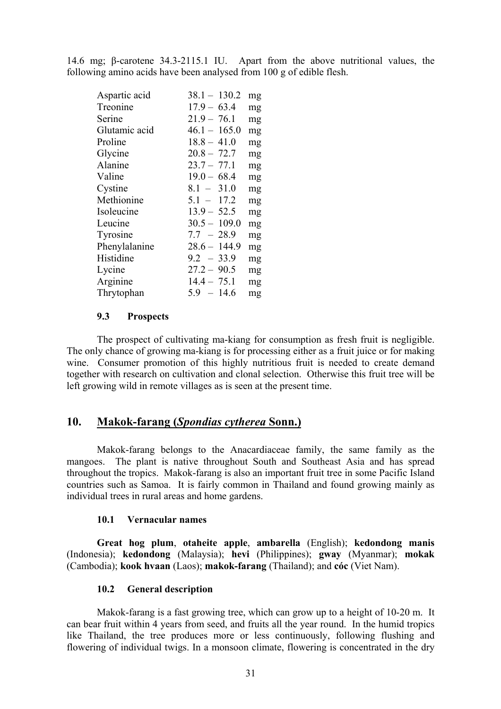14.6 mg; β-carotene 34.3-2115.1 IU. Apart from the above nutritional values, the following amino acids have been analysed from 100 g of edible flesh.

| Aspartic acid | $38.1 - 130.2$ | mg |
|---------------|----------------|----|
| Treonine      | $17.9 - 63.4$  | mg |
| Serine        | $21.9 - 76.1$  | mg |
| Glutamic acid | $46.1 - 165.0$ | mg |
| Proline       | $18.8 - 41.0$  | mg |
| Glycine       | $20.8 - 72.7$  | mg |
| Alanine       | $23.7 - 77.1$  | mg |
| Valine        | $19.0 - 68.4$  | mg |
| Cystine       | $8.1 - 31.0$   | mg |
| Methionine    | $5.1 - 17.2$   | mg |
| Isoleucine    | $13.9 - 52.5$  | mg |
| Leucine       | $30.5 - 109.0$ | mg |
| Tyrosine      | $7.7 - 28.9$   | mg |
| Phenylalanine | $28.6 - 144.9$ | mg |
| Histidine     | $9.2 - 33.9$   | mg |
| Lycine        | $27.2 - 90.5$  | mg |
| Arginine      | $14.4 - 75.1$  | mg |
| Thrytophan    | $5.9 - 14.6$   | mg |

#### **9.3 Prospects**

The prospect of cultivating ma-kiang for consumption as fresh fruit is negligible. The only chance of growing ma-kiang is for processing either as a fruit juice or for making wine. Consumer promotion of this highly nutritious fruit is needed to create demand together with research on cultivation and clonal selection. Otherwise this fruit tree will be left growing wild in remote villages as is seen at the present time.

## **10. Makok-farang (***Spondias cytherea* **Sonn.)**

Makok-farang belongs to the Anacardiaceae family, the same family as the mangoes. The plant is native throughout South and Southeast Asia and has spread throughout the tropics. Makok-farang is also an important fruit tree in some Pacific Island countries such as Samoa. It is fairly common in Thailand and found growing mainly as individual trees in rural areas and home gardens.

#### **10.1 Vernacular names**

**Great hog plum**, **otaheite apple**, **ambarella** (English); **kedondong manis** (Indonesia); **kedondong** (Malaysia); **hevi** (Philippines); **gway** (Myanmar); **mokak** (Cambodia); **kook hvaan** (Laos); **makok-farang** (Thailand); and **cóc** (Viet Nam).

#### **10.2 General description**

Makok-farang is a fast growing tree, which can grow up to a height of 10-20 m. It can bear fruit within 4 years from seed, and fruits all the year round. In the humid tropics like Thailand, the tree produces more or less continuously, following flushing and flowering of individual twigs. In a monsoon climate, flowering is concentrated in the dry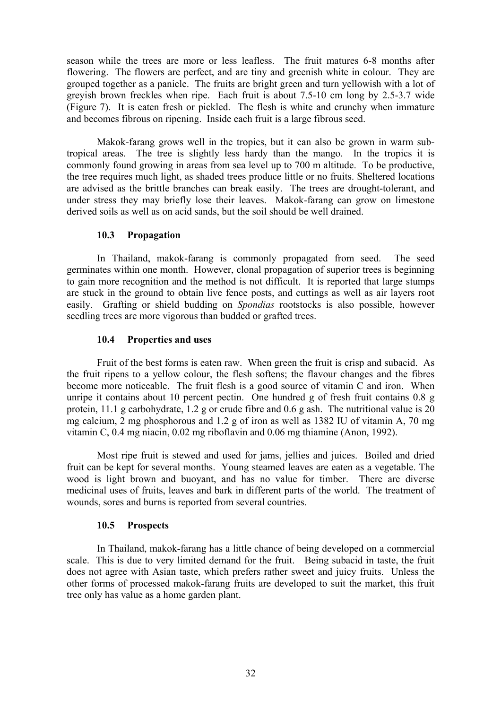season while the trees are more or less leafless. The fruit matures 6-8 months after flowering. The flowers are perfect, and are tiny and greenish white in colour. They are grouped together as a panicle. The fruits are bright green and turn yellowish with a lot of greyish brown freckles when ripe. Each fruit is about 7.5-10 cm long by 2.5-3.7 wide (Figure 7). It is eaten fresh or pickled. The flesh is white and crunchy when immature and becomes fibrous on ripening. Inside each fruit is a large fibrous seed.

Makok-farang grows well in the tropics, but it can also be grown in warm subtropical areas. The tree is slightly less hardy than the mango. In the tropics it is commonly found growing in areas from sea level up to 700 m altitude. To be productive, the tree requires much light, as shaded trees produce little or no fruits. Sheltered locations are advised as the brittle branches can break easily. The trees are drought-tolerant, and under stress they may briefly lose their leaves. Makok-farang can grow on limestone derived soils as well as on acid sands, but the soil should be well drained.

#### **10.3 Propagation**

In Thailand, makok-farang is commonly propagated from seed. The seed germinates within one month. However, clonal propagation of superior trees is beginning to gain more recognition and the method is not difficult. It is reported that large stumps are stuck in the ground to obtain live fence posts, and cuttings as well as air layers root easily. Grafting or shield budding on *Spondias* rootstocks is also possible, however seedling trees are more vigorous than budded or grafted trees.

## **10.4 Properties and uses**

Fruit of the best forms is eaten raw. When green the fruit is crisp and subacid. As the fruit ripens to a yellow colour, the flesh softens; the flavour changes and the fibres become more noticeable. The fruit flesh is a good source of vitamin C and iron. When unripe it contains about 10 percent pectin. One hundred g of fresh fruit contains 0.8 g protein, 11.1 g carbohydrate, 1.2 g or crude fibre and 0.6 g ash. The nutritional value is 20 mg calcium, 2 mg phosphorous and 1.2 g of iron as well as 1382 IU of vitamin A, 70 mg vitamin C, 0.4 mg niacin, 0.02 mg riboflavin and 0.06 mg thiamine (Anon, 1992).

Most ripe fruit is stewed and used for jams, jellies and juices. Boiled and dried fruit can be kept for several months. Young steamed leaves are eaten as a vegetable. The wood is light brown and buoyant, and has no value for timber. There are diverse medicinal uses of fruits, leaves and bark in different parts of the world. The treatment of wounds, sores and burns is reported from several countries.

## **10.5 Prospects**

In Thailand, makok-farang has a little chance of being developed on a commercial scale. This is due to very limited demand for the fruit. Being subacid in taste, the fruit does not agree with Asian taste, which prefers rather sweet and juicy fruits. Unless the other forms of processed makok-farang fruits are developed to suit the market, this fruit tree only has value as a home garden plant.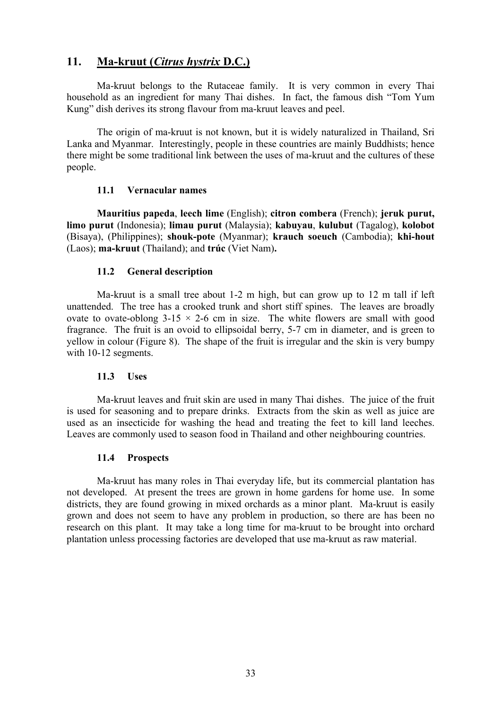## **11. Ma-kruut (***Citrus hystrix* **D.C.)**

Ma-kruut belongs to the Rutaceae family. It is very common in every Thai household as an ingredient for many Thai dishes. In fact, the famous dish "Tom Yum Kung" dish derives its strong flavour from ma-kruut leaves and peel.

The origin of ma-kruut is not known, but it is widely naturalized in Thailand, Sri Lanka and Myanmar. Interestingly, people in these countries are mainly Buddhists; hence there might be some traditional link between the uses of ma-kruut and the cultures of these people.

## **11.1 Vernacular names**

**Mauritius papeda**, **leech lime** (English); **citron combera** (French); **jeruk purut, limo purut** (Indonesia); **limau purut** (Malaysia); **kabuyau**, **kulubut** (Tagalog), **kolobot** (Bisaya), (Philippines); **shouk-pote** (Myanmar); **krauch soeuch** (Cambodia); **khi-hout** (Laos); **ma-kruut** (Thailand); and **trúc** (Viet Nam)**.**

## **11.2 General description**

Ma-kruut is a small tree about 1-2 m high, but can grow up to 12 m tall if left unattended. The tree has a crooked trunk and short stiff spines. The leaves are broadly ovate to ovate-oblong  $3-15 \times 2-6$  cm in size. The white flowers are small with good fragrance. The fruit is an ovoid to ellipsoidal berry, 5-7 cm in diameter, and is green to yellow in colour (Figure 8). The shape of the fruit is irregular and the skin is very bumpy with 10-12 segments.

## **11.3 Uses**

Ma-kruut leaves and fruit skin are used in many Thai dishes. The juice of the fruit is used for seasoning and to prepare drinks. Extracts from the skin as well as juice are used as an insecticide for washing the head and treating the feet to kill land leeches. Leaves are commonly used to season food in Thailand and other neighbouring countries.

#### **11.4 Prospects**

Ma-kruut has many roles in Thai everyday life, but its commercial plantation has not developed. At present the trees are grown in home gardens for home use. In some districts, they are found growing in mixed orchards as a minor plant. Ma-kruut is easily grown and does not seem to have any problem in production, so there are has been no research on this plant. It may take a long time for ma-kruut to be brought into orchard plantation unless processing factories are developed that use ma-kruut as raw material.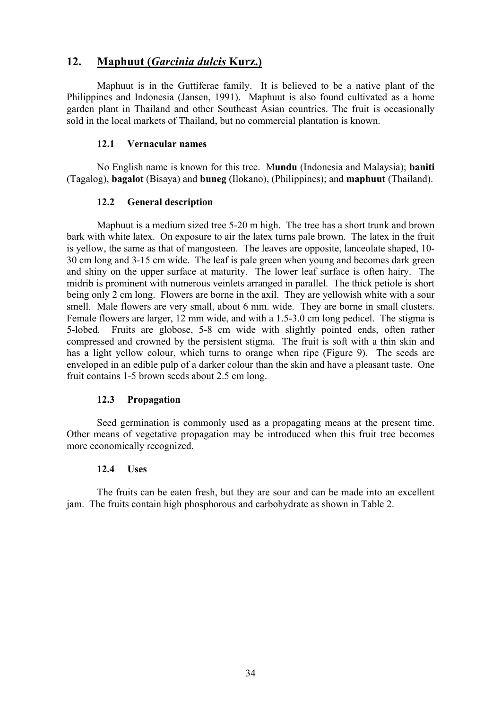## **12. Maphuut (***Garcinia dulcis* **Kurz.)**

Maphuut is in the Guttiferae family. It is believed to be a native plant of the Philippines and Indonesia (Jansen, 1991). Maphuut is also found cultivated as a home garden plant in Thailand and other Southeast Asian countries. The fruit is occasionally sold in the local markets of Thailand, but no commercial plantation is known.

## **12.1 Vernacular names**

No English name is known for this tree. M**undu** (Indonesia and Malaysia); **baniti** (Tagalog), **bagalot** (Bisaya) and **buneg** (Ilokano), (Philippines); and **maphuut** (Thailand).

## **12.2 General description**

Maphuut is a medium sized tree 5-20 m high. The tree has a short trunk and brown bark with white latex. On exposure to air the latex turns pale brown. The latex in the fruit is yellow, the same as that of mangosteen. The leaves are opposite, lanceolate shaped, 10- 30 cm long and 3-15 cm wide. The leaf is pale green when young and becomes dark green and shiny on the upper surface at maturity. The lower leaf surface is often hairy. The midrib is prominent with numerous veinlets arranged in parallel. The thick petiole is short being only 2 cm long. Flowers are borne in the axil. They are yellowish white with a sour smell. Male flowers are very small, about 6 mm. wide. They are borne in small clusters. Female flowers are larger, 12 mm wide, and with a 1.5-3.0 cm long pedicel. The stigma is 5-lobed. Fruits are globose, 5-8 cm wide with slightly pointed ends, often rather compressed and crowned by the persistent stigma. The fruit is soft with a thin skin and has a light yellow colour, which turns to orange when ripe (Figure 9). The seeds are enveloped in an edible pulp of a darker colour than the skin and have a pleasant taste. One fruit contains 1-5 brown seeds about 2.5 cm long.

## **12.3 Propagation**

Seed germination is commonly used as a propagating means at the present time. Other means of vegetative propagation may be introduced when this fruit tree becomes more economically recognized.

## **12.4 Uses**

The fruits can be eaten fresh, but they are sour and can be made into an excellent jam. The fruits contain high phosphorous and carbohydrate as shown in Table 2.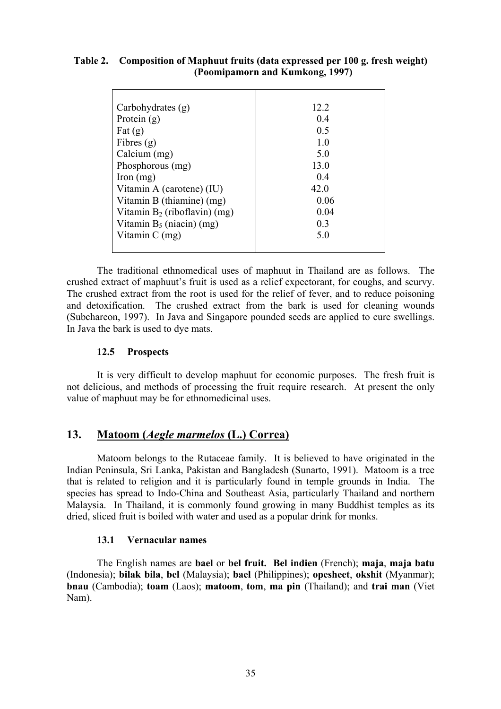## **Table 2. Composition of Maphuut fruits (data expressed per 100 g. fresh weight) (Poomipamorn and Kumkong, 1997)**

| Carbohydrates (g)               | 12.2           |
|---------------------------------|----------------|
| Protein $(g)$                   | 04             |
| Fat $(g)$                       | 0.5            |
| Fibres $(g)$                    | 1.0            |
| Calcium (mg)                    | 5.0            |
| Phosphorous (mg)                | 13.0           |
| Iron $(mg)$                     | 04             |
| Vitamin A (carotene) (IU)       | 42.0           |
| Vitamin B (thiamine) (mg)       | 0.06           |
| Vitamin $B_2$ (riboflavin) (mg) | 0.04           |
| Vitamin $B_5$ (niacin) (mg)     | 0 <sub>3</sub> |
| Vitamin C (mg)                  | 5.0            |
|                                 |                |

The traditional ethnomedical uses of maphuut in Thailand are as follows. The crushed extract of maphuut's fruit is used as a relief expectorant, for coughs, and scurvy. The crushed extract from the root is used for the relief of fever, and to reduce poisoning and detoxification. The crushed extract from the bark is used for cleaning wounds (Subchareon, 1997). In Java and Singapore pounded seeds are applied to cure swellings. In Java the bark is used to dye mats.

## **12.5 Prospects**

It is very difficult to develop maphuut for economic purposes. The fresh fruit is not delicious, and methods of processing the fruit require research. At present the only value of maphuut may be for ethnomedicinal uses.

## **13. Matoom (***Aegle marmelos* **(L.) Correa)**

Matoom belongs to the Rutaceae family. It is believed to have originated in the Indian Peninsula, Sri Lanka, Pakistan and Bangladesh (Sunarto, 1991). Matoom is a tree that is related to religion and it is particularly found in temple grounds in India. The species has spread to Indo-China and Southeast Asia, particularly Thailand and northern Malaysia. In Thailand, it is commonly found growing in many Buddhist temples as its dried, sliced fruit is boiled with water and used as a popular drink for monks.

## **13.1 Vernacular names**

The English names are **bael** or **bel fruit. Bel indien** (French); **maja**, **maja batu** (Indonesia); **bilak bila**, **bel** (Malaysia); **bael** (Philippines); **opesheet**, **okshit** (Myanmar); **bnau** (Cambodia); **toam** (Laos); **matoom**, **tom**, **ma pin** (Thailand); and **trai man** (Viet Nam).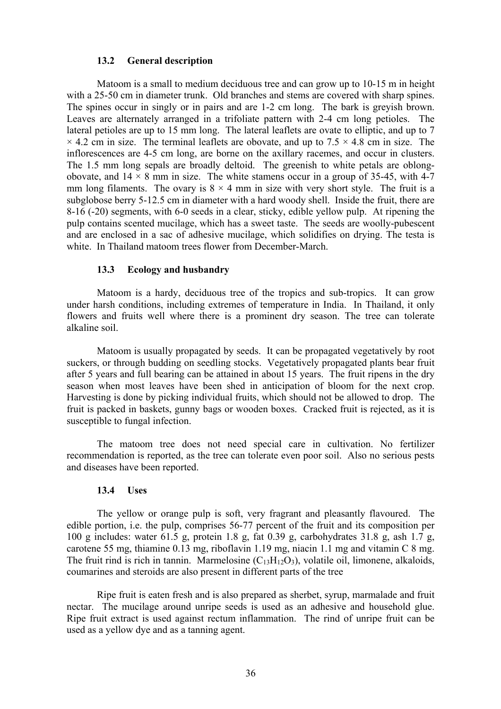#### **13.2 General description**

Matoom is a small to medium deciduous tree and can grow up to 10-15 m in height with a 25-50 cm in diameter trunk. Old branches and stems are covered with sharp spines. The spines occur in singly or in pairs and are 1-2 cm long. The bark is greyish brown. Leaves are alternately arranged in a trifoliate pattern with 2-4 cm long petioles. The lateral petioles are up to 15 mm long. The lateral leaflets are ovate to elliptic, and up to 7  $\times$  4.2 cm in size. The terminal leaflets are obovate, and up to 7.5  $\times$  4.8 cm in size. The inflorescences are 4-5 cm long, are borne on the axillary racemes, and occur in clusters. The 1.5 mm long sepals are broadly deltoid. The greenish to white petals are oblongobovate, and  $14 \times 8$  mm in size. The white stamens occur in a group of 35-45, with 4-7 mm long filaments. The ovary is  $8 \times 4$  mm in size with very short style. The fruit is a subglobose berry 5-12.5 cm in diameter with a hard woody shell. Inside the fruit, there are 8-16 (-20) segments, with 6-0 seeds in a clear, sticky, edible yellow pulp. At ripening the pulp contains scented mucilage, which has a sweet taste. The seeds are woolly-pubescent and are enclosed in a sac of adhesive mucilage, which solidifies on drying. The testa is white. In Thailand matoom trees flower from December-March.

#### **13.3 Ecology and husbandry**

Matoom is a hardy, deciduous tree of the tropics and sub-tropics. It can grow under harsh conditions, including extremes of temperature in India. In Thailand, it only flowers and fruits well where there is a prominent dry season. The tree can tolerate alkaline soil.

Matoom is usually propagated by seeds. It can be propagated vegetatively by root suckers, or through budding on seedling stocks. Vegetatively propagated plants bear fruit after 5 years and full bearing can be attained in about 15 years. The fruit ripens in the dry season when most leaves have been shed in anticipation of bloom for the next crop. Harvesting is done by picking individual fruits, which should not be allowed to drop. The fruit is packed in baskets, gunny bags or wooden boxes. Cracked fruit is rejected, as it is susceptible to fungal infection.

The matoom tree does not need special care in cultivation. No fertilizer recommendation is reported, as the tree can tolerate even poor soil. Also no serious pests and diseases have been reported.

#### **13.4 Uses**

The yellow or orange pulp is soft, very fragrant and pleasantly flavoured. The edible portion, i.e. the pulp, comprises 56-77 percent of the fruit and its composition per 100 g includes: water 61.5 g, protein 1.8 g, fat 0.39 g, carbohydrates 31.8 g, ash 1.7 g, carotene 55 mg, thiamine 0.13 mg, riboflavin 1.19 mg, niacin 1.1 mg and vitamin C 8 mg. The fruit rind is rich in tannin. Marmelosine  $(C_{13}H_{12}O_3)$ , volatile oil, limonene, alkaloids, coumarines and steroids are also present in different parts of the tree

Ripe fruit is eaten fresh and is also prepared as sherbet, syrup, marmalade and fruit nectar. The mucilage around unripe seeds is used as an adhesive and household glue. Ripe fruit extract is used against rectum inflammation. The rind of unripe fruit can be used as a yellow dye and as a tanning agent.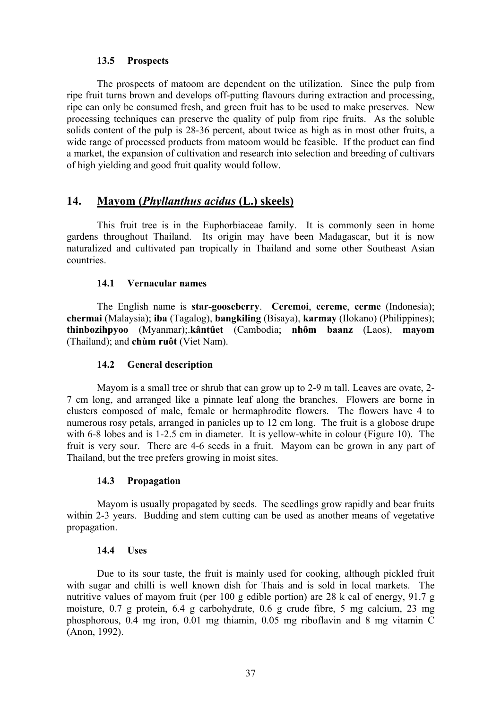## **13.5 Prospects**

The prospects of matoom are dependent on the utilization. Since the pulp from ripe fruit turns brown and develops off-putting flavours during extraction and processing, ripe can only be consumed fresh, and green fruit has to be used to make preserves. New processing techniques can preserve the quality of pulp from ripe fruits. As the soluble solids content of the pulp is 28-36 percent, about twice as high as in most other fruits, a wide range of processed products from matoom would be feasible. If the product can find a market, the expansion of cultivation and research into selection and breeding of cultivars of high yielding and good fruit quality would follow.

## **14. Mayom (***Phyllanthus acidus* **(L.) skeels)**

This fruit tree is in the Euphorbiaceae family. It is commonly seen in home gardens throughout Thailand. Its origin may have been Madagascar, but it is now naturalized and cultivated pan tropically in Thailand and some other Southeast Asian countries.

#### **14.1 Vernacular names**

The English name is **star-gooseberry**. **Ceremoi**, **cereme**, **cerme** (Indonesia); **chermai** (Malaysia); **iba** (Tagalog), **bangkiling** (Bisaya), **karmay** (Ilokano) (Philippines); **thinbozihpyoo** (Myanmar);.**kântûet** (Cambodia; **nhôm baanz** (Laos), **mayom** (Thailand); and **chùm ruôt** (Viet Nam).

## **14.2 General description**

Mayom is a small tree or shrub that can grow up to 2-9 m tall. Leaves are ovate, 2- 7 cm long, and arranged like a pinnate leaf along the branches. Flowers are borne in clusters composed of male, female or hermaphrodite flowers. The flowers have 4 to numerous rosy petals, arranged in panicles up to 12 cm long. The fruit is a globose drupe with 6-8 lobes and is 1-2.5 cm in diameter. It is yellow-white in colour (Figure 10). The fruit is very sour. There are 4-6 seeds in a fruit. Mayom can be grown in any part of Thailand, but the tree prefers growing in moist sites.

## **14.3 Propagation**

Mayom is usually propagated by seeds. The seedlings grow rapidly and bear fruits within 2-3 years. Budding and stem cutting can be used as another means of vegetative propagation.

#### **14.4 Uses**

Due to its sour taste, the fruit is mainly used for cooking, although pickled fruit with sugar and chilli is well known dish for Thais and is sold in local markets. The nutritive values of mayom fruit (per 100 g edible portion) are 28 k cal of energy, 91.7 g moisture, 0.7 g protein, 6.4 g carbohydrate, 0.6 g crude fibre, 5 mg calcium, 23 mg phosphorous, 0.4 mg iron, 0.01 mg thiamin, 0.05 mg riboflavin and 8 mg vitamin C (Anon, 1992).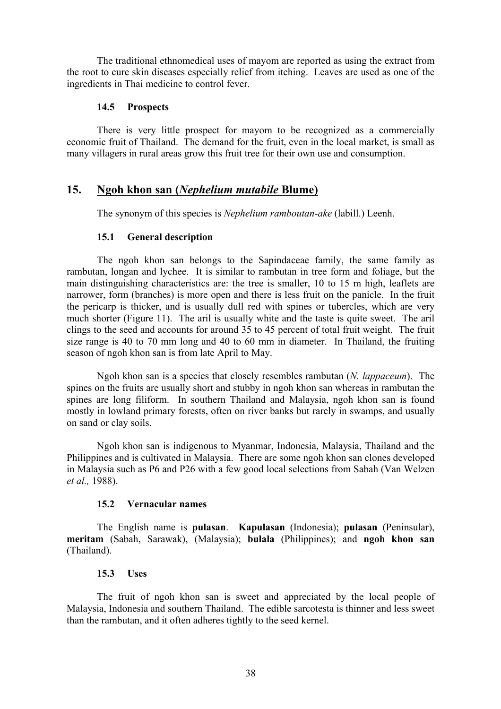The traditional ethnomedical uses of mayom are reported as using the extract from the root to cure skin diseases especially relief from itching. Leaves are used as one of the ingredients in Thai medicine to control fever.

## **14.5 Prospects**

There is very little prospect for mayom to be recognized as a commercially economic fruit of Thailand. The demand for the fruit, even in the local market, is small as many villagers in rural areas grow this fruit tree for their own use and consumption.

## **15. Ngoh khon san (***Nephelium mutabile* **Blume)**

The synonym of this species is *Nephelium ramboutan-ake* (labill.) Leenh.

## **15.1 General description**

The ngoh khon san belongs to the Sapindaceae family, the same family as rambutan, longan and lychee. It is similar to rambutan in tree form and foliage, but the main distinguishing characteristics are: the tree is smaller, 10 to 15 m high, leaflets are narrower, form (branches) is more open and there is less fruit on the panicle. In the fruit the pericarp is thicker, and is usually dull red with spines or tubercles, which are very much shorter (Figure 11). The aril is usually white and the taste is quite sweet. The aril clings to the seed and accounts for around 35 to 45 percent of total fruit weight. The fruit size range is 40 to 70 mm long and 40 to 60 mm in diameter. In Thailand, the fruiting season of ngoh khon san is from late April to May.

Ngoh khon san is a species that closely resembles rambutan (*N. lappaceum*). The spines on the fruits are usually short and stubby in ngoh khon san whereas in rambutan the spines are long filiform. In southern Thailand and Malaysia, ngoh khon san is found mostly in lowland primary forests, often on river banks but rarely in swamps, and usually on sand or clay soils.

Ngoh khon san is indigenous to Myanmar, Indonesia, Malaysia, Thailand and the Philippines and is cultivated in Malaysia. There are some ngoh khon san clones developed in Malaysia such as P6 and P26 with a few good local selections from Sabah (Van Welzen *et al.,* 1988).

## **15.2 Vernacular names**

The English name is **pulasan**. **Kapulasan** (Indonesia); **pulasan** (Peninsular), **meritam** (Sabah, Sarawak), (Malaysia); **bulala** (Philippines); and **ngoh khon san** (Thailand).

## **15.3 Uses**

The fruit of ngoh khon san is sweet and appreciated by the local people of Malaysia, Indonesia and southern Thailand. The edible sarcotesta is thinner and less sweet than the rambutan, and it often adheres tightly to the seed kernel.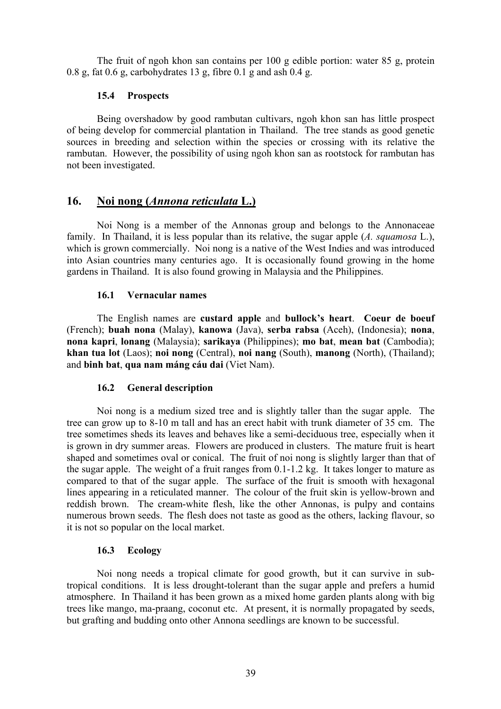The fruit of ngoh khon san contains per 100 g edible portion: water 85 g, protein 0.8 g, fat 0.6 g, carbohydrates 13 g, fibre 0.1 g and ash 0.4 g.

## **15.4 Prospects**

Being overshadow by good rambutan cultivars, ngoh khon san has little prospect of being develop for commercial plantation in Thailand. The tree stands as good genetic sources in breeding and selection within the species or crossing with its relative the rambutan. However, the possibility of using ngoh khon san as rootstock for rambutan has not been investigated.

## **16. Noi nong (***Annona reticulata* **L.)**

Noi Nong is a member of the Annonas group and belongs to the Annonaceae family. In Thailand, it is less popular than its relative, the sugar apple (*A. squamosa* L.), which is grown commercially. Noi nong is a native of the West Indies and was introduced into Asian countries many centuries ago. It is occasionally found growing in the home gardens in Thailand. It is also found growing in Malaysia and the Philippines.

## **16.1 Vernacular names**

The English names are **custard apple** and **bullock's heart**. **Coeur de boeuf** (French); **buah nona** (Malay), **kanowa** (Java), **serba rabsa** (Aceh), (Indonesia); **nona**, **nona kapri**, **lonang** (Malaysia); **sarikaya** (Philippines); **mo bat**, **mean bat** (Cambodia); **khan tua lot** (Laos); **noi nong** (Central), **noi nang** (South), **manong** (North), (Thailand); and **binh bat**, **qua nam máng cáu dai** (Viet Nam).

## **16.2 General description**

Noi nong is a medium sized tree and is slightly taller than the sugar apple. The tree can grow up to 8-10 m tall and has an erect habit with trunk diameter of 35 cm. The tree sometimes sheds its leaves and behaves like a semi-deciduous tree, especially when it is grown in dry summer areas. Flowers are produced in clusters. The mature fruit is heart shaped and sometimes oval or conical. The fruit of noi nong is slightly larger than that of the sugar apple. The weight of a fruit ranges from 0.1-1.2 kg. It takes longer to mature as compared to that of the sugar apple. The surface of the fruit is smooth with hexagonal lines appearing in a reticulated manner. The colour of the fruit skin is yellow-brown and reddish brown. The cream-white flesh, like the other Annonas, is pulpy and contains numerous brown seeds. The flesh does not taste as good as the others, lacking flavour, so it is not so popular on the local market.

## **16.3 Ecology**

Noi nong needs a tropical climate for good growth, but it can survive in subtropical conditions. It is less drought-tolerant than the sugar apple and prefers a humid atmosphere. In Thailand it has been grown as a mixed home garden plants along with big trees like mango, ma-praang, coconut etc. At present, it is normally propagated by seeds, but grafting and budding onto other Annona seedlings are known to be successful.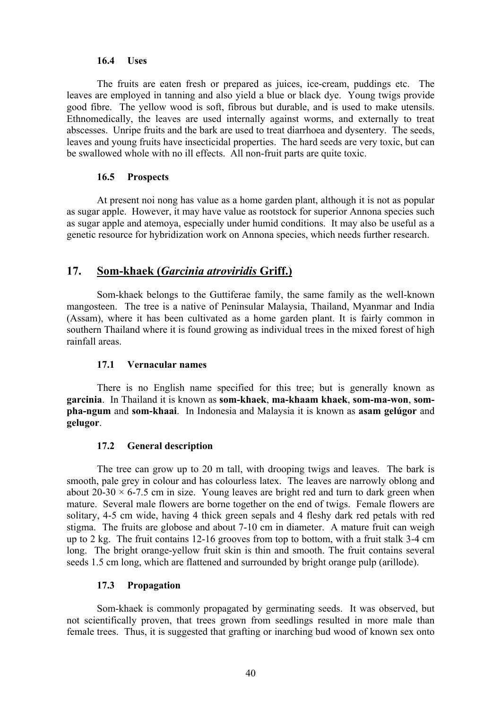#### **16.4 Uses**

The fruits are eaten fresh or prepared as juices, ice-cream, puddings etc. The leaves are employed in tanning and also yield a blue or black dye. Young twigs provide good fibre. The yellow wood is soft, fibrous but durable, and is used to make utensils. Ethnomedically, the leaves are used internally against worms, and externally to treat abscesses. Unripe fruits and the bark are used to treat diarrhoea and dysentery. The seeds, leaves and young fruits have insecticidal properties. The hard seeds are very toxic, but can be swallowed whole with no ill effects. All non-fruit parts are quite toxic.

#### **16.5 Prospects**

At present noi nong has value as a home garden plant, although it is not as popular as sugar apple. However, it may have value as rootstock for superior Annona species such as sugar apple and atemoya, especially under humid conditions. It may also be useful as a genetic resource for hybridization work on Annona species, which needs further research.

## **17. Som-khaek (***Garcinia atroviridis* **Griff.)**

Som-khaek belongs to the Guttiferae family, the same family as the well-known mangosteen. The tree is a native of Peninsular Malaysia, Thailand, Myanmar and India (Assam), where it has been cultivated as a home garden plant. It is fairly common in southern Thailand where it is found growing as individual trees in the mixed forest of high rainfall areas.

#### **17.1 Vernacular names**

There is no English name specified for this tree; but is generally known as **garcinia**. In Thailand it is known as **som-khaek**, **ma-khaam khaek**, **som-ma-won**, **sompha-ngum** and **som-khaai**. In Indonesia and Malaysia it is known as **asam gelúgor** and **gelugor**.

#### **17.2 General description**

The tree can grow up to 20 m tall, with drooping twigs and leaves. The bark is smooth, pale grey in colour and has colourless latex. The leaves are narrowly oblong and about 20-30  $\times$  6-7.5 cm in size. Young leaves are bright red and turn to dark green when mature. Several male flowers are borne together on the end of twigs. Female flowers are solitary, 4-5 cm wide, having 4 thick green sepals and 4 fleshy dark red petals with red stigma. The fruits are globose and about 7-10 cm in diameter. A mature fruit can weigh up to 2 kg. The fruit contains 12-16 grooves from top to bottom, with a fruit stalk 3-4 cm long. The bright orange-yellow fruit skin is thin and smooth. The fruit contains several seeds 1.5 cm long, which are flattened and surrounded by bright orange pulp (arillode).

#### **17.3 Propagation**

Som-khaek is commonly propagated by germinating seeds. It was observed, but not scientifically proven, that trees grown from seedlings resulted in more male than female trees. Thus, it is suggested that grafting or inarching bud wood of known sex onto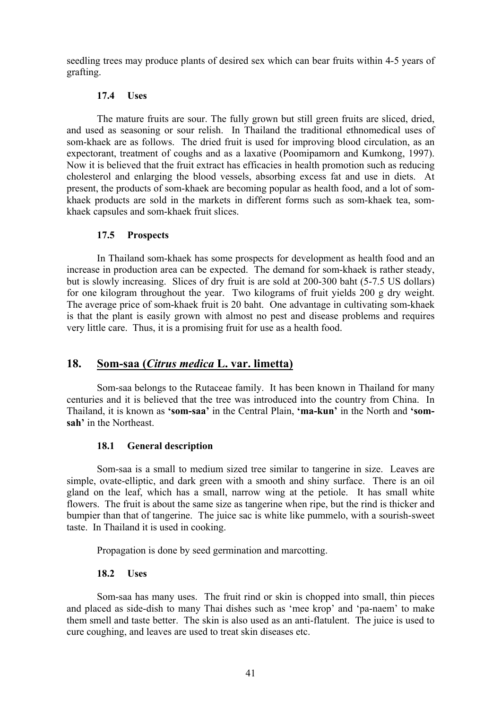seedling trees may produce plants of desired sex which can bear fruits within 4-5 years of grafting.

## **17.4 Uses**

The mature fruits are sour. The fully grown but still green fruits are sliced, dried, and used as seasoning or sour relish. In Thailand the traditional ethnomedical uses of som-khaek are as follows. The dried fruit is used for improving blood circulation, as an expectorant, treatment of coughs and as a laxative (Poomipamorn and Kumkong, 1997). Now it is believed that the fruit extract has efficacies in health promotion such as reducing cholesterol and enlarging the blood vessels, absorbing excess fat and use in diets. At present, the products of som-khaek are becoming popular as health food, and a lot of somkhaek products are sold in the markets in different forms such as som-khaek tea, somkhaek capsules and som-khaek fruit slices.

## **17.5 Prospects**

In Thailand som-khaek has some prospects for development as health food and an increase in production area can be expected. The demand for som-khaek is rather steady, but is slowly increasing. Slices of dry fruit is are sold at 200-300 baht (5-7.5 US dollars) for one kilogram throughout the year. Two kilograms of fruit yields 200 g dry weight. The average price of som-khaek fruit is 20 baht. One advantage in cultivating som-khaek is that the plant is easily grown with almost no pest and disease problems and requires very little care. Thus, it is a promising fruit for use as a health food.

## **18. Som-saa (***Citrus medica* **L. var. limetta)**

Som-saa belongs to the Rutaceae family. It has been known in Thailand for many centuries and it is believed that the tree was introduced into the country from China. In Thailand, it is known as **'som-saa'** in the Central Plain, **'ma-kun'** in the North and **'somsah'** in the Northeast.

## **18.1 General description**

Som-saa is a small to medium sized tree similar to tangerine in size. Leaves are simple, ovate-elliptic, and dark green with a smooth and shiny surface. There is an oil gland on the leaf, which has a small, narrow wing at the petiole. It has small white flowers. The fruit is about the same size as tangerine when ripe, but the rind is thicker and bumpier than that of tangerine. The juice sac is white like pummelo, with a sourish-sweet taste. In Thailand it is used in cooking.

Propagation is done by seed germination and marcotting.

#### **18.2 Uses**

Som-saa has many uses. The fruit rind or skin is chopped into small, thin pieces and placed as side-dish to many Thai dishes such as 'mee krop' and 'pa-naem' to make them smell and taste better. The skin is also used as an anti-flatulent. The juice is used to cure coughing, and leaves are used to treat skin diseases etc.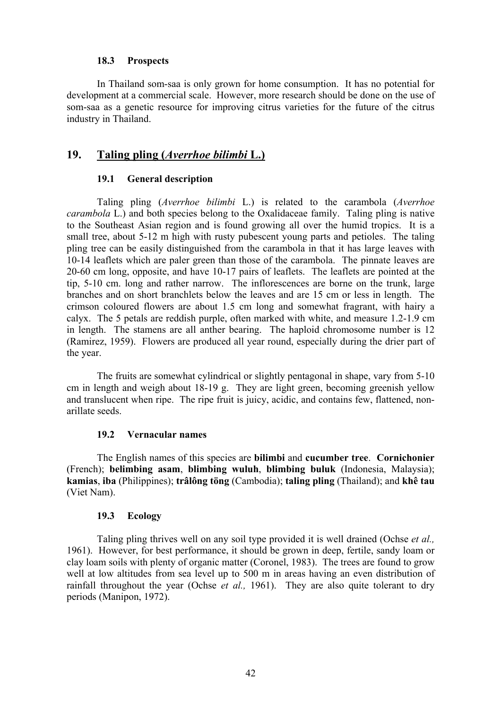#### **18.3 Prospects**

In Thailand som-saa is only grown for home consumption. It has no potential for development at a commercial scale. However, more research should be done on the use of som-saa as a genetic resource for improving citrus varieties for the future of the citrus industry in Thailand.

## **19. Taling pling (***Averrhoe bilimbi* **L.)**

#### **19.1 General description**

Taling pling (*Averrhoe bilimbi* L.) is related to the carambola (*Averrhoe carambola* L.) and both species belong to the Oxalidaceae family. Taling pling is native to the Southeast Asian region and is found growing all over the humid tropics. It is a small tree, about 5-12 m high with rusty pubescent young parts and petioles. The taling pling tree can be easily distinguished from the carambola in that it has large leaves with 10-14 leaflets which are paler green than those of the carambola. The pinnate leaves are 20-60 cm long, opposite, and have 10-17 pairs of leaflets. The leaflets are pointed at the tip, 5-10 cm. long and rather narrow. The inflorescences are borne on the trunk, large branches and on short branchlets below the leaves and are 15 cm or less in length. The crimson coloured flowers are about 1.5 cm long and somewhat fragrant, with hairy a calyx. The 5 petals are reddish purple, often marked with white, and measure 1.2-1.9 cm in length. The stamens are all anther bearing. The haploid chromosome number is 12 (Ramirez, 1959). Flowers are produced all year round, especially during the drier part of the year.

The fruits are somewhat cylindrical or slightly pentagonal in shape, vary from 5-10 cm in length and weigh about 18-19 g. They are light green, becoming greenish yellow and translucent when ripe. The ripe fruit is juicy, acidic, and contains few, flattened, nonarillate seeds.

#### **19.2 Vernacular names**

The English names of this species are **bilimbi** and **cucumber tree**. **Cornichonier** (French); **belimbing asam**, **blimbing wuluh**, **blimbing buluk** (Indonesia, Malaysia); **kamias**, **iba** (Philippines); **trâlông töng** (Cambodia); **taling pling** (Thailand); and **khê tau** (Viet Nam).

#### **19.3 Ecology**

Taling pling thrives well on any soil type provided it is well drained (Ochse *et al.,* 1961). However, for best performance, it should be grown in deep, fertile, sandy loam or clay loam soils with plenty of organic matter (Coronel, 1983). The trees are found to grow well at low altitudes from sea level up to 500 m in areas having an even distribution of rainfall throughout the year (Ochse *et al.,* 1961). They are also quite tolerant to dry periods (Manipon, 1972).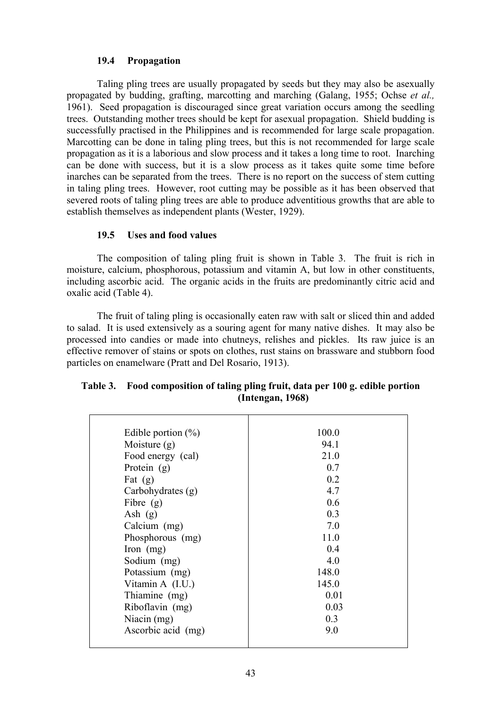## **19.4 Propagation**

Taling pling trees are usually propagated by seeds but they may also be asexually propagated by budding, grafting, marcotting and marching (Galang, 1955; Ochse *et al.,* 1961). Seed propagation is discouraged since great variation occurs among the seedling trees. Outstanding mother trees should be kept for asexual propagation. Shield budding is successfully practised in the Philippines and is recommended for large scale propagation. Marcotting can be done in taling pling trees, but this is not recommended for large scale propagation as it is a laborious and slow process and it takes a long time to root. Inarching can be done with success, but it is a slow process as it takes quite some time before inarches can be separated from the trees. There is no report on the success of stem cutting in taling pling trees. However, root cutting may be possible as it has been observed that severed roots of taling pling trees are able to produce adventitious growths that are able to establish themselves as independent plants (Wester, 1929).

#### **19.5 Uses and food values**

The composition of taling pling fruit is shown in Table 3. The fruit is rich in moisture, calcium, phosphorous, potassium and vitamin A, but low in other constituents, including ascorbic acid. The organic acids in the fruits are predominantly citric acid and oxalic acid (Table 4).

The fruit of taling pling is occasionally eaten raw with salt or sliced thin and added to salad. It is used extensively as a souring agent for many native dishes. It may also be processed into candies or made into chutneys, relishes and pickles. Its raw juice is an effective remover of stains or spots on clothes, rust stains on brassware and stubborn food particles on enamelware (Pratt and Del Rosario, 1913).

| Edible portion $(\%)$ | 100.0 |
|-----------------------|-------|
| Moisture $(g)$        | 94.1  |
| Food energy (cal)     | 21.0  |
| Protein $(g)$         | 0.7   |
| Fat $(g)$             | 0.2   |
| Carbohydrates (g)     | 4.7   |
| Fibre $(g)$           | 0.6   |
| Ash $(g)$             | 0.3   |
| Calcium (mg)          | 7.0   |
| Phosphorous (mg)      | 11.0  |
| Iron $(mg)$           | 0.4   |
| Sodium (mg)           | 4.0   |
| Potassium (mg)        | 148.0 |
| Vitamin $A$ (I.U.)    | 145.0 |
| Thiamine (mg)         | 0.01  |
| Riboflavin (mg)       | 0.03  |
| Niacin $(mg)$         | 0.3   |
| Ascorbic acid (mg)    | 9.0   |
|                       |       |

## **Table 3. Food composition of taling pling fruit, data per 100 g. edible portion (Intengan, 1968)**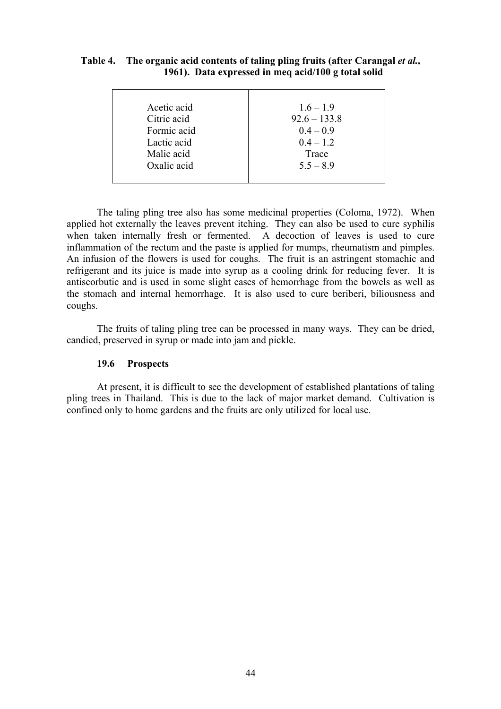## **Table 4. The organic acid contents of taling pling fruits (after Carangal** *et al.,* **1961). Data expressed in meq acid/100 g total solid**

| Acetic acid | $1.6 - 1.9$    |
|-------------|----------------|
| Citric acid | $92.6 - 133.8$ |
| Formic acid | $0.4 - 0.9$    |
| Lactic acid | $0.4 - 1.2$    |
| Malic acid  | Trace          |
| Oxalic acid | $5.5 - 8.9$    |
|             |                |

The taling pling tree also has some medicinal properties (Coloma, 1972). When applied hot externally the leaves prevent itching. They can also be used to cure syphilis when taken internally fresh or fermented. A decoction of leaves is used to cure inflammation of the rectum and the paste is applied for mumps, rheumatism and pimples. An infusion of the flowers is used for coughs. The fruit is an astringent stomachic and refrigerant and its juice is made into syrup as a cooling drink for reducing fever. It is antiscorbutic and is used in some slight cases of hemorrhage from the bowels as well as the stomach and internal hemorrhage. It is also used to cure beriberi, biliousness and coughs.

The fruits of taling pling tree can be processed in many ways. They can be dried, candied, preserved in syrup or made into jam and pickle.

#### **19.6 Prospects**

At present, it is difficult to see the development of established plantations of taling pling trees in Thailand. This is due to the lack of major market demand. Cultivation is confined only to home gardens and the fruits are only utilized for local use.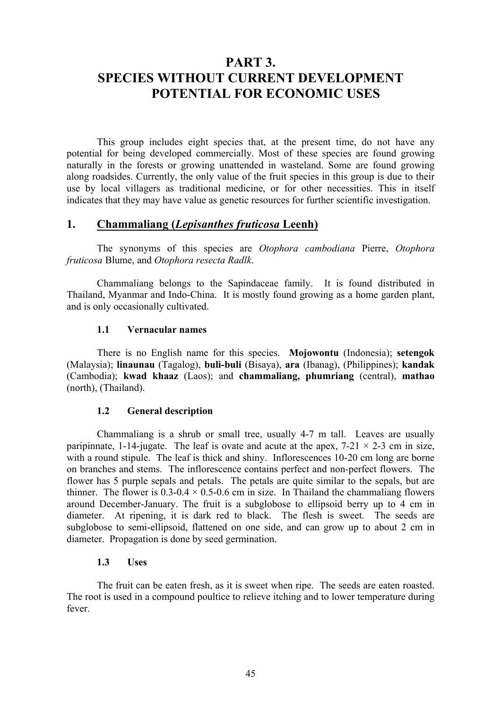# **PART 3. SPECIES WITHOUT CURRENT DEVELOPMENT POTENTIAL FOR ECONOMIC USES**

This group includes eight species that, at the present time, do not have any potential for being developed commercially. Most of these species are found growing naturally in the forests or growing unattended in wasteland. Some are found growing along roadsides. Currently, the only value of the fruit species in this group is due to their use by local villagers as traditional medicine, or for other necessities. This in itself indicates that they may have value as genetic resources for further scientific investigation.

## **1. Chammaliang (***Lepisanthes fruticosa* **Leenh)**

The synonyms of this species are *Otophora cambodiana* Pierre, *Otophora fruticosa* Blume, and *Otophora resecta Radlk*.

Chammaliang belongs to the Sapindaceae family. It is found distributed in Thailand, Myanmar and Indo-China. It is mostly found growing as a home garden plant, and is only occasionally cultivated.

#### **1.1 Vernacular names**

There is no English name for this species. **Mojowontu** (Indonesia); **setengok** (Malaysia); **linaunau** (Tagalog), **buli-buli** (Bisaya), **ara** (Ibanag), (Philippines); **kandak** (Cambodia); **kwad khaaz** (Laos); and **chammaliang, phumriang** (central), **mathao** (north), (Thailand).

#### **1.2 General description**

Chammaliang is a shrub or small tree, usually 4-7 m tall. Leaves are usually paripinnate, 1-14-jugate. The leaf is ovate and acute at the apex,  $7-21 \times 2-3$  cm in size, with a round stipule. The leaf is thick and shiny. Inflorescences 10-20 cm long are borne on branches and stems. The inflorescence contains perfect and non-perfect flowers. The flower has 5 purple sepals and petals. The petals are quite similar to the sepals, but are thinner. The flower is  $0.3\n-0.4 \times 0.5\n-0.6$  cm in size. In Thailand the chammaliang flowers around December-January. The fruit is a subglobose to ellipsoid berry up to 4 cm in diameter. At ripening, it is dark red to black. The flesh is sweet. The seeds are subglobose to semi-ellipsoid, flattened on one side, and can grow up to about 2 cm in diameter. Propagation is done by seed germination.

#### **1.3 Uses**

The fruit can be eaten fresh, as it is sweet when ripe. The seeds are eaten roasted. The root is used in a compound poultice to relieve itching and to lower temperature during fever.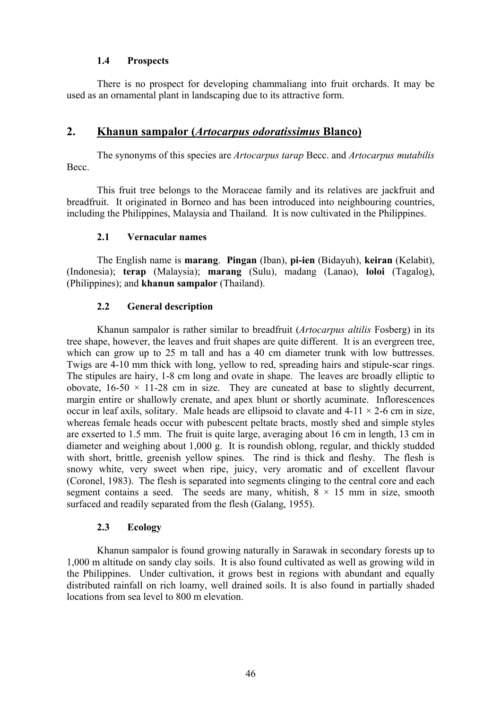## **1.4 Prospects**

There is no prospect for developing chammaliang into fruit orchards. It may be used as an ornamental plant in landscaping due to its attractive form.

## **2. Khanun sampalor (***Artocarpus odoratissimus* **Blanco)**

The synonyms of this species are *Artocarpus tarap* Becc. and *Artocarpus mutabilis* Becc.

This fruit tree belongs to the Moraceae family and its relatives are jackfruit and breadfruit. It originated in Borneo and has been introduced into neighbouring countries, including the Philippines, Malaysia and Thailand. It is now cultivated in the Philippines.

## **2.1 Vernacular names**

The English name is **marang**. **Pingan** (Iban), **pi-ien** (Bidayuh), **keiran** (Kelabit), (Indonesia); **terap** (Malaysia); **marang** (Sulu), madang (Lanao), **loloi** (Tagalog), (Philippines); and **khanun sampalor** (Thailand).

## **2.2 General description**

Khanun sampalor is rather similar to breadfruit (*Artocarpus altilis* Fosberg) in its tree shape, however, the leaves and fruit shapes are quite different. It is an evergreen tree, which can grow up to 25 m tall and has a 40 cm diameter trunk with low buttresses. Twigs are 4-10 mm thick with long, yellow to red, spreading hairs and stipule-scar rings. The stipules are hairy, 1-8 cm long and ovate in shape. The leaves are broadly elliptic to obovate,  $16-50 \times 11-28$  cm in size. They are cuneated at base to slightly decurrent, margin entire or shallowly crenate, and apex blunt or shortly acuminate. Inflorescences occur in leaf axils, solitary. Male heads are ellipsoid to clavate and  $4-11 \times 2-6$  cm in size, whereas female heads occur with pubescent peltate bracts, mostly shed and simple styles are exserted to 1.5 mm. The fruit is quite large, averaging about 16 cm in length, 13 cm in diameter and weighing about 1,000 g. It is roundish oblong, regular, and thickly studded with short, brittle, greenish yellow spines. The rind is thick and fleshy. The flesh is snowy white, very sweet when ripe, juicy, very aromatic and of excellent flavour (Coronel, 1983). The flesh is separated into segments clinging to the central core and each segment contains a seed. The seeds are many, whitish,  $8 \times 15$  mm in size, smooth surfaced and readily separated from the flesh (Galang, 1955).

## **2.3 Ecology**

Khanun sampalor is found growing naturally in Sarawak in secondary forests up to 1,000 m altitude on sandy clay soils. It is also found cultivated as well as growing wild in the Philippines. Under cultivation, it grows best in regions with abundant and equally distributed rainfall on rich loamy, well drained soils. It is also found in partially shaded locations from sea level to 800 m elevation.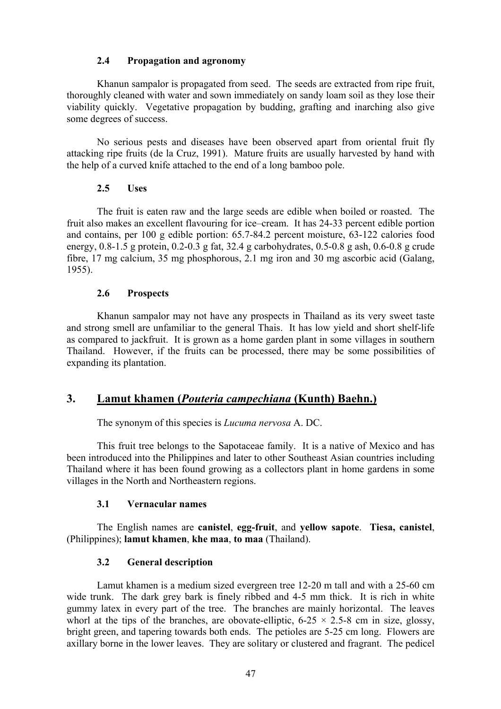### **2.4 Propagation and agronomy**

Khanun sampalor is propagated from seed. The seeds are extracted from ripe fruit, thoroughly cleaned with water and sown immediately on sandy loam soil as they lose their viability quickly. Vegetative propagation by budding, grafting and inarching also give some degrees of success.

No serious pests and diseases have been observed apart from oriental fruit fly attacking ripe fruits (de la Cruz, 1991). Mature fruits are usually harvested by hand with the help of a curved knife attached to the end of a long bamboo pole.

## **2.5 Uses**

The fruit is eaten raw and the large seeds are edible when boiled or roasted. The fruit also makes an excellent flavouring for ice–cream. It has 24-33 percent edible portion and contains, per 100 g edible portion: 65.7-84.2 percent moisture, 63-122 calories food energy, 0.8-1.5 g protein, 0.2-0.3 g fat, 32.4 g carbohydrates, 0.5-0.8 g ash, 0.6-0.8 g crude fibre, 17 mg calcium, 35 mg phosphorous, 2.1 mg iron and 30 mg ascorbic acid (Galang, 1955).

## **2.6 Prospects**

Khanun sampalor may not have any prospects in Thailand as its very sweet taste and strong smell are unfamiliar to the general Thais. It has low yield and short shelf-life as compared to jackfruit. It is grown as a home garden plant in some villages in southern Thailand. However, if the fruits can be processed, there may be some possibilities of expanding its plantation.

## **3. Lamut khamen (***Pouteria campechiana* **(Kunth) Baehn.)**

The synonym of this species is *Lucuma nervosa* A. DC.

This fruit tree belongs to the Sapotaceae family. It is a native of Mexico and has been introduced into the Philippines and later to other Southeast Asian countries including Thailand where it has been found growing as a collectors plant in home gardens in some villages in the North and Northeastern regions.

## **3.1 Vernacular names**

The English names are **canistel**, **egg-fruit**, and **yellow sapote**. **Tiesa, canistel**, (Philippines); **lamut khamen**, **khe maa**, **to maa** (Thailand).

## **3.2 General description**

Lamut khamen is a medium sized evergreen tree 12-20 m tall and with a 25-60 cm wide trunk. The dark grey bark is finely ribbed and 4-5 mm thick. It is rich in white gummy latex in every part of the tree. The branches are mainly horizontal. The leaves whorl at the tips of the branches, are obovate-elliptic,  $6-25 \times 2.5-8$  cm in size, glossy, bright green, and tapering towards both ends. The petioles are 5-25 cm long. Flowers are axillary borne in the lower leaves. They are solitary or clustered and fragrant. The pedicel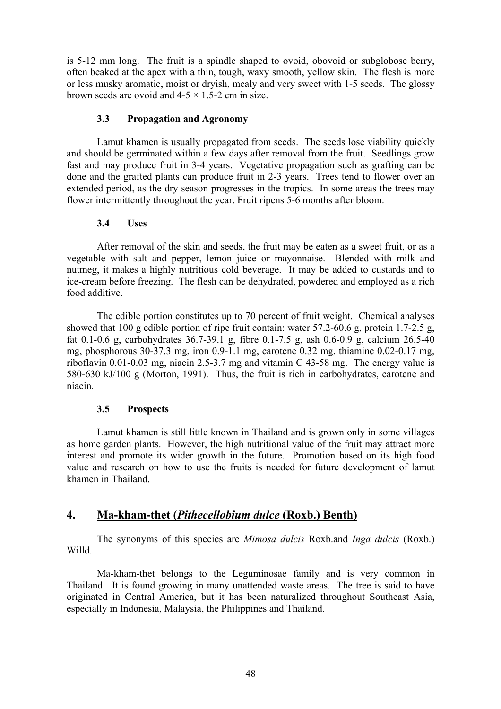is 5-12 mm long. The fruit is a spindle shaped to ovoid, obovoid or subglobose berry, often beaked at the apex with a thin, tough, waxy smooth, yellow skin. The flesh is more or less musky aromatic, moist or dryish, mealy and very sweet with 1-5 seeds. The glossy brown seeds are ovoid and  $4-5 \times 1.5-2$  cm in size.

### **3.3 Propagation and Agronomy**

Lamut khamen is usually propagated from seeds. The seeds lose viability quickly and should be germinated within a few days after removal from the fruit. Seedlings grow fast and may produce fruit in 3-4 years. Vegetative propagation such as grafting can be done and the grafted plants can produce fruit in 2-3 years. Trees tend to flower over an extended period, as the dry season progresses in the tropics. In some areas the trees may flower intermittently throughout the year. Fruit ripens 5-6 months after bloom.

## **3.4 Uses**

After removal of the skin and seeds, the fruit may be eaten as a sweet fruit, or as a vegetable with salt and pepper, lemon juice or mayonnaise. Blended with milk and nutmeg, it makes a highly nutritious cold beverage. It may be added to custards and to ice-cream before freezing. The flesh can be dehydrated, powdered and employed as a rich food additive.

The edible portion constitutes up to 70 percent of fruit weight. Chemical analyses showed that 100 g edible portion of ripe fruit contain: water 57.2-60.6 g, protein 1.7-2.5 g, fat 0.1-0.6 g, carbohydrates 36.7-39.1 g, fibre 0.1-7.5 g, ash 0.6-0.9 g, calcium 26.5-40 mg, phosphorous 30-37.3 mg, iron 0.9-1.1 mg, carotene 0.32 mg, thiamine 0.02-0.17 mg, riboflavin 0.01-0.03 mg, niacin 2.5-3.7 mg and vitamin C 43-58 mg. The energy value is 580-630 kJ/100 g (Morton, 1991). Thus, the fruit is rich in carbohydrates, carotene and niacin.

## **3.5 Prospects**

Lamut khamen is still little known in Thailand and is grown only in some villages as home garden plants. However, the high nutritional value of the fruit may attract more interest and promote its wider growth in the future. Promotion based on its high food value and research on how to use the fruits is needed for future development of lamut khamen in Thailand.

## **4. Ma-kham-thet (***Pithecellobium dulce* **(Roxb.) Benth)**

The synonyms of this species are *Mimosa dulcis* Roxb.and *Inga dulcis* (Roxb.) Willd.

Ma-kham-thet belongs to the Leguminosae family and is very common in Thailand. It is found growing in many unattended waste areas. The tree is said to have originated in Central America, but it has been naturalized throughout Southeast Asia, especially in Indonesia, Malaysia, the Philippines and Thailand.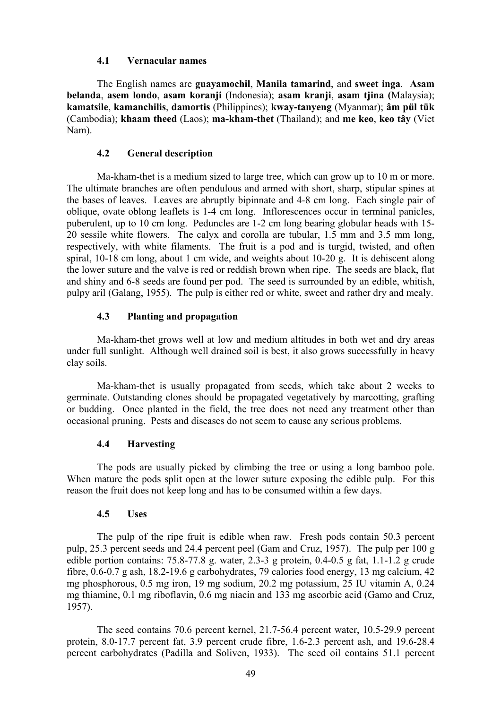#### **4.1 Vernacular names**

The English names are **guayamochil**, **Manila tamarind**, and **sweet inga**. **Asam belanda**, **asem londo**, **asam koranji** (Indonesia); **asam kranji**, **asam tjina (**Malaysia); **kamatsile**, **kamanchilis**, **damortis** (Philippines); **kway-tanyeng** (Myanmar); **âm pül tük** (Cambodia); **khaam theed** (Laos); **ma-kham-thet** (Thailand); and **me keo**, **keo tây** (Viet Nam).

#### **4.2 General description**

Ma-kham-thet is a medium sized to large tree, which can grow up to 10 m or more. The ultimate branches are often pendulous and armed with short, sharp, stipular spines at the bases of leaves. Leaves are abruptly bipinnate and 4-8 cm long. Each single pair of oblique, ovate oblong leaflets is 1-4 cm long. Inflorescences occur in terminal panicles, puberulent, up to 10 cm long. Peduncles are 1-2 cm long bearing globular heads with 15- 20 sessile white flowers. The calyx and corolla are tubular, 1.5 mm and 3.5 mm long, respectively, with white filaments. The fruit is a pod and is turgid, twisted, and often spiral, 10-18 cm long, about 1 cm wide, and weights about 10-20 g. It is dehiscent along the lower suture and the valve is red or reddish brown when ripe. The seeds are black, flat and shiny and 6-8 seeds are found per pod. The seed is surrounded by an edible, whitish, pulpy aril (Galang, 1955). The pulp is either red or white, sweet and rather dry and mealy.

#### **4.3 Planting and propagation**

Ma-kham-thet grows well at low and medium altitudes in both wet and dry areas under full sunlight. Although well drained soil is best, it also grows successfully in heavy clay soils.

Ma-kham-thet is usually propagated from seeds, which take about 2 weeks to germinate. Outstanding clones should be propagated vegetatively by marcotting, grafting or budding. Once planted in the field, the tree does not need any treatment other than occasional pruning. Pests and diseases do not seem to cause any serious problems.

### **4.4 Harvesting**

The pods are usually picked by climbing the tree or using a long bamboo pole. When mature the pods split open at the lower suture exposing the edible pulp. For this reason the fruit does not keep long and has to be consumed within a few days.

#### **4.5 Uses**

The pulp of the ripe fruit is edible when raw. Fresh pods contain 50.3 percent pulp, 25.3 percent seeds and 24.4 percent peel (Gam and Cruz, 1957). The pulp per 100 g edible portion contains: 75.8-77.8 g. water, 2.3-3 g protein, 0.4-0.5 g fat, 1.1-1.2 g crude fibre, 0.6-0.7 g ash, 18.2-19.6 g carbohydrates, 79 calories food energy, 13 mg calcium, 42 mg phosphorous, 0.5 mg iron, 19 mg sodium, 20.2 mg potassium, 25 IU vitamin A, 0.24 mg thiamine, 0.1 mg riboflavin, 0.6 mg niacin and 133 mg ascorbic acid (Gamo and Cruz, 1957).

The seed contains 70.6 percent kernel, 21.7-56.4 percent water, 10.5-29.9 percent protein, 8.0-17.7 percent fat, 3.9 percent crude fibre, 1.6-2.3 percent ash, and 19.6-28.4 percent carbohydrates (Padilla and Soliven, 1933). The seed oil contains 51.1 percent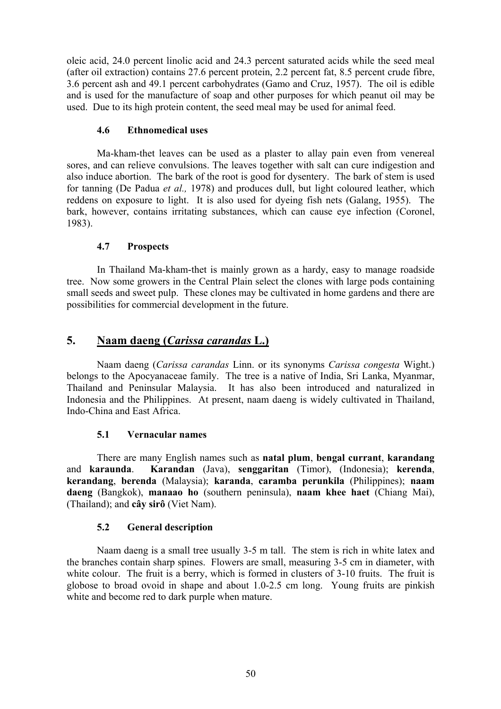oleic acid, 24.0 percent linolic acid and 24.3 percent saturated acids while the seed meal (after oil extraction) contains 27.6 percent protein, 2.2 percent fat, 8.5 percent crude fibre, 3.6 percent ash and 49.1 percent carbohydrates (Gamo and Cruz, 1957). The oil is edible and is used for the manufacture of soap and other purposes for which peanut oil may be used. Due to its high protein content, the seed meal may be used for animal feed.

## **4.6 Ethnomedical uses**

Ma-kham-thet leaves can be used as a plaster to allay pain even from venereal sores, and can relieve convulsions. The leaves together with salt can cure indigestion and also induce abortion. The bark of the root is good for dysentery. The bark of stem is used for tanning (De Padua *et al.,* 1978) and produces dull, but light coloured leather, which reddens on exposure to light. It is also used for dyeing fish nets (Galang, 1955). The bark, however, contains irritating substances, which can cause eye infection (Coronel, 1983).

## **4.7 Prospects**

In Thailand Ma-kham-thet is mainly grown as a hardy, easy to manage roadside tree. Now some growers in the Central Plain select the clones with large pods containing small seeds and sweet pulp. These clones may be cultivated in home gardens and there are possibilities for commercial development in the future.

## **5. Naam daeng (***Carissa carandas* **L.)**

Naam daeng (*Carissa carandas* Linn. or its synonyms *Carissa congesta* Wight.) belongs to the Apocyanaceae family. The tree is a native of India, Sri Lanka, Myanmar, Thailand and Peninsular Malaysia. It has also been introduced and naturalized in Indonesia and the Philippines. At present, naam daeng is widely cultivated in Thailand, Indo-China and East Africa.

## **5.1 Vernacular names**

There are many English names such as **natal plum**, **bengal currant**, **karandang** and **karaunda**. **Karandan** (Java), **senggaritan** (Timor), (Indonesia); **kerenda**, **kerandang**, **berenda** (Malaysia); **karanda**, **caramba perunkila** (Philippines); **naam daeng** (Bangkok), **manaao ho** (southern peninsula), **naam khee haet** (Chiang Mai), (Thailand); and **cây sirô** (Viet Nam).

## **5.2 General description**

Naam daeng is a small tree usually 3-5 m tall. The stem is rich in white latex and the branches contain sharp spines. Flowers are small, measuring 3-5 cm in diameter, with white colour. The fruit is a berry, which is formed in clusters of 3-10 fruits. The fruit is globose to broad ovoid in shape and about 1.0-2.5 cm long. Young fruits are pinkish white and become red to dark purple when mature.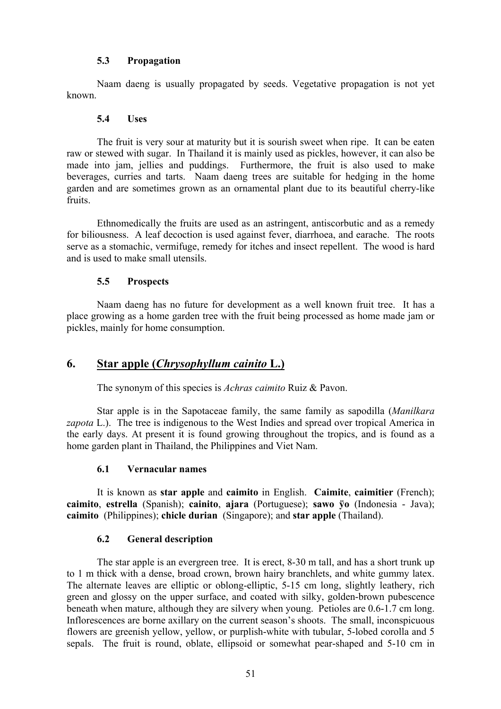## **5.3 Propagation**

Naam daeng is usually propagated by seeds. Vegetative propagation is not yet known.

## **5.4 Uses**

The fruit is very sour at maturity but it is sourish sweet when ripe. It can be eaten raw or stewed with sugar. In Thailand it is mainly used as pickles, however, it can also be made into jam, jellies and puddings. Furthermore, the fruit is also used to make beverages, curries and tarts. Naam daeng trees are suitable for hedging in the home garden and are sometimes grown as an ornamental plant due to its beautiful cherry-like fruits.

Ethnomedically the fruits are used as an astringent, antiscorbutic and as a remedy for biliousness. A leaf decoction is used against fever, diarrhoea, and earache. The roots serve as a stomachic, vermifuge, remedy for itches and insect repellent. The wood is hard and is used to make small utensils.

## **5.5 Prospects**

Naam daeng has no future for development as a well known fruit tree. It has a place growing as a home garden tree with the fruit being processed as home made jam or pickles, mainly for home consumption.

## **6. Star apple (***Chrysophyllum cainito* **L.)**

The synonym of this species is *Achras caimito* Ruiz & Pavon.

Star apple is in the Sapotaceae family, the same family as sapodilla (*Manilkara zapota* L.). The tree is indigenous to the West Indies and spread over tropical America in the early days. At present it is found growing throughout the tropics, and is found as a home garden plant in Thailand, the Philippines and Viet Nam.

## **6.1 Vernacular names**

It is known as **star apple** and **caimito** in English. **Caimite**, **caimitier** (French); **caimito**, **estrella** (Spanish); **cainito**, **ajara** (Portuguese); **sawo ÿo** (Indonesia - Java); **caimito** (Philippines); **chicle durian** (Singapore); and **star apple** (Thailand).

## **6.2 General description**

The star apple is an evergreen tree. It is erect, 8-30 m tall, and has a short trunk up to 1 m thick with a dense, broad crown, brown hairy branchlets, and white gummy latex. The alternate leaves are elliptic or oblong-elliptic, 5-15 cm long, slightly leathery, rich green and glossy on the upper surface, and coated with silky, golden-brown pubescence beneath when mature, although they are silvery when young. Petioles are 0.6-1.7 cm long. Inflorescences are borne axillary on the current season's shoots. The small, inconspicuous flowers are greenish yellow, yellow, or purplish-white with tubular, 5-lobed corolla and 5 sepals. The fruit is round, oblate, ellipsoid or somewhat pear-shaped and 5-10 cm in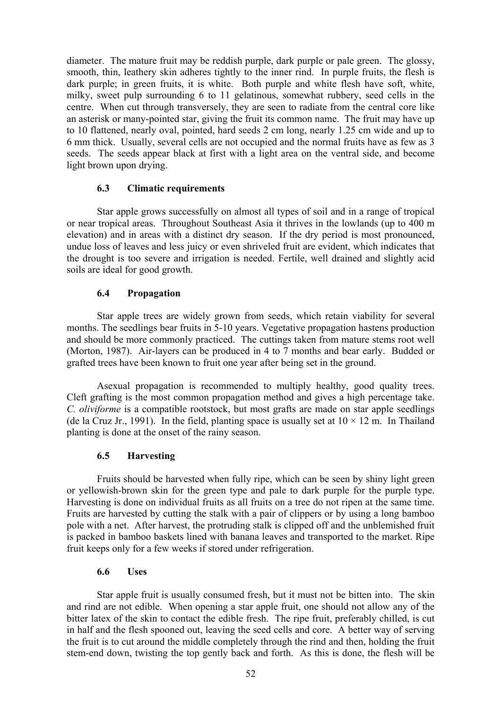diameter. The mature fruit may be reddish purple, dark purple or pale green. The glossy, smooth, thin, leathery skin adheres tightly to the inner rind. In purple fruits, the flesh is dark purple; in green fruits, it is white. Both purple and white flesh have soft, white, milky, sweet pulp surrounding 6 to 11 gelatinous, somewhat rubbery, seed cells in the centre. When cut through transversely, they are seen to radiate from the central core like an asterisk or many-pointed star, giving the fruit its common name. The fruit may have up to 10 flattened, nearly oval, pointed, hard seeds 2 cm long, nearly 1.25 cm wide and up to 6 mm thick. Usually, several cells are not occupied and the normal fruits have as few as 3 seeds. The seeds appear black at first with a light area on the ventral side, and become light brown upon drying.

## **6.3 Climatic requirements**

Star apple grows successfully on almost all types of soil and in a range of tropical or near tropical areas. Throughout Southeast Asia it thrives in the lowlands (up to 400 m elevation) and in areas with a distinct dry season. If the dry period is most pronounced, undue loss of leaves and less juicy or even shriveled fruit are evident, which indicates that the drought is too severe and irrigation is needed. Fertile, well drained and slightly acid soils are ideal for good growth.

## **6.4 Propagation**

Star apple trees are widely grown from seeds, which retain viability for several months. The seedlings bear fruits in 5-10 years. Vegetative propagation hastens production and should be more commonly practiced. The cuttings taken from mature stems root well (Morton, 1987). Air-layers can be produced in 4 to 7 months and bear early. Budded or grafted trees have been known to fruit one year after being set in the ground.

Asexual propagation is recommended to multiply healthy, good quality trees. Cleft grafting is the most common propagation method and gives a high percentage take. *C. oliviforme* is a compatible rootstock, but most grafts are made on star apple seedlings (de la Cruz Jr., 1991). In the field, planting space is usually set at  $10 \times 12$  m. In Thailand planting is done at the onset of the rainy season.

## **6.5 Harvesting**

Fruits should be harvested when fully ripe, which can be seen by shiny light green or yellowish-brown skin for the green type and pale to dark purple for the purple type. Harvesting is done on individual fruits as all fruits on a tree do not ripen at the same time. Fruits are harvested by cutting the stalk with a pair of clippers or by using a long bamboo pole with a net. After harvest, the protruding stalk is clipped off and the unblemished fruit is packed in bamboo baskets lined with banana leaves and transported to the market. Ripe fruit keeps only for a few weeks if stored under refrigeration.

#### **6.6 Uses**

Star apple fruit is usually consumed fresh, but it must not be bitten into. The skin and rind are not edible. When opening a star apple fruit, one should not allow any of the bitter latex of the skin to contact the edible fresh. The ripe fruit, preferably chilled, is cut in half and the flesh spooned out, leaving the seed cells and core. A better way of serving the fruit is to cut around the middle completely through the rind and then, holding the fruit stem-end down, twisting the top gently back and forth. As this is done, the flesh will be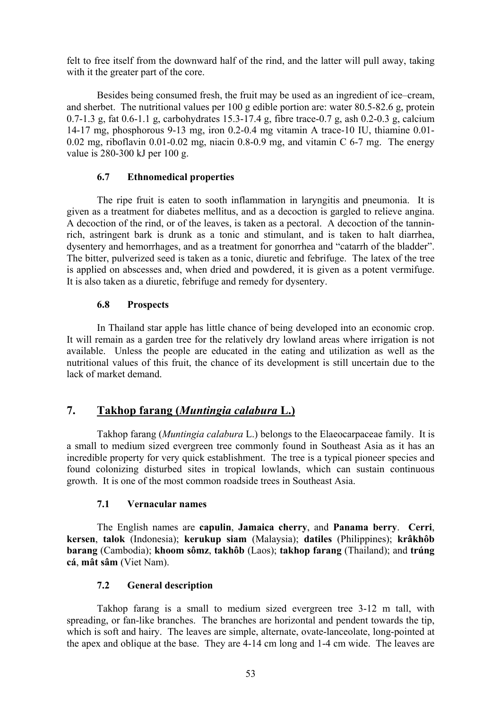felt to free itself from the downward half of the rind, and the latter will pull away, taking with it the greater part of the core.

Besides being consumed fresh, the fruit may be used as an ingredient of ice–cream, and sherbet. The nutritional values per 100 g edible portion are: water 80.5-82.6 g, protein 0.7-1.3 g, fat 0.6-1.1 g, carbohydrates 15.3-17.4 g, fibre trace-0.7 g, ash 0.2-0.3 g, calcium 14-17 mg, phosphorous 9-13 mg, iron 0.2-0.4 mg vitamin A trace-10 IU, thiamine 0.01-  $0.02$  mg, riboflavin  $0.01$ - $0.02$  mg, niacin  $0.8$ - $0.9$  mg, and vitamin C  $6$ - $7$  mg. The energy value is 280-300 kJ per 100 g.

## **6.7 Ethnomedical properties**

The ripe fruit is eaten to sooth inflammation in laryngitis and pneumonia. It is given as a treatment for diabetes mellitus, and as a decoction is gargled to relieve angina. A decoction of the rind, or of the leaves, is taken as a pectoral. A decoction of the tanninrich, astringent bark is drunk as a tonic and stimulant, and is taken to halt diarrhea, dysentery and hemorrhages, and as a treatment for gonorrhea and "catarrh of the bladder". The bitter, pulverized seed is taken as a tonic, diuretic and febrifuge. The latex of the tree is applied on abscesses and, when dried and powdered, it is given as a potent vermifuge. It is also taken as a diuretic, febrifuge and remedy for dysentery.

## **6.8 Prospects**

In Thailand star apple has little chance of being developed into an economic crop. It will remain as a garden tree for the relatively dry lowland areas where irrigation is not available. Unless the people are educated in the eating and utilization as well as the nutritional values of this fruit, the chance of its development is still uncertain due to the lack of market demand.

## **7. Takhop farang (***Muntingia calabura* **L.)**

Takhop farang (*Muntingia calabura* L.) belongs to the Elaeocarpaceae family. It is a small to medium sized evergreen tree commonly found in Southeast Asia as it has an incredible property for very quick establishment. The tree is a typical pioneer species and found colonizing disturbed sites in tropical lowlands, which can sustain continuous growth. It is one of the most common roadside trees in Southeast Asia.

## **7.1 Vernacular names**

The English names are **capulin**, **Jamaica cherry**, and **Panama berry**. **Cerri**, **kersen**, **talok** (Indonesia); **kerukup siam** (Malaysia); **datiles** (Philippines); **krâkhôb barang** (Cambodia); **khoom sômz**, **takhôb** (Laos); **takhop farang** (Thailand); and **trúng cá**, **mât sâm** (Viet Nam).

## **7.2 General description**

Takhop farang is a small to medium sized evergreen tree 3-12 m tall, with spreading, or fan-like branches. The branches are horizontal and pendent towards the tip, which is soft and hairy. The leaves are simple, alternate, ovate-lanceolate, long-pointed at the apex and oblique at the base. They are 4-14 cm long and 1-4 cm wide. The leaves are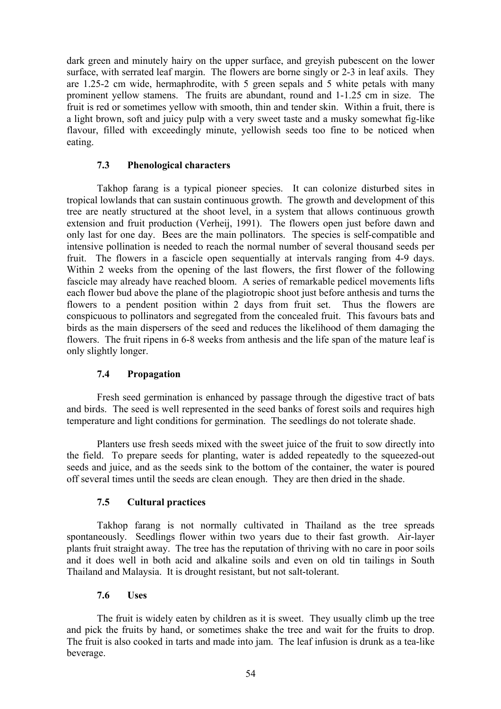dark green and minutely hairy on the upper surface, and greyish pubescent on the lower surface, with serrated leaf margin. The flowers are borne singly or 2-3 in leaf axils. They are 1.25-2 cm wide, hermaphrodite, with 5 green sepals and 5 white petals with many prominent yellow stamens. The fruits are abundant, round and 1-1.25 cm in size. The fruit is red or sometimes yellow with smooth, thin and tender skin. Within a fruit, there is a light brown, soft and juicy pulp with a very sweet taste and a musky somewhat fig-like flavour, filled with exceedingly minute, yellowish seeds too fine to be noticed when eating.

## **7.3 Phenological characters**

Takhop farang is a typical pioneer species. It can colonize disturbed sites in tropical lowlands that can sustain continuous growth. The growth and development of this tree are neatly structured at the shoot level, in a system that allows continuous growth extension and fruit production (Verheij, 1991). The flowers open just before dawn and only last for one day. Bees are the main pollinators. The species is self-compatible and intensive pollination is needed to reach the normal number of several thousand seeds per fruit. The flowers in a fascicle open sequentially at intervals ranging from 4-9 days. Within 2 weeks from the opening of the last flowers, the first flower of the following fascicle may already have reached bloom. A series of remarkable pedicel movements lifts each flower bud above the plane of the plagiotropic shoot just before anthesis and turns the flowers to a pendent position within 2 days from fruit set. Thus the flowers are conspicuous to pollinators and segregated from the concealed fruit. This favours bats and birds as the main dispersers of the seed and reduces the likelihood of them damaging the flowers. The fruit ripens in 6-8 weeks from anthesis and the life span of the mature leaf is only slightly longer.

## **7.4 Propagation**

Fresh seed germination is enhanced by passage through the digestive tract of bats and birds. The seed is well represented in the seed banks of forest soils and requires high temperature and light conditions for germination. The seedlings do not tolerate shade.

Planters use fresh seeds mixed with the sweet juice of the fruit to sow directly into the field. To prepare seeds for planting, water is added repeatedly to the squeezed-out seeds and juice, and as the seeds sink to the bottom of the container, the water is poured off several times until the seeds are clean enough. They are then dried in the shade.

## **7.5 Cultural practices**

Takhop farang is not normally cultivated in Thailand as the tree spreads spontaneously. Seedlings flower within two years due to their fast growth. Air-layer plants fruit straight away. The tree has the reputation of thriving with no care in poor soils and it does well in both acid and alkaline soils and even on old tin tailings in South Thailand and Malaysia. It is drought resistant, but not salt-tolerant.

## **7.6 Uses**

The fruit is widely eaten by children as it is sweet. They usually climb up the tree and pick the fruits by hand, or sometimes shake the tree and wait for the fruits to drop. The fruit is also cooked in tarts and made into jam. The leaf infusion is drunk as a tea-like beverage.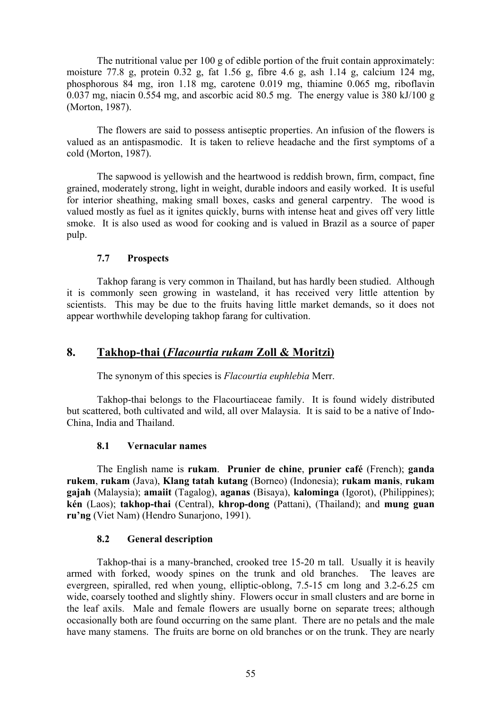The nutritional value per 100 g of edible portion of the fruit contain approximately: moisture 77.8 g, protein  $0.32$  g, fat  $1.56$  g, fibre 4.6 g, ash  $1.14$  g, calcium 124 mg, phosphorous 84 mg, iron 1.18 mg, carotene 0.019 mg, thiamine 0.065 mg, riboflavin 0.037 mg, niacin 0.554 mg, and ascorbic acid 80.5 mg. The energy value is 380 kJ/100 g (Morton, 1987).

The flowers are said to possess antiseptic properties. An infusion of the flowers is valued as an antispasmodic. It is taken to relieve headache and the first symptoms of a cold (Morton, 1987).

The sapwood is yellowish and the heartwood is reddish brown, firm, compact, fine grained, moderately strong, light in weight, durable indoors and easily worked. It is useful for interior sheathing, making small boxes, casks and general carpentry. The wood is valued mostly as fuel as it ignites quickly, burns with intense heat and gives off very little smoke. It is also used as wood for cooking and is valued in Brazil as a source of paper pulp.

## **7.7 Prospects**

Takhop farang is very common in Thailand, but has hardly been studied. Although it is commonly seen growing in wasteland, it has received very little attention by scientists. This may be due to the fruits having little market demands, so it does not appear worthwhile developing takhop farang for cultivation.

## **8. Takhop-thai (***Flacourtia rukam* **Zoll & Moritzi)**

The synonym of this species is *Flacourtia euphlebia* Merr.

Takhop-thai belongs to the Flacourtiaceae family. It is found widely distributed but scattered, both cultivated and wild, all over Malaysia. It is said to be a native of Indo-China, India and Thailand.

#### **8.1 Vernacular names**

The English name is **rukam**. **Prunier de chine**, **prunier café** (French); **ganda rukem**, **rukam** (Java), **Klang tatah kutang** (Borneo) (Indonesia); **rukam manis**, **rukam gajah** (Malaysia); **amaiit** (Tagalog), **aganas** (Bisaya), **kalominga** (Igorot), (Philippines); **kén** (Laos); **takhop-thai** (Central), **khrop-dong** (Pattani), (Thailand); and **mung guan ru'ng** (Viet Nam) (Hendro Sunarjono, 1991).

#### **8.2 General description**

Takhop-thai is a many-branched, crooked tree 15-20 m tall. Usually it is heavily armed with forked, woody spines on the trunk and old branches. The leaves are evergreen, spiralled, red when young, elliptic-oblong, 7.5-15 cm long and 3.2-6.25 cm wide, coarsely toothed and slightly shiny. Flowers occur in small clusters and are borne in the leaf axils. Male and female flowers are usually borne on separate trees; although occasionally both are found occurring on the same plant. There are no petals and the male have many stamens. The fruits are borne on old branches or on the trunk. They are nearly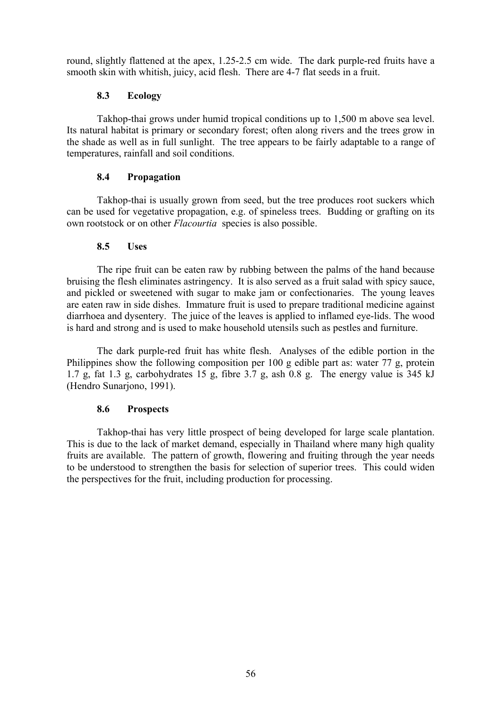round, slightly flattened at the apex, 1.25-2.5 cm wide. The dark purple-red fruits have a smooth skin with whitish, juicy, acid flesh. There are 4-7 flat seeds in a fruit.

## **8.3 Ecology**

Takhop-thai grows under humid tropical conditions up to 1,500 m above sea level. Its natural habitat is primary or secondary forest; often along rivers and the trees grow in the shade as well as in full sunlight. The tree appears to be fairly adaptable to a range of temperatures, rainfall and soil conditions.

## **8.4 Propagation**

Takhop-thai is usually grown from seed, but the tree produces root suckers which can be used for vegetative propagation, e.g. of spineless trees. Budding or grafting on its own rootstock or on other *Flacourtia* species is also possible.

## **8.5 Uses**

The ripe fruit can be eaten raw by rubbing between the palms of the hand because bruising the flesh eliminates astringency. It is also served as a fruit salad with spicy sauce, and pickled or sweetened with sugar to make jam or confectionaries. The young leaves are eaten raw in side dishes. Immature fruit is used to prepare traditional medicine against diarrhoea and dysentery. The juice of the leaves is applied to inflamed eye-lids. The wood is hard and strong and is used to make household utensils such as pestles and furniture.

The dark purple-red fruit has white flesh. Analyses of the edible portion in the Philippines show the following composition per 100 g edible part as: water 77 g, protein 1.7 g, fat 1.3 g, carbohydrates 15 g, fibre 3.7 g, ash 0.8 g. The energy value is 345 kJ (Hendro Sunarjono, 1991).

## **8.6 Prospects**

Takhop-thai has very little prospect of being developed for large scale plantation. This is due to the lack of market demand, especially in Thailand where many high quality fruits are available. The pattern of growth, flowering and fruiting through the year needs to be understood to strengthen the basis for selection of superior trees. This could widen the perspectives for the fruit, including production for processing.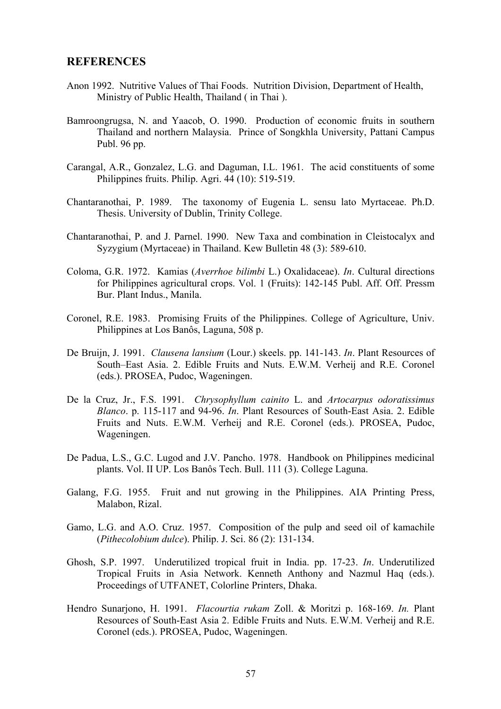## **REFERENCES**

- Anon 1992. Nutritive Values of Thai Foods. Nutrition Division, Department of Health, Ministry of Public Health, Thailand ( in Thai ).
- Bamroongrugsa, N. and Yaacob, O. 1990. Production of economic fruits in southern Thailand and northern Malaysia. Prince of Songkhla University, Pattani Campus Publ. 96 pp.
- Carangal, A.R., Gonzalez, L.G. and Daguman, I.L. 1961. The acid constituents of some Philippines fruits. Philip. Agri. 44 (10): 519-519.
- Chantaranothai, P. 1989. The taxonomy of Eugenia L. sensu lato Myrtaceae. Ph.D. Thesis. University of Dublin, Trinity College.
- Chantaranothai, P. and J. Parnel. 1990. New Taxa and combination in Cleistocalyx and Syzygium (Myrtaceae) in Thailand. Kew Bulletin 48 (3): 589-610.
- Coloma, G.R. 1972. Kamias (*Averrhoe bilimbi* L.) Oxalidaceae). *In*. Cultural directions for Philippines agricultural crops. Vol. 1 (Fruits): 142-145 Publ. Aff. Off. Pressm Bur. Plant Indus., Manila.
- Coronel, R.E. 1983. Promising Fruits of the Philippines. College of Agriculture, Univ. Philippines at Los Banôs, Laguna, 508 p.
- De Bruijn, J. 1991. *Clausena lansium* (Lour.) skeels. pp. 141-143. *In*. Plant Resources of South–East Asia. 2. Edible Fruits and Nuts. E.W.M. Verheij and R.E. Coronel (eds.). PROSEA, Pudoc, Wageningen.
- De la Cruz, Jr., F.S. 1991. *Chrysophyllum cainito* L. and *Artocarpus odoratissimus Blanco*. p. 115-117 and 94-96. *In*. Plant Resources of South-East Asia. 2. Edible Fruits and Nuts. E.W.M. Verheij and R.E. Coronel (eds.). PROSEA, Pudoc, Wageningen.
- De Padua, L.S., G.C. Lugod and J.V. Pancho. 1978. Handbook on Philippines medicinal plants. Vol. II UP. Los Banôs Tech. Bull. 111 (3). College Laguna.
- Galang, F.G. 1955. Fruit and nut growing in the Philippines. AIA Printing Press, Malabon, Rizal.
- Gamo, L.G. and A.O. Cruz. 1957. Composition of the pulp and seed oil of kamachile (*Pithecolobium dulce*). Philip. J. Sci. 86 (2): 131-134.
- Ghosh, S.P. 1997. Underutilized tropical fruit in India. pp. 17-23. *In*. Underutilized Tropical Fruits in Asia Network. Kenneth Anthony and Nazmul Haq (eds.). Proceedings of UTFANET, Colorline Printers, Dhaka.
- Hendro Sunarjono, H. 1991. *Flacourtia rukam* Zoll. & Moritzi p. 168-169. *In.* Plant Resources of South-East Asia 2. Edible Fruits and Nuts. E.W.M. Verheij and R.E. Coronel (eds.). PROSEA, Pudoc, Wageningen.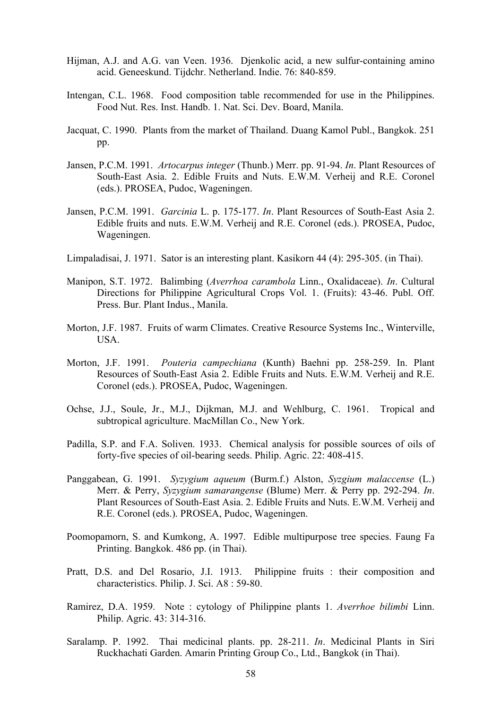- Hijman, A.J. and A.G. van Veen. 1936. Djenkolic acid, a new sulfur-containing amino acid. Geneeskund. Tijdchr. Netherland. Indie. 76: 840-859.
- Intengan, C.L. 1968. Food composition table recommended for use in the Philippines. Food Nut. Res. Inst. Handb. 1. Nat. Sci. Dev. Board, Manila.
- Jacquat, C. 1990. Plants from the market of Thailand. Duang Kamol Publ., Bangkok. 251 pp.
- Jansen, P.C.M. 1991. *Artocarpus integer* (Thunb.) Merr. pp. 91-94. *In*. Plant Resources of South-East Asia. 2. Edible Fruits and Nuts. E.W.M. Verheij and R.E. Coronel (eds.). PROSEA, Pudoc, Wageningen.
- Jansen, P.C.M. 1991. *Garcinia* L. p. 175-177. *In*. Plant Resources of South-East Asia 2. Edible fruits and nuts. E.W.M. Verheij and R.E. Coronel (eds.). PROSEA, Pudoc, Wageningen.
- Limpaladisai, J. 1971. Sator is an interesting plant. Kasikorn 44 (4): 295-305. (in Thai).
- Manipon, S.T. 1972. Balimbing (*Averrhoa carambola* Linn., Oxalidaceae). *In*. Cultural Directions for Philippine Agricultural Crops Vol. 1. (Fruits): 43-46. Publ. Off. Press. Bur. Plant Indus., Manila.
- Morton, J.F. 1987. Fruits of warm Climates. Creative Resource Systems Inc., Winterville, USA.
- Morton, J.F. 1991. *Pouteria campechiana* (Kunth) Baehni pp. 258-259. In. Plant Resources of South-East Asia 2. Edible Fruits and Nuts. E.W.M. Verheij and R.E. Coronel (eds.). PROSEA, Pudoc, Wageningen.
- Ochse, J.J., Soule, Jr., M.J., Dijkman, M.J. and Wehlburg, C. 1961. Tropical and subtropical agriculture. MacMillan Co., New York.
- Padilla, S.P. and F.A. Soliven. 1933. Chemical analysis for possible sources of oils of forty-five species of oil-bearing seeds. Philip. Agric. 22: 408-415.
- Panggabean, G. 1991. *Syzygium aqueum* (Burm.f.) Alston, *Syzgium malaccense* (L.) Merr. & Perry, *Syzygium samarangense* (Blume) Merr. & Perry pp. 292-294. *In*. Plant Resources of South-East Asia. 2. Edible Fruits and Nuts. E.W.M. Verheij and R.E. Coronel (eds.). PROSEA, Pudoc, Wageningen.
- Poomopamorn, S. and Kumkong, A. 1997. Edible multipurpose tree species. Faung Fa Printing. Bangkok. 486 pp. (in Thai).
- Pratt, D.S. and Del Rosario, J.I. 1913. Philippine fruits : their composition and characteristics. Philip. J. Sci. A8 : 59-80.
- Ramirez, D.A. 1959. Note : cytology of Philippine plants 1. *Averrhoe bilimbi* Linn. Philip. Agric. 43: 314-316.
- Saralamp. P. 1992. Thai medicinal plants. pp. 28-211. *In*. Medicinal Plants in Siri Ruckhachati Garden. Amarin Printing Group Co., Ltd., Bangkok (in Thai).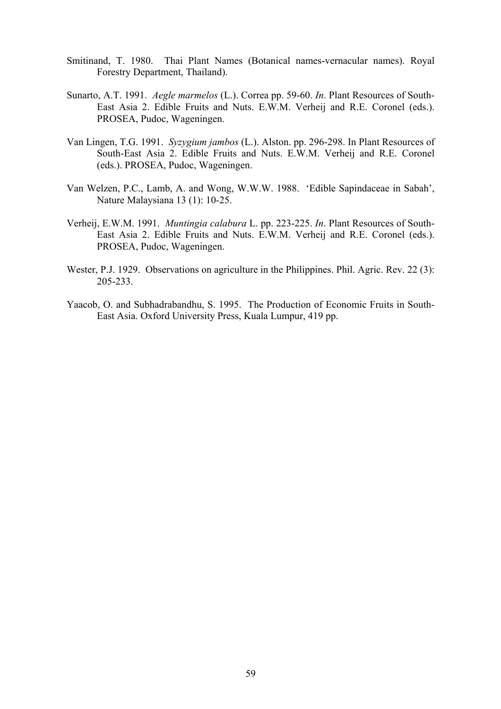- Smitinand, T. 1980. Thai Plant Names (Botanical names-vernacular names). Royal Forestry Department, Thailand).
- Sunarto, A.T. 1991. *Aegle marmelos* (L.). Correa pp. 59-60. *In*. Plant Resources of South-East Asia 2. Edible Fruits and Nuts. E.W.M. Verheij and R.E. Coronel (eds.). PROSEA, Pudoc, Wageningen.
- Van Lingen, T.G. 1991. *Syzygium jambos* (L.). Alston. pp. 296-298. In Plant Resources of South-East Asia 2. Edible Fruits and Nuts. E.W.M. Verheij and R.E. Coronel (eds.). PROSEA, Pudoc, Wageningen.
- Van Welzen, P.C., Lamb, A. and Wong, W.W.W. 1988. 'Edible Sapindaceae in Sabah', Nature Malaysiana 13 (1): 10-25.
- Verheij, E.W.M. 1991. *Muntingia calabura* L. pp. 223-225. *In*. Plant Resources of South-East Asia 2. Edible Fruits and Nuts. E.W.M. Verheij and R.E. Coronel (eds.). PROSEA, Pudoc, Wageningen.
- Wester, P.J. 1929. Observations on agriculture in the Philippines. Phil. Agric. Rev. 22 (3): 205-233.
- Yaacob, O. and Subhadrabandhu, S. 1995. The Production of Economic Fruits in South-East Asia. Oxford University Press, Kuala Lumpur, 419 pp.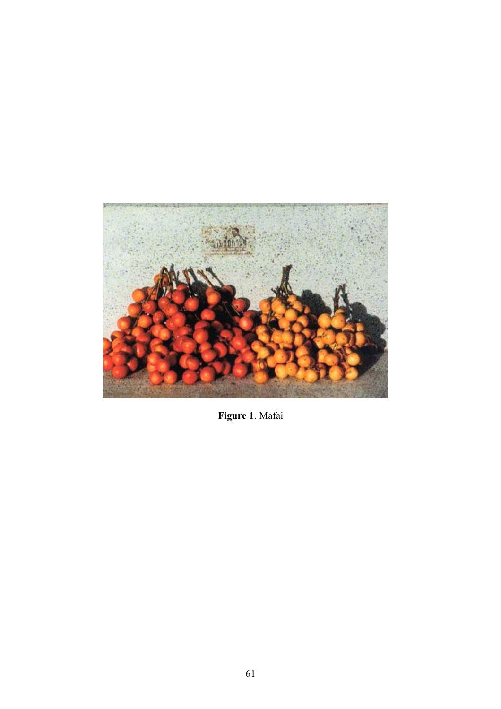

**Figure 1**. Mafai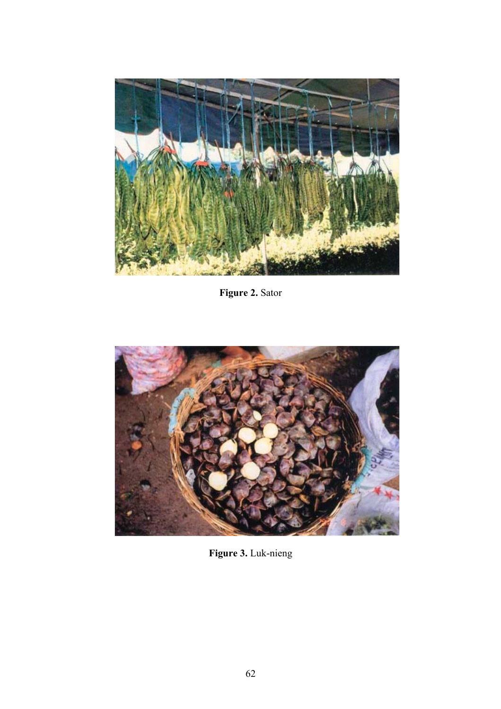

**Figure 2.** Sator



**Figure 3.** Luk-nieng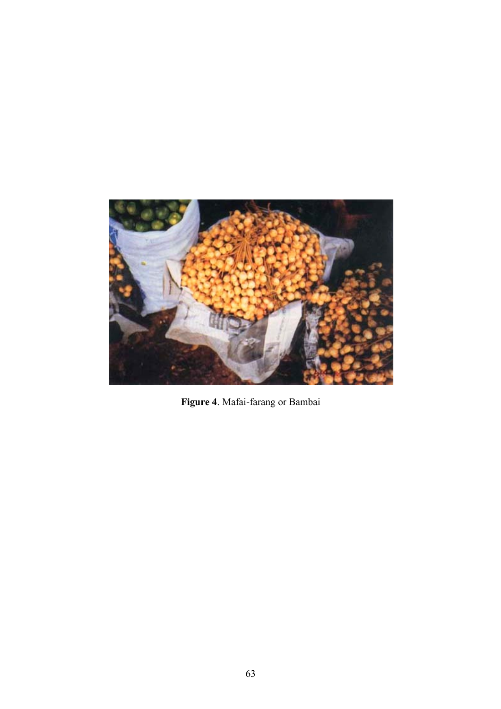

**Figure 4**. Mafai-farang or Bambai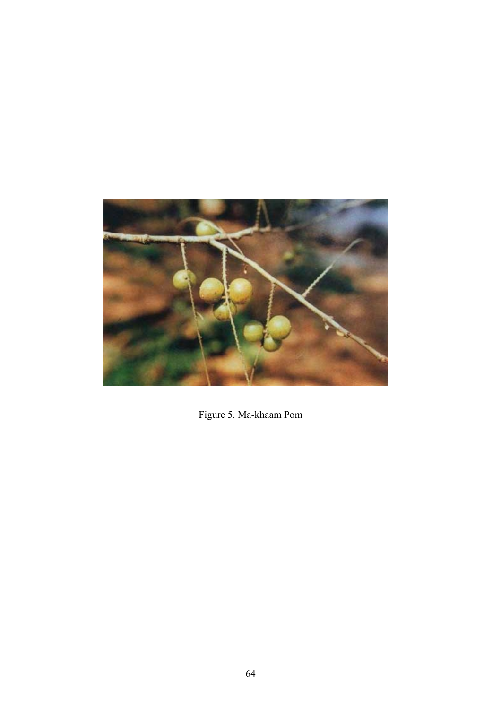

Figure 5. Ma-khaam Pom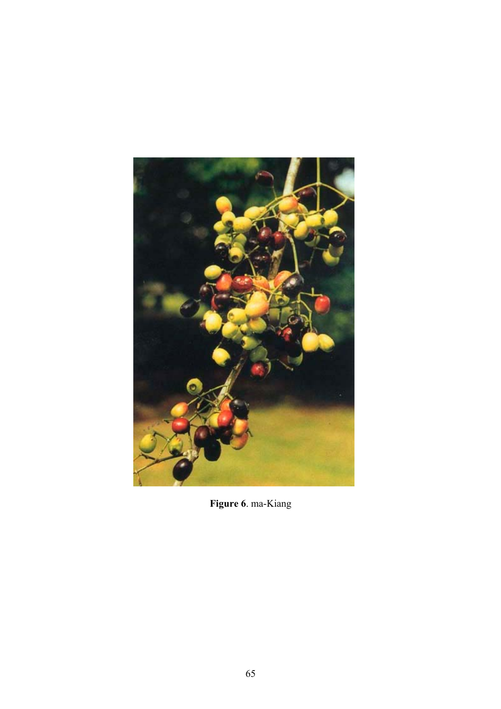

**Figure 6**. ma-Kiang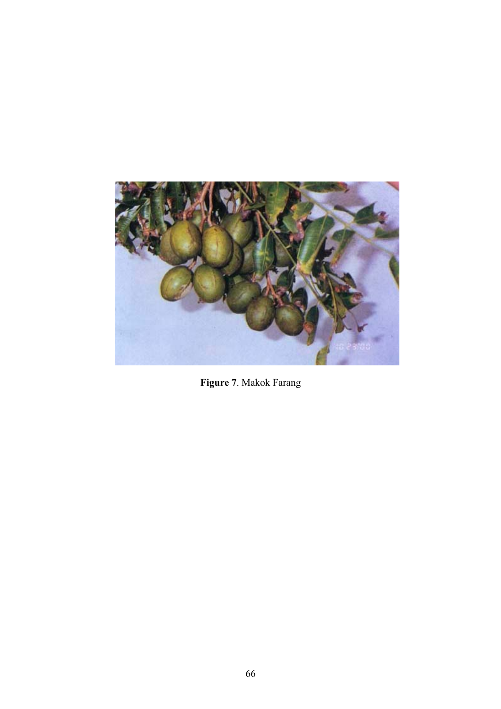

**Figure 7**. Makok Farang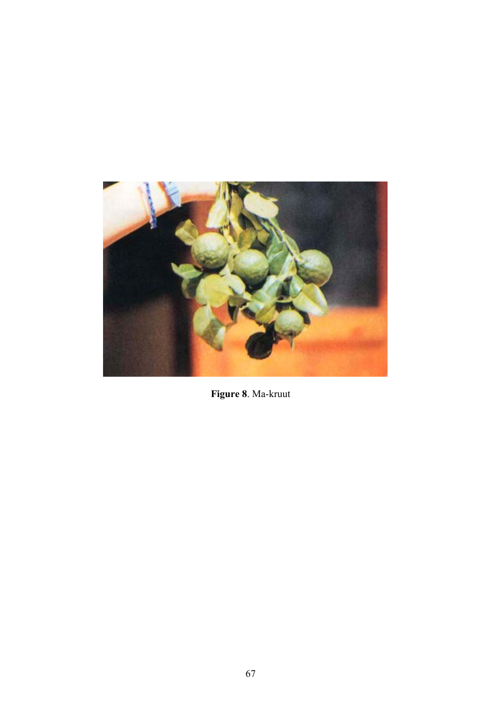

Figure 8. Ma-kruut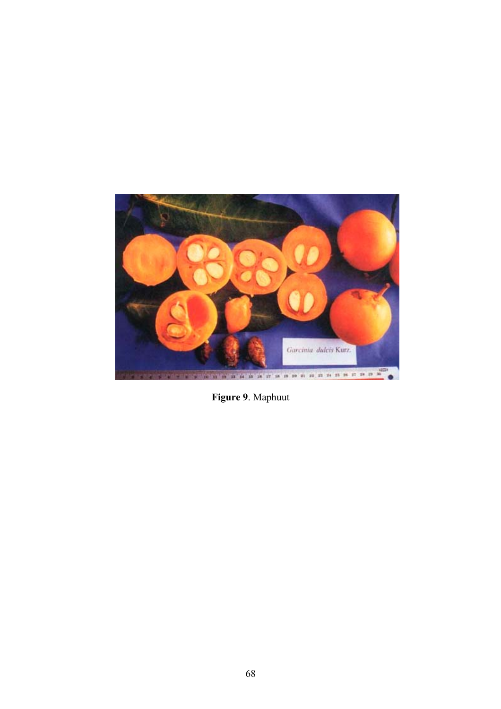

Figure 9. Maphuut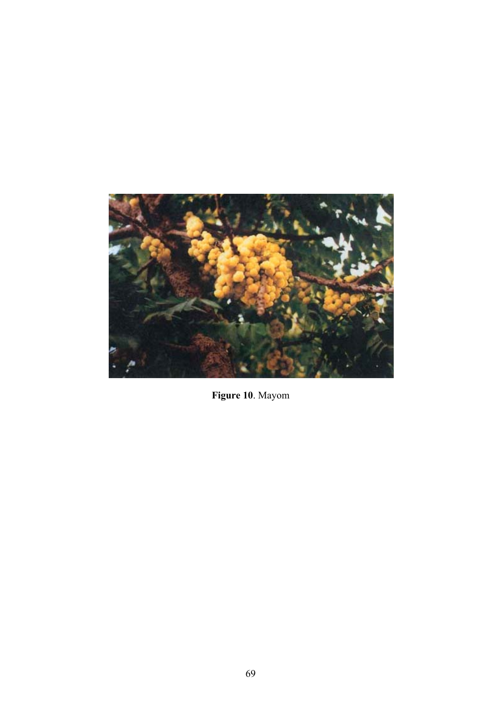

Figure 10. Mayom